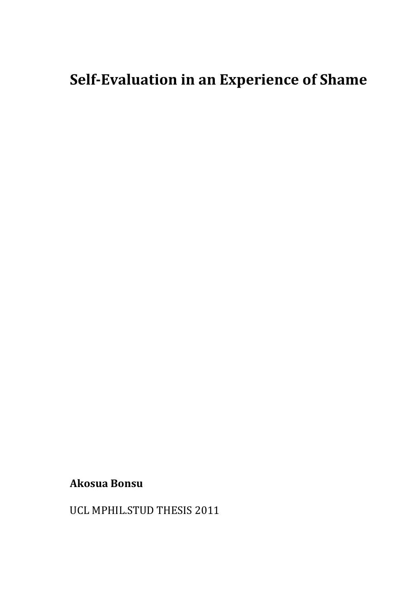# **Self-Evaluation in an Experience of Shame**

## **Akosua Bonsu**

UCL MPHIL.STUD THESIS 2011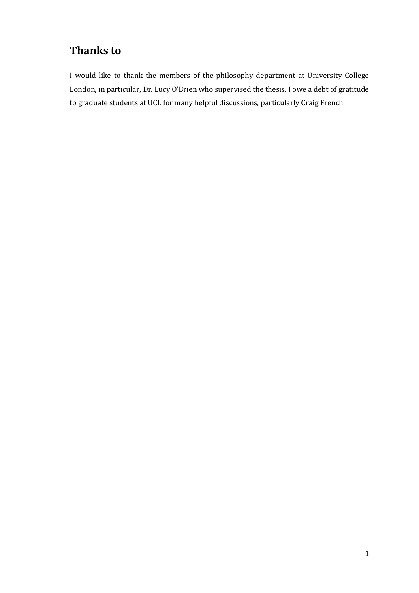# **Thanks to**

I would like to thank the members of the philosophy department at University College London, in particular, Dr. Lucy O'Brien who supervised the thesis. I owe a debt of gratitude to graduate students at UCL for many helpful discussions, particularly Craig French.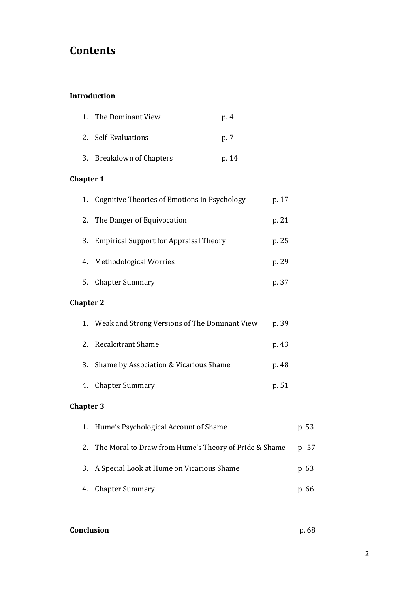# **Contents**

### **Introduction**

| 1. The Dominant View     | p. 4  |
|--------------------------|-------|
| 2. Self-Evaluations      | p. 7  |
| 3. Breakdown of Chapters | p. 14 |

### **Chapter 1**

| 1. Cognitive Theories of Emotions in Psychology | p. 17 |
|-------------------------------------------------|-------|
| 2. The Danger of Equivocation                   | p. 21 |
| 3. Empirical Support for Appraisal Theory       | p. 25 |
| 4. Methodological Worries                       | p. 29 |
| 5. Chapter Summary                              | p. 37 |

### **Chapter 2**

| 1. Weak and Strong Versions of The Dominant View | p. 39 |
|--------------------------------------------------|-------|
| 2. Recalcitrant Shame                            | p. 43 |
| 3. Shame by Association & Vicarious Shame        | p. 48 |
| 4. Chapter Summary                               | p. 51 |

### **Chapter 3**

| 1. Hume's Psychological Account of Shame                 | p. 53 |
|----------------------------------------------------------|-------|
| 2. The Moral to Draw from Hume's Theory of Pride & Shame | p. 57 |
| 3. A Special Look at Hume on Vicarious Shame             | p. 63 |
| 4. Chapter Summary                                       | p. 66 |

### **Conclusion p. 68**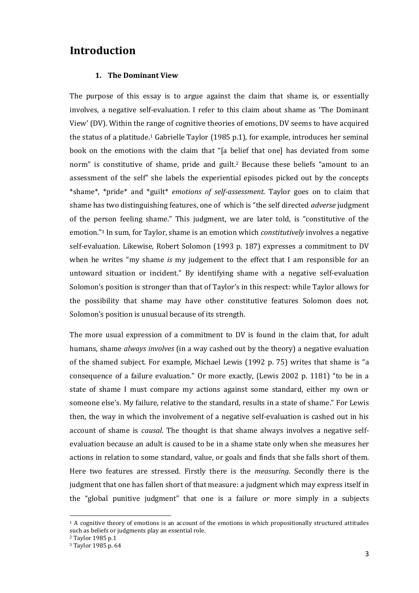### **Introduction**

#### **1. The Dominant View**

The purpose of this essay is to argue against the claim that shame is, or essentially involves, a negative self-evaluation. I refer to this claim about shame as 'The Dominant View' (DV). Within the range of cognitive theories of emotions, DV seems to have acquired the status of a platitude.<sup>1</sup> Gabrielle Taylor (1985 p.1), for example, introduces her seminal book on the emotions with the claim that "[a belief that one] has deviated from some norm" is constitutive of shame, pride and guilt.<sup>2</sup> Because these beliefs "amount to an assessment of the self" she labels the experiential episodes picked out by the concepts \*shame\*, \*pride\* and \*guilt\* *emotions of self-assessment*. Taylor goes on to claim that shame has two distinguishing features, one of which is "the self directed *adverse* judgment of the person feeling shame." This judgment, we are later told, is "constitutive of the emotion."<sup>3</sup> In sum, for Taylor, shame is an emotion which *constitutively* involves a negative self-evaluation. Likewise, Robert Solomon (1993 p. 187) expresses a commitment to DV when he writes "my shame *is* my judgement to the effect that I am responsible for an untoward situation or incident." By identifying shame with a negative self-evaluation Solomon's position is stronger than that of Taylor's in this respect: while Taylor allows for the possibility that shame may have other constitutive features Solomon does not. Solomon's position is unusual because of its strength.

The more usual expression of a commitment to DV is found in the claim that, for adult humans, shame *always involves* (in a way cashed out by the theory) a negative evaluation of the shamed subject. For example, Michael Lewis (1992 p. 75) writes that shame is "a consequence of a failure evaluation." Or more exactly, (Lewis 2002 p. 1181) "to be in a state of shame I must compare my actions against some standard, either my own or someone else's. My failure, relative to the standard, results in a state of shame." For Lewis then, the way in which the involvement of a negative self-evaluation is cashed out in his account of shame is *causal*. The thought is that shame always involves a negative selfevaluation because an adult is caused to be in a shame state only when she measures her actions in relation to some standard, value, or goals and finds that she falls short of them. Here two features are stressed. Firstly there is the *measuring*. Secondly there is the judgment that one has fallen short of that measure: a judgment which may express itself in the "global punitive judgment" that one is a failure *or* more simply in a subjects

<sup>1</sup> A cognitive theory of emotions is an account of the emotions in which propositionally structured attitudes such as beliefs or judgments play an essential role.

<sup>2</sup> Taylor 1985 p.1

<sup>3</sup> Taylor 1985 p. 64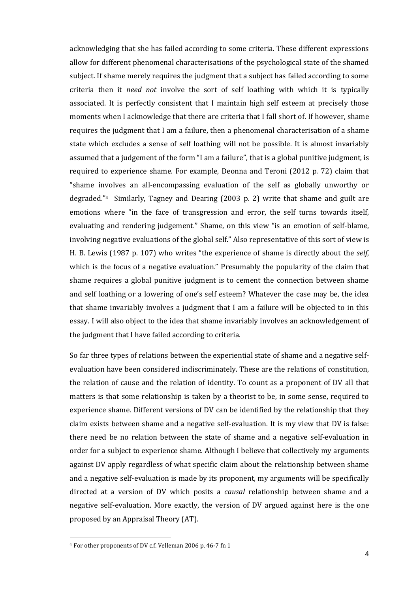acknowledging that she has failed according to some criteria. These different expressions allow for different phenomenal characterisations of the psychological state of the shamed subject. If shame merely requires the judgment that a subject has failed according to some criteria then it *need not* involve the sort of self loathing with which it is typically associated. It is perfectly consistent that I maintain high self esteem at precisely those moments when I acknowledge that there are criteria that I fall short of. If however, shame requires the judgment that I am a failure, then a phenomenal characterisation of a shame state which excludes a sense of self loathing will not be possible. It is almost invariably assumed that a judgement of the form "I am a failure", that is a global punitive judgment, is required to experience shame. For example, Deonna and Teroni (2012 p. 72) claim that "shame involves an all-encompassing evaluation of the self as globally unworthy or degraded." <sup>4</sup> Similarly, Tagney and Dearing (2003 p. 2) write that shame and guilt are emotions where "in the face of transgression and error, the self turns towards itself, evaluating and rendering judgement." Shame, on this view "is an emotion of self-blame, involving negative evaluations of the global self." Also representative of this sort of view is H. B. Lewis (1987 p. 107) who writes "the experience of shame is directly about the *self*, which is the focus of a negative evaluation." Presumably the popularity of the claim that shame requires a global punitive judgment is to cement the connection between shame and self loathing or a lowering of one's self esteem? Whatever the case may be, the idea that shame invariably involves a judgment that I am a failure will be objected to in this essay. I will also object to the idea that shame invariably involves an acknowledgement of the judgment that I have failed according to criteria.

So far three types of relations between the experiential state of shame and a negative selfevaluation have been considered indiscriminately. These are the relations of constitution, the relation of cause and the relation of identity. To count as a proponent of DV all that matters is that some relationship is taken by a theorist to be, in some sense, required to experience shame. Different versions of DV can be identified by the relationship that they claim exists between shame and a negative self-evaluation. It is my view that DV is false: there need be no relation between the state of shame and a negative self-evaluation in order for a subject to experience shame. Although I believe that collectively my arguments against DV apply regardless of what specific claim about the relationship between shame and a negative self-evaluation is made by its proponent, my arguments will be specifically directed at a version of DV which posits a *causal* relationship between shame and a negative self-evaluation. More exactly, the version of DV argued against here is the one proposed by an Appraisal Theory (AT).

<sup>4</sup> For other proponents of DV c.f. Velleman 2006 p. 46-7 fn 1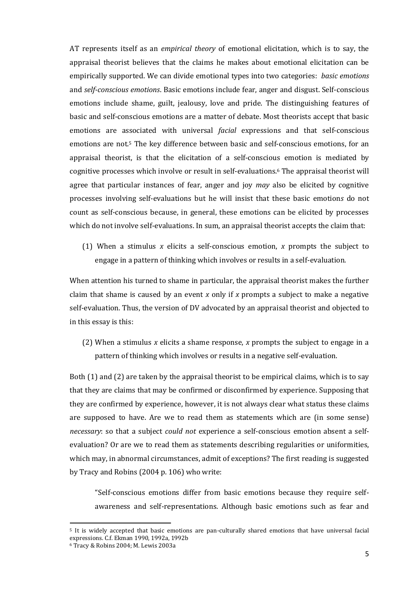AT represents itself as an *empirical theory* of emotional elicitation, which is to say, the appraisal theorist believes that the claims he makes about emotional elicitation can be empirically supported. We can divide emotional types into two categories: *basic emotions* and *self-conscious emotions*. Basic emotions include fear, anger and disgust. Self-conscious emotions include shame, guilt, jealousy, love and pride. The distinguishing features of basic and self-conscious emotions are a matter of debate. Most theorists accept that basic emotions are associated with universal *facial* expressions and that self-conscious emotions are not. <sup>5</sup> The key difference between basic and self-conscious emotions, for an appraisal theorist, is that the elicitation of a self-conscious emotion is mediated by cognitive processes which involve or result in self-evaluations.<sup>6</sup> The appraisal theorist will agree that particular instances of fear, anger and joy *may* also be elicited by cognitive processes involving self-evaluations but he will insist that these basic emotion*s* do not count as self-conscious because, in general, these emotions can be elicited by processes which do not involve self-evaluations. In sum, an appraisal theorist accepts the claim that:

(1) When a stimulus *x* elicits a self-conscious emotion, *x* prompts the subject to engage in a pattern of thinking which involves or results in a self-evaluation*.*

When attention his turned to shame in particular, the appraisal theorist makes the further claim that shame is caused by an event *x* only if *x* prompts a subject to make a negative self-evaluation. Thus, the version of DV advocated by an appraisal theorist and objected to in this essay is this:

(2) When a stimulus *x* elicits a shame response, *x* prompts the subject to engage in a pattern of thinking which involves or results in a negative self-evaluation.

Both (1) and (2) are taken by the appraisal theorist to be empirical claims, which is to say that they are claims that may be confirmed or disconfirmed by experience. Supposing that they are confirmed by experience, however, it is not always clear what status these claims are supposed to have. Are we to read them as statements which are (in some sense) *necessary*: so that a subject *could not* experience a self-conscious emotion absent a selfevaluation? Or are we to read them as statements describing regularities or uniformities, which may, in abnormal circumstances, admit of exceptions? The first reading is suggested by Tracy and Robins (2004 p. 106) who write:

"Self-conscious emotions differ from basic emotions because they require selfawareness and self-representations. Although basic emotions such as fear and

<sup>5</sup> It is widely accepted that basic emotions are pan-culturally shared emotions that have universal facial expressions. C.f. Ekman 1990, 1992a, 1992b

<sup>6</sup> Tracy & Robins 2004; M. Lewis 2003a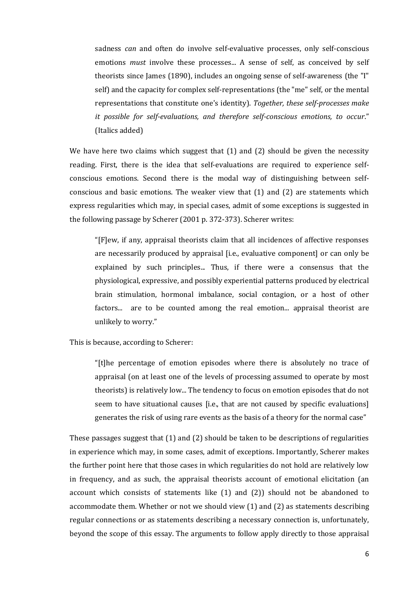sadness *can* and often do involve self-evaluative processes, only self-conscious emotions *must* involve these processes... A sense of self, as conceived by self theorists since James (1890), includes an ongoing sense of self-awareness (the "I" self) and the capacity for complex self-representations (the "me" self, or the mental representations that constitute one's identity). *Together, these self-processes make it possible for self-evaluations, and therefore self-conscious emotions, to occur*." (Italics added)

We have here two claims which suggest that (1) and (2) should be given the necessity reading. First, there is the idea that self-evaluations are required to experience selfconscious emotions. Second there is the modal way of distinguishing between selfconscious and basic emotions. The weaker view that (1) and (2) are statements which express regularities which may, in special cases, admit of some exceptions is suggested in the following passage by Scherer (2001 p. 372-373). Scherer writes:

"[F]ew, if any, appraisal theorists claim that all incidences of affective responses are necessarily produced by appraisal [i.e., evaluative component] or can only be explained by such principles... Thus, if there were a consensus that the physiological, expressive, and possibly experiential patterns produced by electrical brain stimulation, hormonal imbalance, social contagion, or a host of other factors... are to be counted among the real emotion... appraisal theorist are unlikely to worry."

This is because, according to Scherer:

"[t]he percentage of emotion episodes where there is absolutely no trace of appraisal (on at least one of the levels of processing assumed to operate by most theorists) is relatively low... The tendency to focus on emotion episodes that do not seem to have situational causes [i.e., that are not caused by specific evaluations] generates the risk of using rare events as the basis of a theory for the normal case"

These passages suggest that (1) and (2) should be taken to be descriptions of regularities in experience which may, in some cases, admit of exceptions. Importantly, Scherer makes the further point here that those cases in which regularities do not hold are relatively low in frequency, and as such, the appraisal theorists account of emotional elicitation (an account which consists of statements like (1) and (2)) should not be abandoned to accommodate them. Whether or not we should view (1) and (2) as statements describing regular connections or as statements describing a necessary connection is, unfortunately, beyond the scope of this essay. The arguments to follow apply directly to those appraisal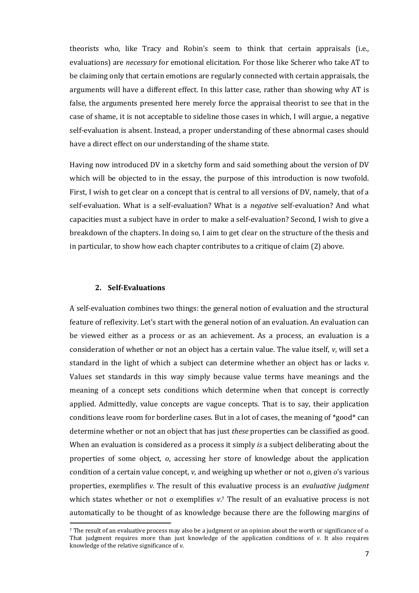theorists who, like Tracy and Robin's seem to think that certain appraisals (i.e., evaluations) are *necessary* for emotional elicitation. For those like Scherer who take AT to be claiming only that certain emotions are regularly connected with certain appraisals, the arguments will have a different effect. In this latter case, rather than showing why AT is false, the arguments presented here merely force the appraisal theorist to see that in the case of shame, it is not acceptable to sideline those cases in which, I will argue, a negative self-evaluation is absent. Instead, a proper understanding of these abnormal cases should have a direct effect on our understanding of the shame state.

Having now introduced DV in a sketchy form and said something about the version of DV which will be objected to in the essay, the purpose of this introduction is now twofold. First, I wish to get clear on a concept that is central to all versions of DV, namely, that of a self-evaluation. What is a self-evaluation? What is a *negative* self-evaluation? And what capacities must a subject have in order to make a self-evaluation? Second, I wish to give a breakdown of the chapters. In doing so, I aim to get clear on the structure of the thesis and in particular, to show how each chapter contributes to a critique of claim (2) above.

#### **2. Self-Evaluations**

 $\overline{a}$ 

A self-evaluation combines two things: the general notion of evaluation and the structural feature of reflexivity. Let's start with the general notion of an evaluation. An evaluation can be viewed either as a process or as an achievement. As a process, an evaluation is a consideration of whether or not an object has a certain value. The value itself, *v*, will set a standard in the light of which a subject can determine whether an object has or lacks *v*. Values set standards in this way simply because value terms have meanings and the meaning of a concept sets conditions which determine when that concept is correctly applied. Admittedly, value concepts are vague concepts. That is to say, their application conditions leave room for borderline cases. But in a lot of cases, the meaning of \*good\* can determine whether or not an object that has just *these* properties can be classified as good. When an evaluation is considered as a process it simply *is* a subject deliberating about the properties of some object, *o*, accessing her store of knowledge about the application condition of a certain value concept, *v*, and weighing up whether or not *o*, given *o*'s various properties, exemplifies *v*. The result of this evaluative process is an *evaluative judgment* which states whether or not *o* exemplifies *v*.<sup>7</sup> The result of an evaluative process is not automatically to be thought of as knowledge because there are the following margins of

<sup>7</sup> The result of an evaluative process may also be a judgment or an opinion about the worth or significance of *o.* That judgment requires more than just knowledge of the application conditions of *v*. It also requires knowledge of the relative significance of *v*.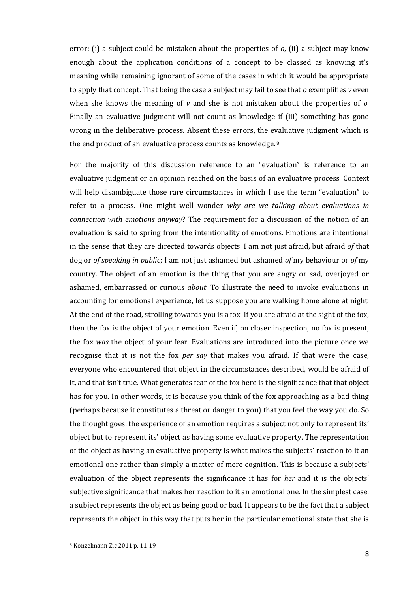error: (i) a subject could be mistaken about the properties of *o*, (ii) a subject may know enough about the application conditions of a concept to be classed as knowing it's meaning while remaining ignorant of some of the cases in which it would be appropriate to apply that concept. That being the case a subject may fail to see that *o* exemplifies *v* even when she knows the meaning of *v* and she is not mistaken about the properties of *o*. Finally an evaluative judgment will not count as knowledge if (iii) something has gone wrong in the deliberative process. Absent these errors, the evaluative judgment which is the end product of an evaluative process counts as knowledge. <sup>8</sup>

For the majority of this discussion reference to an "evaluation" is reference to an evaluative judgment or an opinion reached on the basis of an evaluative process. Context will help disambiguate those rare circumstances in which I use the term "evaluation" to refer to a process. One might well wonder *why are we talking about evaluations in connection with emotions anyway*? The requirement for a discussion of the notion of an evaluation is said to spring from the intentionality of emotions. Emotions are intentional in the sense that they are directed towards objects. I am not just afraid, but afraid *of* that dog or *of speaking in public*; I am not just ashamed but ashamed *of* my behaviour or *of* my country. The object of an emotion is the thing that you are angry or sad, overjoyed or ashamed, embarrassed or curious *about*. To illustrate the need to invoke evaluations in accounting for emotional experience, let us suppose you are walking home alone at night. At the end of the road, strolling towards you is a fox. If you are afraid at the sight of the fox, then the fox is the object of your emotion. Even if, on closer inspection, no fox is present, the fox *was* the object of your fear. Evaluations are introduced into the picture once we recognise that it is not the fox *per say* that makes you afraid. If that were the case, everyone who encountered that object in the circumstances described, would be afraid of it, and that isn't true. What generates fear of the fox here is the significance that that object has for you. In other words, it is because you think of the fox approaching as a bad thing (perhaps because it constitutes a threat or danger to you) that you feel the way you do. So the thought goes, the experience of an emotion requires a subject not only to represent its' object but to represent its' object as having some evaluative property. The representation of the object as having an evaluative property is what makes the subjects' reaction to it an emotional one rather than simply a matter of mere cognition. This is because a subjects' evaluation of the object represents the significance it has for *her* and it is the objects' subjective significance that makes her reaction to it an emotional one. In the simplest case, a subject represents the object as being good or bad. It appears to be the fact that a subject represents the object in this way that puts her in the particular emotional state that she is

<sup>8</sup> Konzelmann Zic 2011 p. 11-19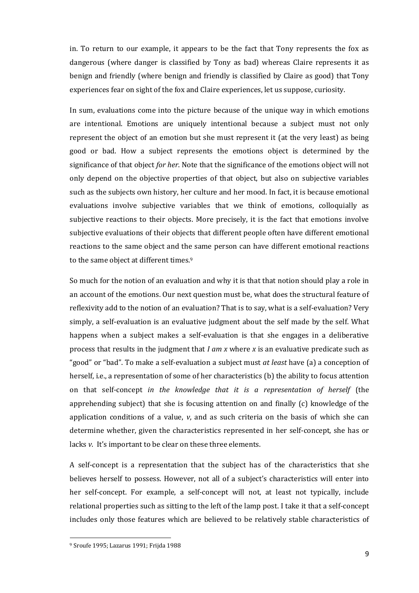in. To return to our example, it appears to be the fact that Tony represents the fox as dangerous (where danger is classified by Tony as bad) whereas Claire represents it as benign and friendly (where benign and friendly is classified by Claire as good) that Tony experiences fear on sight of the fox and Claire experiences, let us suppose, curiosity.

In sum, evaluations come into the picture because of the unique way in which emotions are intentional. Emotions are uniquely intentional because a subject must not only represent the object of an emotion but she must represent it (at the very least) as being good or bad. How a subject represents the emotions object is determined by the significance of that object *for her*. Note that the significance of the emotions object will not only depend on the objective properties of that object, but also on subjective variables such as the subjects own history, her culture and her mood. In fact, it is because emotional evaluations involve subjective variables that we think of emotions, colloquially as subjective reactions to their objects. More precisely, it is the fact that emotions involve subjective evaluations of their objects that different people often have different emotional reactions to the same object and the same person can have different emotional reactions to the same object at different times. 9

So much for the notion of an evaluation and why it is that that notion should play a role in an account of the emotions. Our next question must be, what does the structural feature of reflexivity add to the notion of an evaluation? That is to say, what is a self-evaluation? Very simply, a self-evaluation is an evaluative judgment about the self made by the self. What happens when a subject makes a self-evaluation is that she engages in a deliberative process that results in the judgment that *I am x* where *x* is an evaluative predicate such as "good" or "bad". To make a self-evaluation a subject must *at least* have (a) a conception of herself, i.e., a representation of some of her characteristics (b) the ability to focus attention on that self-concept *in the knowledge that it is a representation of herself* (the apprehending subject) that she is focusing attention on and finally (c) knowledge of the application conditions of a value, *v*, and as such criteria on the basis of which she can determine whether, given the characteristics represented in her self-concept, she has or lacks *v*. It's important to be clear on these three elements.

A self-concept is a representation that the subject has of the characteristics that she believes herself to possess. However, not all of a subject's characteristics will enter into her self-concept. For example, a self-concept will not, at least not typically, include relational properties such as sitting to the left of the lamp post. I take it that a self-concept includes only those features which are believed to be relatively stable characteristics of

<sup>9</sup> Sroufe 1995; Lazarus 1991; Frijda 1988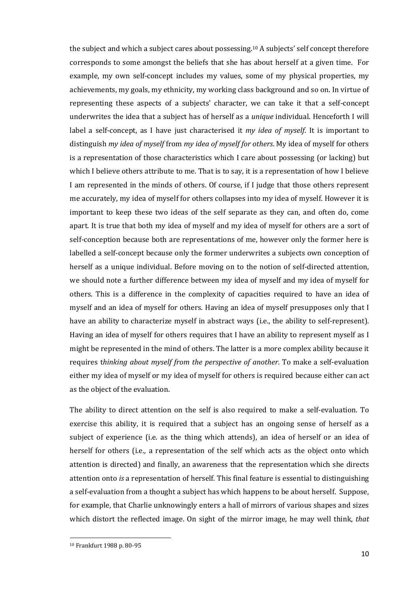the subject and which a subject cares about possessing. <sup>10</sup> A subjects' self concept therefore corresponds to some amongst the beliefs that she has about herself at a given time. For example, my own self-concept includes my values, some of my physical properties, my achievements, my goals, my ethnicity, my working class background and so on. In virtue of representing these aspects of a subjects' character, we can take it that a self-concept underwrites the idea that a subject has of herself as a *unique* individual. Henceforth I will label a self-concept, as I have just characterised it *my idea of myself*. It is important to distinguish *my idea of myself* from *my idea of myself for others*. My idea of myself for others is a representation of those characteristics which I care about possessing (or lacking) but which I believe others attribute to me. That is to say, it is a representation of how I believe I am represented in the minds of others. Of course, if I judge that those others represent me accurately, my idea of myself for others collapses into my idea of myself. However it is important to keep these two ideas of the self separate as they can, and often do, come apart. It is true that both my idea of myself and my idea of myself for others are a sort of self-conception because both are representations of me, however only the former here is labelled a self-concept because only the former underwrites a subjects own conception of herself as a unique individual. Before moving on to the notion of self-directed attention, we should note a further difference between my idea of myself and my idea of myself for others. This is a difference in the complexity of capacities required to have an idea of myself and an idea of myself for others. Having an idea of myself presupposes only that I have an ability to characterize myself in abstract ways (i.e., the ability to self-represent). Having an idea of myself for others requires that I have an ability to represent myself as I might be represented in the mind of others. The latter is a more complex ability because it requires t*hinking about myself from the perspective of another*. To make a self-evaluation either my idea of myself or my idea of myself for others is required because either can act as the object of the evaluation.

The ability to direct attention on the self is also required to make a self-evaluation. To exercise this ability, it is required that a subject has an ongoing sense of herself as a subject of experience (i.e. as the thing which attends), an idea of herself or an idea of herself for others (i.e., a representation of the self which acts as the object onto which attention is directed) and finally, an awareness that the representation which she directs attention onto *is* a representation of herself. This final feature is essential to distinguishing a self-evaluation from a thought a subject has which happens to be about herself. Suppose, for example, that Charlie unknowingly enters a hall of mirrors of various shapes and sizes which distort the reflected image. On sight of the mirror image, he may well think, *that* 

<sup>10</sup> Frankfurt 1988 p. 80-95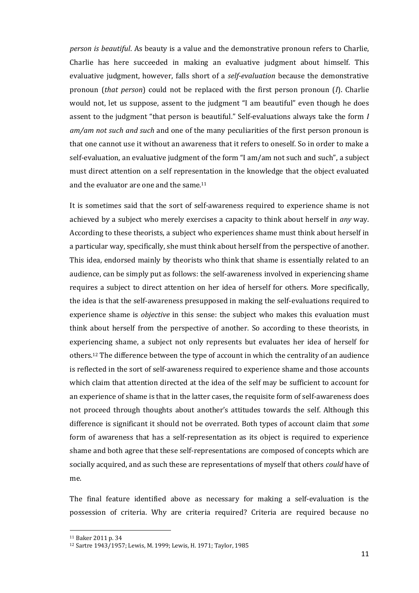*person is beautiful*. As beauty is a value and the demonstrative pronoun refers to Charlie, Charlie has here succeeded in making an evaluative judgment about himself. This evaluative judgment, however, falls short of a *self-evaluation* because the demonstrative pronoun (*that person*) could not be replaced with the first person pronoun (*I*). Charlie would not, let us suppose, assent to the judgment "I am beautiful" even though he does assent to the judgment "that person is beautiful." Self-evaluations always take the form *I am/am not such and such* and one of the many peculiarities of the first person pronoun is that one cannot use it without an awareness that it refers to oneself. So in order to make a self-evaluation, an evaluative judgment of the form "I am/am not such and such", a subject must direct attention on a self representation in the knowledge that the object evaluated and the evaluator are one and the same.<sup>11</sup>

It is sometimes said that the sort of self-awareness required to experience shame is not achieved by a subject who merely exercises a capacity to think about herself in *any* way. According to these theorists, a subject who experiences shame must think about herself in a particular way, specifically, she must think about herself from the perspective of another. This idea, endorsed mainly by theorists who think that shame is essentially related to an audience, can be simply put as follows: the self-awareness involved in experiencing shame requires a subject to direct attention on her idea of herself for others. More specifically, the idea is that the self-awareness presupposed in making the self-evaluations required to experience shame is *objective* in this sense: the subject who makes this evaluation must think about herself from the perspective of another. So according to these theorists, in experiencing shame, a subject not only represents but evaluates her idea of herself for others. <sup>12</sup> The difference between the type of account in which the centrality of an audience is reflected in the sort of self-awareness required to experience shame and those accounts which claim that attention directed at the idea of the self may be sufficient to account for an experience of shame is that in the latter cases, the requisite form of self-awareness does not proceed through thoughts about another's attitudes towards the self. Although this difference is significant it should not be overrated. Both types of account claim that *some* form of awareness that has a self-representation as its object is required to experience shame and both agree that these self-representations are composed of concepts which are socially acquired, and as such these are representations of myself that others *could* have of me.

The final feature identified above as necessary for making a self-evaluation is the possession of criteria. Why are criteria required? Criteria are required because no

<sup>11</sup> Baker 2011 p. 34

<sup>12</sup> Sartre 1943/1957; Lewis, M. 1999; Lewis, H. 1971; Taylor, 1985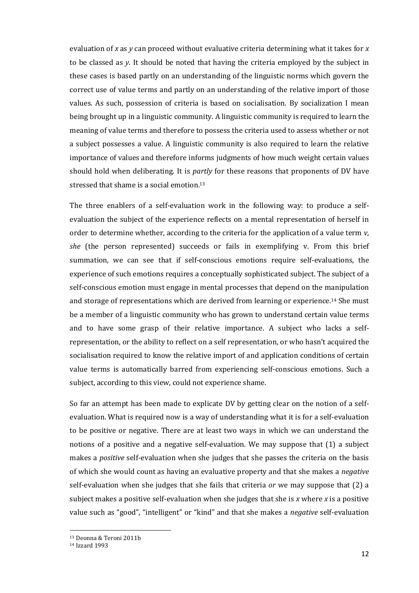evaluation of *x* as *y* can proceed without evaluative criteria determining what it takes for *x* to be classed as *y*. It should be noted that having the criteria employed by the subject in these cases is based partly on an understanding of the linguistic norms which govern the correct use of value terms and partly on an understanding of the relative import of those values. As such, possession of criteria is based on socialisation. By socialization I mean being brought up in a linguistic community. A linguistic community is required to learn the meaning of value terms and therefore to possess the criteria used to assess whether or not a subject possesses a value. A linguistic community is also required to learn the relative importance of values and therefore informs judgments of how much weight certain values should hold when deliberating. It is *partly* for these reasons that proponents of DV have stressed that shame is a social emotion. 13

The three enablers of a self-evaluation work in the following way: to produce a selfevaluation the subject of the experience reflects on a mental representation of herself in order to determine whether, according to the criteria for the application of a value term *v*, *she* (the person represented) succeeds or fails in exemplifying v. From this brief summation, we can see that if self-conscious emotions require self-evaluations, the experience of such emotions requires a conceptually sophisticated subject. The subject of a self-conscious emotion must engage in mental processes that depend on the manipulation and storage of representations which are derived from learning or experience. <sup>14</sup> She must be a member of a linguistic community who has grown to understand certain value terms and to have some grasp of their relative importance. A subject who lacks a selfrepresentation, or the ability to reflect on a self representation, or who hasn't acquired the socialisation required to know the relative import of and application conditions of certain value terms is automatically barred from experiencing self-conscious emotions. Such a subject, according to this view, could not experience shame.

So far an attempt has been made to explicate DV by getting clear on the notion of a selfevaluation. What is required now is a way of understanding what it is for a self-evaluation to be positive or negative. There are at least two ways in which we can understand the notions of a positive and a negative self-evaluation. We may suppose that (1) a subject makes a *positive* self-evaluation when she judges that she passes the criteria on the basis of which she would count as having an evaluative property and that she makes a *negative* self-evaluation when she judges that she fails that criteria *or* we may suppose that (2) a subject makes a positive self-evaluation when she judges that she is *x* where *x* is a positive value such as "good", "intelligent" or "kind" and that she makes a *negative* self-evaluation

<sup>13</sup> Deonna & Teroni 2011b

<sup>14</sup> Izzard 1993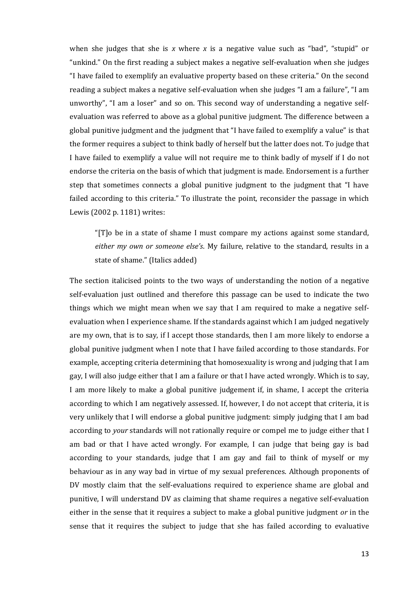when she judges that she is *x* where *x* is a negative value such as "bad", "stupid" or "unkind." On the first reading a subject makes a negative self-evaluation when she judges "I have failed to exemplify an evaluative property based on these criteria." On the second reading a subject makes a negative self-evaluation when she judges "I am a failure", "I am unworthy", "I am a loser" and so on. This second way of understanding a negative selfevaluation was referred to above as a global punitive judgment. The difference between a global punitive judgment and the judgment that "I have failed to exemplify a value" is that the former requires a subject to think badly of herself but the latter does not. To judge that I have failed to exemplify a value will not require me to think badly of myself if I do not endorse the criteria on the basis of which that judgment is made. Endorsement is a further step that sometimes connects a global punitive judgment to the judgment that "I have failed according to this criteria." To illustrate the point, reconsider the passage in which Lewis (2002 p. 1181) writes:

"[T]o be in a state of shame I must compare my actions against some standard, *either my own or someone else's*. My failure, relative to the standard, results in a state of shame." (Italics added)

The section italicised points to the two ways of understanding the notion of a negative self-evaluation just outlined and therefore this passage can be used to indicate the two things which we might mean when we say that I am required to make a negative selfevaluation when I experience shame. If the standards against which I am judged negatively are my own, that is to say, if I accept those standards, then I am more likely to endorse a global punitive judgment when I note that I have failed according to those standards. For example, accepting criteria determining that homosexuality is wrong and judging that I am gay, I will also judge either that I am a failure or that I have acted wrongly. Which is to say, I am more likely to make a global punitive judgement if, in shame, I accept the criteria according to which I am negatively assessed. If, however, I do not accept that criteria, it is very unlikely that I will endorse a global punitive judgment: simply judging that I am bad according to *your* standards will not rationally require or compel me to judge either that I am bad or that I have acted wrongly. For example, I can judge that being gay is bad according to your standards, judge that I am gay and fail to think of myself or my behaviour as in any way bad in virtue of my sexual preferences. Although proponents of DV mostly claim that the self-evaluations required to experience shame are global and punitive, I will understand DV as claiming that shame requires a negative self-evaluation either in the sense that it requires a subject to make a global punitive judgment *or* in the sense that it requires the subject to judge that she has failed according to evaluative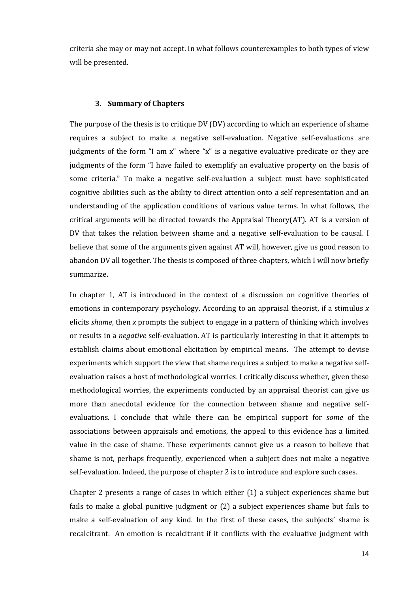criteria she may or may not accept. In what follows counterexamples to both types of view will be presented.

#### **3. Summary of Chapters**

The purpose of the thesis is to critique DV (DV) according to which an experience of shame requires a subject to make a negative self-evaluation. Negative self-evaluations are judgments of the form "I am x" where "x" is a negative evaluative predicate or they are judgments of the form "I have failed to exemplify an evaluative property on the basis of some criteria." To make a negative self-evaluation a subject must have sophisticated cognitive abilities such as the ability to direct attention onto a self representation and an understanding of the application conditions of various value terms. In what follows, the critical arguments will be directed towards the Appraisal Theory(AT). AT is a version of DV that takes the relation between shame and a negative self-evaluation to be causal. I believe that some of the arguments given against AT will, however, give us good reason to abandon DV all together. The thesis is composed of three chapters, which I will now briefly summarize.

In chapter 1, AT is introduced in the context of a discussion on cognitive theories of emotions in contemporary psychology. According to an appraisal theorist, if a stimulus *x* elicits *shame*, then *x* prompts the subject to engage in a pattern of thinking which involves or results in a *negative* self-evaluation. AT is particularly interesting in that it attempts to establish claims about emotional elicitation by empirical means. The attempt to devise experiments which support the view that shame requires a subject to make a negative selfevaluation raises a host of methodological worries. I critically discuss whether, given these methodological worries, the experiments conducted by an appraisal theorist can give us more than anecdotal evidence for the connection between shame and negative selfevaluations. I conclude that while there can be empirical support for *some* of the associations between appraisals and emotions, the appeal to this evidence has a limited value in the case of shame. These experiments cannot give us a reason to believe that shame is not, perhaps frequently, experienced when a subject does not make a negative self-evaluation. Indeed, the purpose of chapter 2 is to introduce and explore such cases.

Chapter 2 presents a range of cases in which either (1) a subject experiences shame but fails to make a global punitive judgment or (2) a subject experiences shame but fails to make a self-evaluation of any kind. In the first of these cases, the subjects' shame is recalcitrant. An emotion is recalcitrant if it conflicts with the evaluative judgment with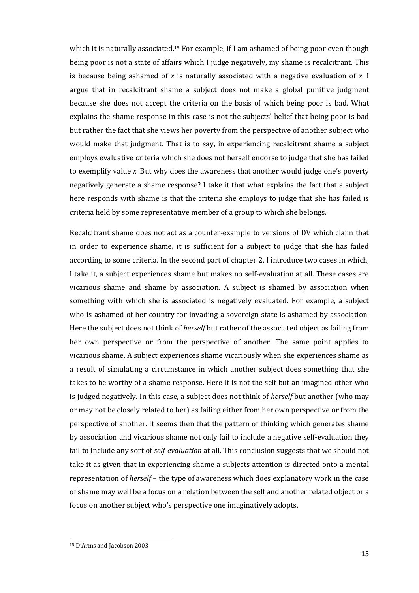which it is naturally associated.<sup>15</sup> For example, if I am ashamed of being poor even though being poor is not a state of affairs which I judge negatively, my shame is recalcitrant. This is because being ashamed of *x* is naturally associated with a negative evaluation of *x*. I argue that in recalcitrant shame a subject does not make a global punitive judgment because she does not accept the criteria on the basis of which being poor is bad. What explains the shame response in this case is not the subjects' belief that being poor is bad but rather the fact that she views her poverty from the perspective of another subject who would make that judgment. That is to say, in experiencing recalcitrant shame a subject employs evaluative criteria which she does not herself endorse to judge that she has failed to exemplify value *x*. But why does the awareness that another would judge one's poverty negatively generate a shame response? I take it that what explains the fact that a subject here responds with shame is that the criteria she employs to judge that she has failed is criteria held by some representative member of a group to which she belongs.

Recalcitrant shame does not act as a counter-example to versions of DV which claim that in order to experience shame, it is sufficient for a subject to judge that she has failed according to some criteria. In the second part of chapter 2, I introduce two cases in which, I take it, a subject experiences shame but makes no self-evaluation at all. These cases are vicarious shame and shame by association. A subject is shamed by association when something with which she is associated is negatively evaluated. For example, a subject who is ashamed of her country for invading a sovereign state is ashamed by association. Here the subject does not think of *herself* but rather of the associated object as failing from her own perspective or from the perspective of another. The same point applies to vicarious shame. A subject experiences shame vicariously when she experiences shame as a result of simulating a circumstance in which another subject does something that she takes to be worthy of a shame response. Here it is not the self but an imagined other who is judged negatively. In this case, a subject does not think of *herself* but another (who may or may not be closely related to her) as failing either from her own perspective or from the perspective of another. It seems then that the pattern of thinking which generates shame by association and vicarious shame not only fail to include a negative self-evaluation they fail to include any sort of *self-evaluation* at all. This conclusion suggests that we should not take it as given that in experiencing shame a subjects attention is directed onto a mental representation of *herself* – the type of awareness which does explanatory work in the case of shame may well be a focus on a relation between the self and another related object or a focus on another subject who's perspective one imaginatively adopts.

<sup>15</sup> D'Arms and Jacobson 2003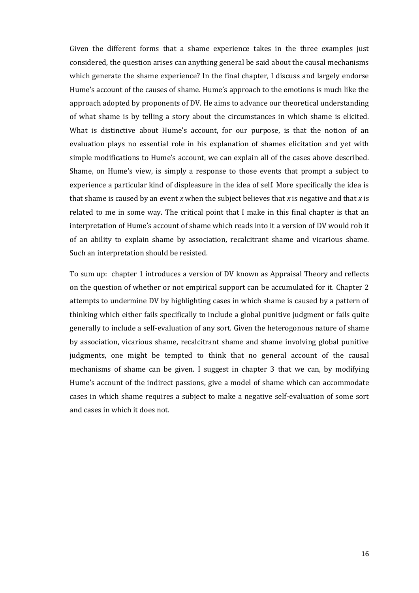Given the different forms that a shame experience takes in the three examples just considered, the question arises can anything general be said about the causal mechanisms which generate the shame experience? In the final chapter, I discuss and largely endorse Hume's account of the causes of shame. Hume's approach to the emotions is much like the approach adopted by proponents of DV. He aims to advance our theoretical understanding of what shame is by telling a story about the circumstances in which shame is elicited. What is distinctive about Hume's account, for our purpose, is that the notion of an evaluation plays no essential role in his explanation of shames elicitation and yet with simple modifications to Hume's account, we can explain all of the cases above described. Shame, on Hume's view, is simply a response to those events that prompt a subject to experience a particular kind of displeasure in the idea of self. More specifically the idea is that shame is caused by an event *x* when the subject believes that *x* is negative and that *x* is related to me in some way. The critical point that I make in this final chapter is that an interpretation of Hume's account of shame which reads into it a version of DV would rob it of an ability to explain shame by association, recalcitrant shame and vicarious shame. Such an interpretation should be resisted.

To sum up: chapter 1 introduces a version of DV known as Appraisal Theory and reflects on the question of whether or not empirical support can be accumulated for it. Chapter 2 attempts to undermine DV by highlighting cases in which shame is caused by a pattern of thinking which either fails specifically to include a global punitive judgment or fails quite generally to include a self-evaluation of any sort. Given the heterogonous nature of shame by association, vicarious shame, recalcitrant shame and shame involving global punitive judgments, one might be tempted to think that no general account of the causal mechanisms of shame can be given. I suggest in chapter 3 that we can, by modifying Hume's account of the indirect passions, give a model of shame which can accommodate cases in which shame requires a subject to make a negative self-evaluation of some sort and cases in which it does not.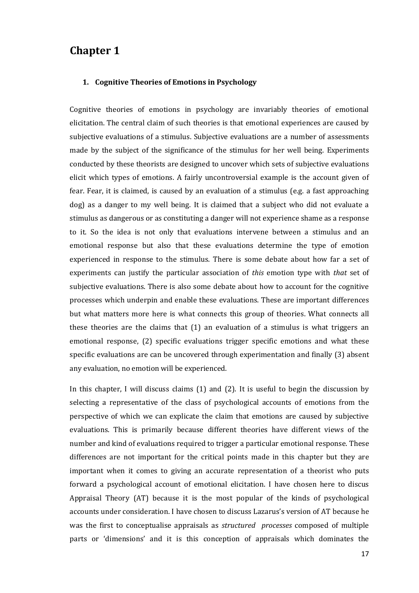### **Chapter 1**

#### **1. Cognitive Theories of Emotions in Psychology**

Cognitive theories of emotions in psychology are invariably theories of emotional elicitation. The central claim of such theories is that emotional experiences are caused by subjective evaluations of a stimulus. Subjective evaluations are a number of assessments made by the subject of the significance of the stimulus for her well being. Experiments conducted by these theorists are designed to uncover which sets of subjective evaluations elicit which types of emotions. A fairly uncontroversial example is the account given of fear. Fear, it is claimed, is caused by an evaluation of a stimulus (e.g. a fast approaching dog) as a danger to my well being. It is claimed that a subject who did not evaluate a stimulus as dangerous or as constituting a danger will not experience shame as a response to it. So the idea is not only that evaluations intervene between a stimulus and an emotional response but also that these evaluations determine the type of emotion experienced in response to the stimulus. There is some debate about how far a set of experiments can justify the particular association of *this* emotion type with *that* set of subjective evaluations. There is also some debate about how to account for the cognitive processes which underpin and enable these evaluations. These are important differences but what matters more here is what connects this group of theories. What connects all these theories are the claims that (1) an evaluation of a stimulus is what triggers an emotional response, (2) specific evaluations trigger specific emotions and what these specific evaluations are can be uncovered through experimentation and finally (3) absent any evaluation, no emotion will be experienced.

In this chapter, I will discuss claims (1) and (2). It is useful to begin the discussion by selecting a representative of the class of psychological accounts of emotions from the perspective of which we can explicate the claim that emotions are caused by subjective evaluations. This is primarily because different theories have different views of the number and kind of evaluations required to trigger a particular emotional response. These differences are not important for the critical points made in this chapter but they are important when it comes to giving an accurate representation of a theorist who puts forward a psychological account of emotional elicitation. I have chosen here to discus Appraisal Theory (AT) because it is the most popular of the kinds of psychological accounts under consideration. I have chosen to discuss Lazarus's version of AT because he was the first to conceptualise appraisals as *structured processes* composed of multiple parts or 'dimensions' and it is this conception of appraisals which dominates the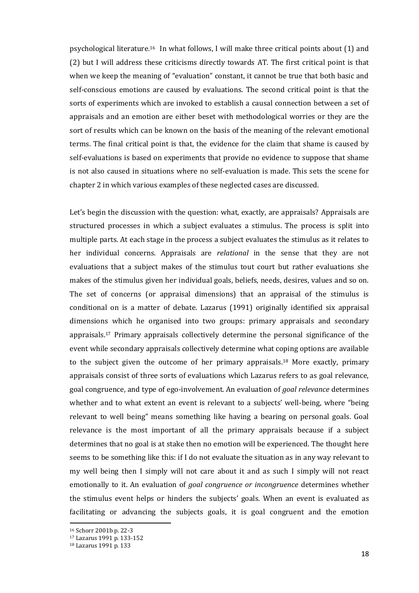psychological literature. <sup>16</sup> In what follows, I will make three critical points about (1) and (2) but I will address these criticisms directly towards AT. The first critical point is that when we keep the meaning of "evaluation" constant, it cannot be true that both basic and self-conscious emotions are caused by evaluations. The second critical point is that the sorts of experiments which are invoked to establish a causal connection between a set of appraisals and an emotion are either beset with methodological worries or they are the sort of results which can be known on the basis of the meaning of the relevant emotional terms. The final critical point is that, the evidence for the claim that shame is caused by self-evaluations is based on experiments that provide no evidence to suppose that shame is not also caused in situations where no self-evaluation is made. This sets the scene for chapter 2 in which various examples of these neglected cases are discussed.

Let's begin the discussion with the question: what, exactly, are appraisals? Appraisals are structured processes in which a subject evaluates a stimulus. The process is split into multiple parts. At each stage in the process a subject evaluates the stimulus as it relates to her individual concerns. Appraisals are *relational* in the sense that they are not evaluations that a subject makes of the stimulus tout court but rather evaluations she makes of the stimulus given her individual goals, beliefs, needs, desires, values and so on. The set of concerns (or appraisal dimensions) that an appraisal of the stimulus is conditional on is a matter of debate. Lazarus (1991) originally identified six appraisal dimensions which he organised into two groups: primary appraisals and secondary appraisals.<sup>17</sup> Primary appraisals collectively determine the personal significance of the event while secondary appraisals collectively determine what coping options are available to the subject given the outcome of her primary appraisals.<sup>18</sup> More exactly, primary appraisals consist of three sorts of evaluations which Lazarus refers to as goal relevance, goal congruence, and type of ego-involvement. An evaluation of *goal relevance* determines whether and to what extent an event is relevant to a subjects' well-being, where "being relevant to well being" means something like having a bearing on personal goals. Goal relevance is the most important of all the primary appraisals because if a subject determines that no goal is at stake then no emotion will be experienced. The thought here seems to be something like this: if I do not evaluate the situation as in any way relevant to my well being then I simply will not care about it and as such I simply will not react emotionally to it. An evaluation of *goal congruence or incongruence* determines whether the stimulus event helps or hinders the subjects' goals. When an event is evaluated as facilitating or advancing the subjects goals, it is goal congruent and the emotion

<sup>16</sup> Schorr 2001b p. 22-3

<sup>17</sup> Lazarus 1991 p. 133-152

<sup>18</sup> Lazarus 1991 p. 133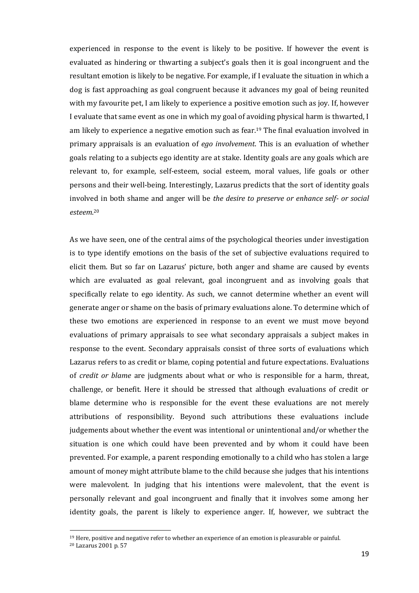experienced in response to the event is likely to be positive. If however the event is evaluated as hindering or thwarting a subject's goals then it is goal incongruent and the resultant emotion is likely to be negative. For example, if I evaluate the situation in which a dog is fast approaching as goal congruent because it advances my goal of being reunited with my favourite pet, I am likely to experience a positive emotion such as joy. If, however I evaluate that same event as one in which my goal of avoiding physical harm is thwarted, I am likely to experience a negative emotion such as fear.<sup>19</sup> The final evaluation involved in primary appraisals is an evaluation of *ego involvement*. This is an evaluation of whether goals relating to a subjects ego identity are at stake. Identity goals are any goals which are relevant to, for example, self-esteem, social esteem, moral values, life goals or other persons and their well-being. Interestingly, Lazarus predicts that the sort of identity goals involved in both shame and anger will be *the desire to preserve or enhance self- or social esteem*. 20

As we have seen, one of the central aims of the psychological theories under investigation is to type identify emotions on the basis of the set of subjective evaluations required to elicit them. But so far on Lazarus' picture, both anger and shame are caused by events which are evaluated as goal relevant, goal incongruent and as involving goals that specifically relate to ego identity. As such, we cannot determine whether an event will generate anger or shame on the basis of primary evaluations alone. To determine which of these two emotions are experienced in response to an event we must move beyond evaluations of primary appraisals to see what secondary appraisals a subject makes in response to the event. Secondary appraisals consist of three sorts of evaluations which Lazarus refers to as credit or blame, coping potential and future expectations. Evaluations of *credit or blame* are judgments about what or who is responsible for a harm, threat, challenge, or benefit. Here it should be stressed that although evaluations of credit or blame determine who is responsible for the event these evaluations are not merely attributions of responsibility. Beyond such attributions these evaluations include judgements about whether the event was intentional or unintentional and/or whether the situation is one which could have been prevented and by whom it could have been prevented. For example, a parent responding emotionally to a child who has stolen a large amount of money might attribute blame to the child because she judges that his intentions were malevolent. In judging that his intentions were malevolent, that the event is personally relevant and goal incongruent and finally that it involves some among her identity goals, the parent is likely to experience anger. If, however, we subtract the

<sup>19</sup> Here, positive and negative refer to whether an experience of an emotion is pleasurable or painful.

<sup>20</sup> Lazarus 2001 p. 57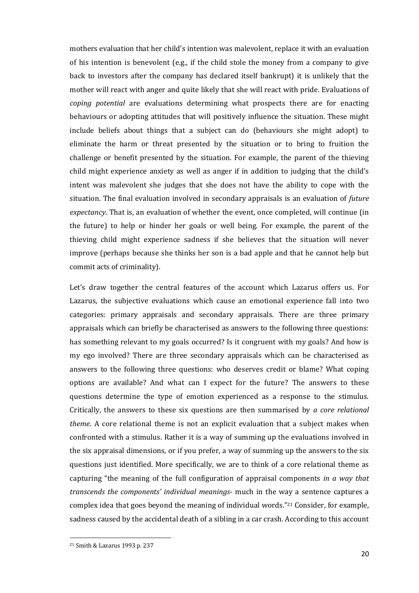mothers evaluation that her child's intention was malevolent, replace it with an evaluation of his intention is benevolent (e.g., if the child stole the money from a company to give back to investors after the company has declared itself bankrupt) it is unlikely that the mother will react with anger and quite likely that she will react with pride. Evaluations of *coping potential* are evaluations determining what prospects there are for enacting behaviours or adopting attitudes that will positively influence the situation. These might include beliefs about things that a subject can do (behaviours she might adopt) to eliminate the harm or threat presented by the situation or to bring to fruition the challenge or benefit presented by the situation. For example, the parent of the thieving child might experience anxiety as well as anger if in addition to judging that the child's intent was malevolent she judges that she does not have the ability to cope with the situation. The final evaluation involved in secondary appraisals is an evaluation of *future expectancy*. That is, an evaluation of whether the event, once completed, will continue (in the future) to help or hinder her goals or well being. For example, the parent of the thieving child might experience sadness if she believes that the situation will never improve (perhaps because she thinks her son is a bad apple and that he cannot help but commit acts of criminality).

Let's draw together the central features of the account which Lazarus offers us. For Lazarus, the subjective evaluations which cause an emotional experience fall into two categories: primary appraisals and secondary appraisals. There are three primary appraisals which can briefly be characterised as answers to the following three questions: has something relevant to my goals occurred? Is it congruent with my goals? And how is my ego involved? There are three secondary appraisals which can be characterised as answers to the following three questions: who deserves credit or blame? What coping options are available? And what can I expect for the future? The answers to these questions determine the type of emotion experienced as a response to the stimulus. Critically, the answers to these six questions are then summarised by *a core relational theme*. A core relational theme is not an explicit evaluation that a subject makes when confronted with a stimulus. Rather it is a way of summing up the evaluations involved in the six appraisal dimensions, or if you prefer, a way of summing up the answers to the six questions just identified. More specifically, we are to think of a core relational theme as capturing "the meaning of the full configuration of appraisal components *in a way that transcends the components' individual meanings*- much in the way a sentence captures a complex idea that goes beyond the meaning of individual words."<sup>21</sup> Consider, for example, sadness caused by the accidental death of a sibling in a car crash. According to this account

<sup>21</sup> Smith & Lazarus 1993 p. 237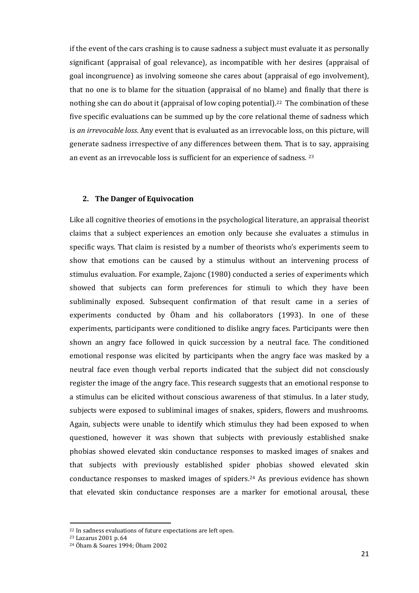if the event of the cars crashing is to cause sadness a subject must evaluate it as personally significant (appraisal of goal relevance), as incompatible with her desires (appraisal of goal incongruence) as involving someone she cares about (appraisal of ego involvement), that no one is to blame for the situation (appraisal of no blame) and finally that there is nothing she can do about it (appraisal of low coping potential).<sup>22</sup> The combination of these five specific evaluations can be summed up by the core relational theme of sadness which is *an irrevocable loss*. Any event that is evaluated as an irrevocable loss, on this picture, will generate sadness irrespective of any differences between them. That is to say, appraising an event as an irrevocable loss is sufficient for an experience of sadness. <sup>23</sup>

#### **2. The Danger of Equivocation**

Like all cognitive theories of emotions in the psychological literature, an appraisal theorist claims that a subject experiences an emotion only because she evaluates a stimulus in specific ways. That claim is resisted by a number of theorists who's experiments seem to show that emotions can be caused by a stimulus without an intervening process of stimulus evaluation. For example, Zajonc (1980) conducted a series of experiments which showed that subjects can form preferences for stimuli to which they have been subliminally exposed. Subsequent confirmation of that result came in a series of experiments conducted by Öham and his collaborators (1993). In one of these experiments, participants were conditioned to dislike angry faces. Participants were then shown an angry face followed in quick succession by a neutral face. The conditioned emotional response was elicited by participants when the angry face was masked by a neutral face even though verbal reports indicated that the subject did not consciously register the image of the angry face. This research suggests that an emotional response to a stimulus can be elicited without conscious awareness of that stimulus. In a later study, subjects were exposed to subliminal images of snakes, spiders, flowers and mushrooms. Again, subjects were unable to identify which stimulus they had been exposed to when questioned, however it was shown that subjects with previously established snake phobias showed elevated skin conductance responses to masked images of snakes and that subjects with previously established spider phobias showed elevated skin conductance responses to masked images of spiders.<sup>24</sup> As previous evidence has shown that elevated skin conductance responses are a marker for emotional arousal, these

<sup>22</sup> In sadness evaluations of future expectations are left open.

<sup>23</sup> Lazarus 2001 p. 64

<sup>24</sup> Öham & Soares 1994; Öham 2002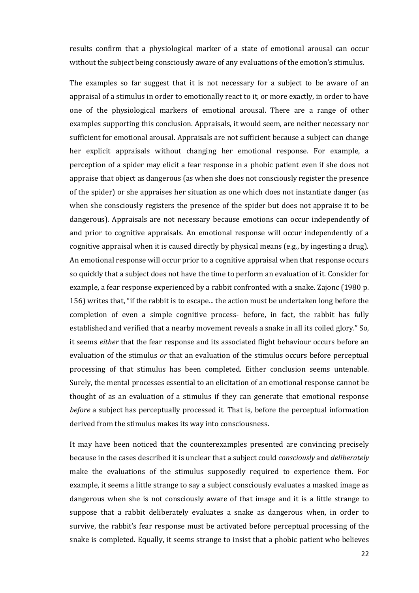results confirm that a physiological marker of a state of emotional arousal can occur without the subject being consciously aware of any evaluations of the emotion's stimulus.

The examples so far suggest that it is not necessary for a subject to be aware of an appraisal of a stimulus in order to emotionally react to it, or more exactly, in order to have one of the physiological markers of emotional arousal. There are a range of other examples supporting this conclusion. Appraisals, it would seem, are neither necessary nor sufficient for emotional arousal. Appraisals are not sufficient because a subject can change her explicit appraisals without changing her emotional response. For example, a perception of a spider may elicit a fear response in a phobic patient even if she does not appraise that object as dangerous (as when she does not consciously register the presence of the spider) or she appraises her situation as one which does not instantiate danger (as when she consciously registers the presence of the spider but does not appraise it to be dangerous). Appraisals are not necessary because emotions can occur independently of and prior to cognitive appraisals. An emotional response will occur independently of a cognitive appraisal when it is caused directly by physical means (e.g., by ingesting a drug). An emotional response will occur prior to a cognitive appraisal when that response occurs so quickly that a subject does not have the time to perform an evaluation of it. Consider for example, a fear response experienced by a rabbit confronted with a snake. Zajonc (1980 p. 156) writes that, "if the rabbit is to escape... the action must be undertaken long before the completion of even a simple cognitive process- before, in fact, the rabbit has fully established and verified that a nearby movement reveals a snake in all its coiled glory." So, it seems *either* that the fear response and its associated flight behaviour occurs before an evaluation of the stimulus *or* that an evaluation of the stimulus occurs before perceptual processing of that stimulus has been completed. Either conclusion seems untenable. Surely, the mental processes essential to an elicitation of an emotional response cannot be thought of as an evaluation of a stimulus if they can generate that emotional response *before* a subject has perceptually processed it. That is, before the perceptual information derived from the stimulus makes its way into consciousness.

It may have been noticed that the counterexamples presented are convincing precisely because in the cases described it is unclear that a subject could *consciously* and *deliberately* make the evaluations of the stimulus supposedly required to experience them. For example, it seems a little strange to say a subject consciously evaluates a masked image as dangerous when she is not consciously aware of that image and it is a little strange to suppose that a rabbit deliberately evaluates a snake as dangerous when, in order to survive, the rabbit's fear response must be activated before perceptual processing of the snake is completed. Equally, it seems strange to insist that a phobic patient who believes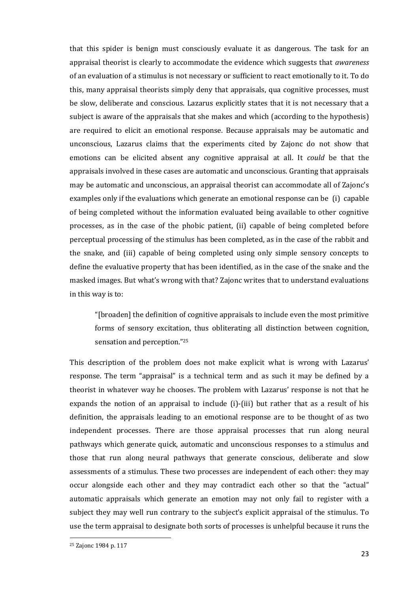that this spider is benign must consciously evaluate it as dangerous. The task for an appraisal theorist is clearly to accommodate the evidence which suggests that *awareness*  of an evaluation of a stimulus is not necessary or sufficient to react emotionally to it. To do this, many appraisal theorists simply deny that appraisals, qua cognitive processes, must be slow, deliberate and conscious. Lazarus explicitly states that it is not necessary that a subject is aware of the appraisals that she makes and which (according to the hypothesis) are required to elicit an emotional response. Because appraisals may be automatic and unconscious, Lazarus claims that the experiments cited by Zajonc do not show that emotions can be elicited absent any cognitive appraisal at all. It *could* be that the appraisals involved in these cases are automatic and unconscious. Granting that appraisals may be automatic and unconscious, an appraisal theorist can accommodate all of Zajonc's examples only if the evaluations which generate an emotional response can be (i) capable of being completed without the information evaluated being available to other cognitive processes, as in the case of the phobic patient, (ii) capable of being completed before perceptual processing of the stimulus has been completed, as in the case of the rabbit and the snake, and (iii) capable of being completed using only simple sensory concepts to define the evaluative property that has been identified, as in the case of the snake and the masked images. But what's wrong with that? Zajonc writes that to understand evaluations in this way is to:

"[broaden] the definition of cognitive appraisals to include even the most primitive forms of sensory excitation, thus obliterating all distinction between cognition, sensation and perception."<sup>25</sup>

This description of the problem does not make explicit what is wrong with Lazarus' response. The term "appraisal" is a technical term and as such it may be defined by a theorist in whatever way he chooses. The problem with Lazarus' response is not that he expands the notion of an appraisal to include (i)-(iii) but rather that as a result of his definition, the appraisals leading to an emotional response are to be thought of as two independent processes. There are those appraisal processes that run along neural pathways which generate quick, automatic and unconscious responses to a stimulus and those that run along neural pathways that generate conscious, deliberate and slow assessments of a stimulus. These two processes are independent of each other: they may occur alongside each other and they may contradict each other so that the "actual" automatic appraisals which generate an emotion may not only fail to register with a subject they may well run contrary to the subject's explicit appraisal of the stimulus. To use the term appraisal to designate both sorts of processes is unhelpful because it runs the

<sup>25</sup> Zajonc 1984 p. 117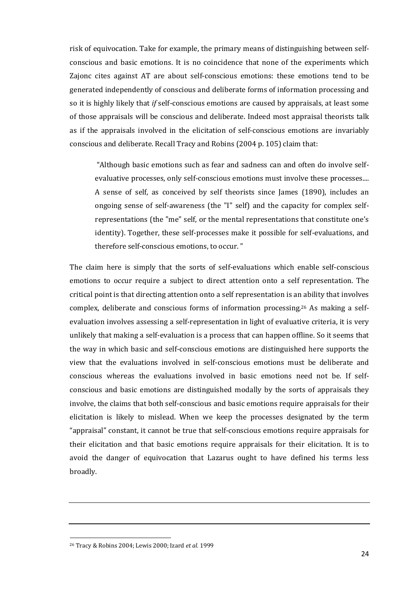risk of equivocation. Take for example, the primary means of distinguishing between selfconscious and basic emotions. It is no coincidence that none of the experiments which Zajonc cites against AT are about self-conscious emotions: these emotions tend to be generated independently of conscious and deliberate forms of information processing and so it is highly likely that *if* self-conscious emotions are caused by appraisals, at least some of those appraisals will be conscious and deliberate. Indeed most appraisal theorists talk as if the appraisals involved in the elicitation of self-conscious emotions are invariably conscious and deliberate. Recall Tracy and Robins (2004 p. 105) claim that:

"Although basic emotions such as fear and sadness can and often do involve selfevaluative processes, only self-conscious emotions must involve these processes.... A sense of self, as conceived by self theorists since James (1890), includes an ongoing sense of self-awareness (the "I" self) and the capacity for complex selfrepresentations (the "me" self, or the mental representations that constitute one's identity). Together, these self-processes make it possible for self-evaluations, and therefore self-conscious emotions, to occur. "

The claim here is simply that the sorts of self-evaluations which enable self-conscious emotions to occur require a subject to direct attention onto a self representation. The critical point is that directing attention onto a self representation is an ability that involves complex, deliberate and conscious forms of information processing.<sup>26</sup> As making a selfevaluation involves assessing a self-representation in light of evaluative criteria, it is very unlikely that making a self-evaluation is a process that can happen offline. So it seems that the way in which basic and self-conscious emotions are distinguished here supports the view that the evaluations involved in self-conscious emotions must be deliberate and conscious whereas the evaluations involved in basic emotions need not be. If selfconscious and basic emotions are distinguished modally by the sorts of appraisals they involve, the claims that both self-conscious and basic emotions require appraisals for their elicitation is likely to mislead. When we keep the processes designated by the term "appraisal" constant, it cannot be true that self-conscious emotions require appraisals for their elicitation and that basic emotions require appraisals for their elicitation. It is to avoid the danger of equivocation that Lazarus ought to have defined his terms less broadly.

<sup>26</sup> Tracy & Robins 2004; Lewis 2000; Izard *et al.* 1999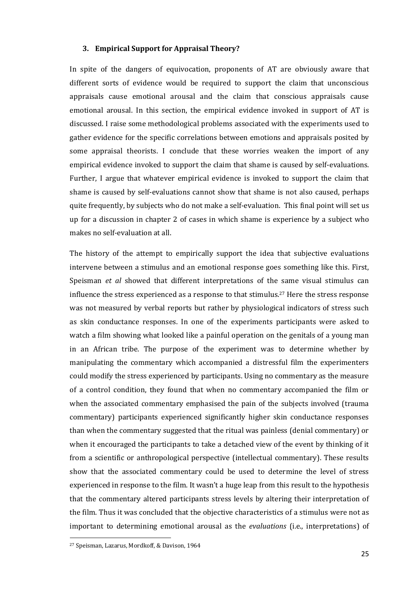#### **3. Empirical Support for Appraisal Theory?**

In spite of the dangers of equivocation, proponents of AT are obviously aware that different sorts of evidence would be required to support the claim that unconscious appraisals cause emotional arousal and the claim that conscious appraisals cause emotional arousal. In this section, the empirical evidence invoked in support of AT is discussed. I raise some methodological problems associated with the experiments used to gather evidence for the specific correlations between emotions and appraisals posited by some appraisal theorists. I conclude that these worries weaken the import of any empirical evidence invoked to support the claim that shame is caused by self-evaluations. Further, I argue that whatever empirical evidence is invoked to support the claim that shame is caused by self-evaluations cannot show that shame is not also caused, perhaps quite frequently, by subjects who do not make a self-evaluation. This final point will set us up for a discussion in chapter 2 of cases in which shame is experience by a subject who makes no self-evaluation at all.

The history of the attempt to empirically support the idea that subjective evaluations intervene between a stimulus and an emotional response goes something like this. First, Speisman *et al* showed that different interpretations of the same visual stimulus can influence the stress experienced as a response to that stimulus.<sup>27</sup> Here the stress response was not measured by verbal reports but rather by physiological indicators of stress such as skin conductance responses. In one of the experiments participants were asked to watch a film showing what looked like a painful operation on the genitals of a young man in an African tribe. The purpose of the experiment was to determine whether by manipulating the commentary which accompanied a distressful film the experimenters could modify the stress experienced by participants. Using no commentary as the measure of a control condition, they found that when no commentary accompanied the film or when the associated commentary emphasised the pain of the subjects involved (trauma commentary) participants experienced significantly higher skin conductance responses than when the commentary suggested that the ritual was painless (denial commentary) or when it encouraged the participants to take a detached view of the event by thinking of it from a scientific or anthropological perspective (intellectual commentary). These results show that the associated commentary could be used to determine the level of stress experienced in response to the film. It wasn't a huge leap from this result to the hypothesis that the commentary altered participants stress levels by altering their interpretation of the film. Thus it was concluded that the objective characteristics of a stimulus were not as important to determining emotional arousal as the *evaluations* (i.e., interpretations) of

<sup>27</sup> Speisman, Lazarus, Mordkoff, & Davison, 1964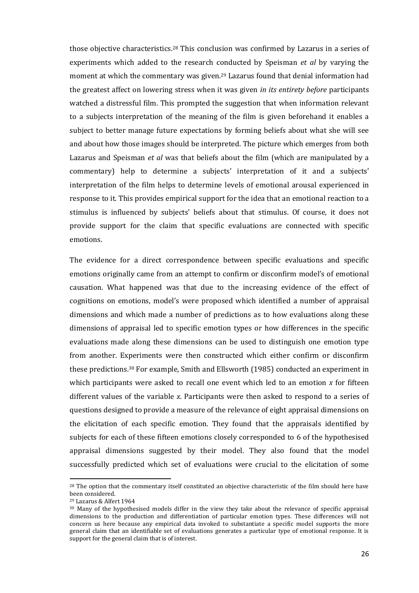those objective characteristics.<sup>28</sup> This conclusion was confirmed by Lazarus in a series of experiments which added to the research conducted by Speisman *et al* by varying the moment at which the commentary was given.<sup>29</sup> Lazarus found that denial information had the greatest affect on lowering stress when it was given *in its entirety before* participants watched a distressful film. This prompted the suggestion that when information relevant to a subjects interpretation of the meaning of the film is given beforehand it enables a subject to better manage future expectations by forming beliefs about what she will see and about how those images should be interpreted. The picture which emerges from both Lazarus and Speisman *et al* was that beliefs about the film (which are manipulated by a commentary) help to determine a subjects' interpretation of it and a subjects' interpretation of the film helps to determine levels of emotional arousal experienced in response to it. This provides empirical support for the idea that an emotional reaction to a stimulus is influenced by subjects' beliefs about that stimulus. Of course, it does not provide support for the claim that specific evaluations are connected with specific emotions.

The evidence for a direct correspondence between specific evaluations and specific emotions originally came from an attempt to confirm or disconfirm model's of emotional causation. What happened was that due to the increasing evidence of the effect of cognitions on emotions, model's were proposed which identified a number of appraisal dimensions and which made a number of predictions as to how evaluations along these dimensions of appraisal led to specific emotion types or how differences in the specific evaluations made along these dimensions can be used to distinguish one emotion type from another. Experiments were then constructed which either confirm or disconfirm these predictions.<sup>30</sup> For example, Smith and Ellsworth (1985) conducted an experiment in which participants were asked to recall one event which led to an emotion *x* for fifteen different values of the variable *x*. Participants were then asked to respond to a series of questions designed to provide a measure of the relevance of eight appraisal dimensions on the elicitation of each specific emotion. They found that the appraisals identified by subjects for each of these fifteen emotions closely corresponded to 6 of the hypothesised appraisal dimensions suggested by their model. They also found that the model successfully predicted which set of evaluations were crucial to the elicitation of some

<sup>&</sup>lt;sup>28</sup> The option that the commentary itself constituted an objective characteristic of the film should here have been considered.

<sup>29</sup> Lazarus & Alfert 1964

<sup>30</sup> Many of the hypothesised models differ in the view they take about the relevance of specific appraisal dimensions to the production and differentiation of particular emotion types. These differences will not concern us here because any empirical data invoked to substantiate a specific model supports the more general claim that an identifiable set of evaluations generates a particular type of emotional response. It is support for the general claim that is of interest.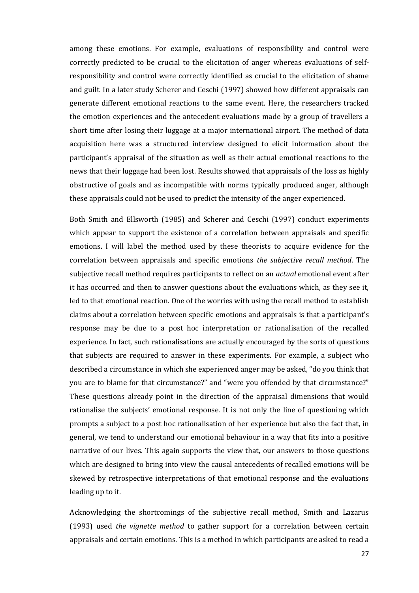among these emotions. For example, evaluations of responsibility and control were correctly predicted to be crucial to the elicitation of anger whereas evaluations of selfresponsibility and control were correctly identified as crucial to the elicitation of shame and guilt. In a later study Scherer and Ceschi (1997) showed how different appraisals can generate different emotional reactions to the same event. Here, the researchers tracked the emotion experiences and the antecedent evaluations made by a group of travellers a short time after losing their luggage at a major international airport. The method of data acquisition here was a structured interview designed to elicit information about the participant's appraisal of the situation as well as their actual emotional reactions to the news that their luggage had been lost. Results showed that appraisals of the loss as highly obstructive of goals and as incompatible with norms typically produced anger, although these appraisals could not be used to predict the intensity of the anger experienced.

Both Smith and Ellsworth (1985) and Scherer and Ceschi (1997) conduct experiments which appear to support the existence of a correlation between appraisals and specific emotions. I will label the method used by these theorists to acquire evidence for the correlation between appraisals and specific emotions *the subjective recall method*. The subjective recall method requires participants to reflect on an *actual* emotional event after it has occurred and then to answer questions about the evaluations which, as they see it, led to that emotional reaction. One of the worries with using the recall method to establish claims about a correlation between specific emotions and appraisals is that a participant's response may be due to a post hoc interpretation or rationalisation of the recalled experience. In fact, such rationalisations are actually encouraged by the sorts of questions that subjects are required to answer in these experiments. For example, a subject who described a circumstance in which she experienced anger may be asked, "do you think that you are to blame for that circumstance?" and "were you offended by that circumstance?" These questions already point in the direction of the appraisal dimensions that would rationalise the subjects' emotional response. It is not only the line of questioning which prompts a subject to a post hoc rationalisation of her experience but also the fact that, in general, we tend to understand our emotional behaviour in a way that fits into a positive narrative of our lives. This again supports the view that, our answers to those questions which are designed to bring into view the causal antecedents of recalled emotions will be skewed by retrospective interpretations of that emotional response and the evaluations leading up to it.

Acknowledging the shortcomings of the subjective recall method, Smith and Lazarus (1993) used *the vignette method* to gather support for a correlation between certain appraisals and certain emotions. This is a method in which participants are asked to read a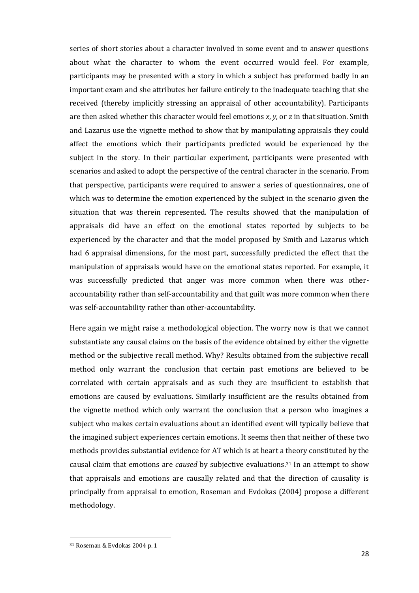series of short stories about a character involved in some event and to answer questions about what the character to whom the event occurred would feel. For example, participants may be presented with a story in which a subject has preformed badly in an important exam and she attributes her failure entirely to the inadequate teaching that she received (thereby implicitly stressing an appraisal of other accountability). Participants are then asked whether this character would feel emotions *x*, *y*, or *z* in that situation. Smith and Lazarus use the vignette method to show that by manipulating appraisals they could affect the emotions which their participants predicted would be experienced by the subject in the story. In their particular experiment, participants were presented with scenarios and asked to adopt the perspective of the central character in the scenario. From that perspective, participants were required to answer a series of questionnaires, one of which was to determine the emotion experienced by the subject in the scenario given the situation that was therein represented. The results showed that the manipulation of appraisals did have an effect on the emotional states reported by subjects to be experienced by the character and that the model proposed by Smith and Lazarus which had 6 appraisal dimensions, for the most part, successfully predicted the effect that the manipulation of appraisals would have on the emotional states reported. For example, it was successfully predicted that anger was more common when there was otheraccountability rather than self-accountability and that guilt was more common when there was self-accountability rather than other-accountability.

Here again we might raise a methodological objection. The worry now is that we cannot substantiate any causal claims on the basis of the evidence obtained by either the vignette method or the subjective recall method. Why? Results obtained from the subjective recall method only warrant the conclusion that certain past emotions are believed to be correlated with certain appraisals and as such they are insufficient to establish that emotions are caused by evaluations. Similarly insufficient are the results obtained from the vignette method which only warrant the conclusion that a person who imagines a subject who makes certain evaluations about an identified event will typically believe that the imagined subject experiences certain emotions. It seems then that neither of these two methods provides substantial evidence for AT which is at heart a theory constituted by the causal claim that emotions are *caused* by subjective evaluations.<sup>31</sup> In an attempt to show that appraisals and emotions are causally related and that the direction of causality is principally from appraisal to emotion, Roseman and Evdokas (2004) propose a different methodology.

<sup>31</sup> Roseman & Evdokas 2004 p. 1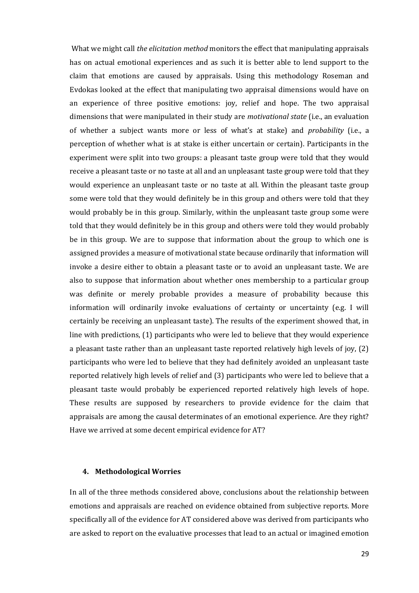What we might call *the elicitation method* monitors the effect that manipulating appraisals has on actual emotional experiences and as such it is better able to lend support to the claim that emotions are caused by appraisals. Using this methodology Roseman and Evdokas looked at the effect that manipulating two appraisal dimensions would have on an experience of three positive emotions: joy, relief and hope. The two appraisal dimensions that were manipulated in their study are *motivational state* (i.e., an evaluation of whether a subject wants more or less of what's at stake) and *probability* (i.e., a perception of whether what is at stake is either uncertain or certain). Participants in the experiment were split into two groups: a pleasant taste group were told that they would receive a pleasant taste or no taste at all and an unpleasant taste group were told that they would experience an unpleasant taste or no taste at all. Within the pleasant taste group some were told that they would definitely be in this group and others were told that they would probably be in this group. Similarly, within the unpleasant taste group some were told that they would definitely be in this group and others were told they would probably be in this group. We are to suppose that information about the group to which one is assigned provides a measure of motivational state because ordinarily that information will invoke a desire either to obtain a pleasant taste or to avoid an unpleasant taste. We are also to suppose that information about whether ones membership to a particular group was definite or merely probable provides a measure of probability because this information will ordinarily invoke evaluations of certainty or uncertainty (e.g. I will certainly be receiving an unpleasant taste). The results of the experiment showed that, in line with predictions, (1) participants who were led to believe that they would experience a pleasant taste rather than an unpleasant taste reported relatively high levels of joy, (2) participants who were led to believe that they had definitely avoided an unpleasant taste reported relatively high levels of relief and (3) participants who were led to believe that a pleasant taste would probably be experienced reported relatively high levels of hope. These results are supposed by researchers to provide evidence for the claim that appraisals are among the causal determinates of an emotional experience. Are they right? Have we arrived at some decent empirical evidence for AT?

#### **4. Methodological Worries**

In all of the three methods considered above, conclusions about the relationship between emotions and appraisals are reached on evidence obtained from subjective reports. More specifically all of the evidence for AT considered above was derived from participants who are asked to report on the evaluative processes that lead to an actual or imagined emotion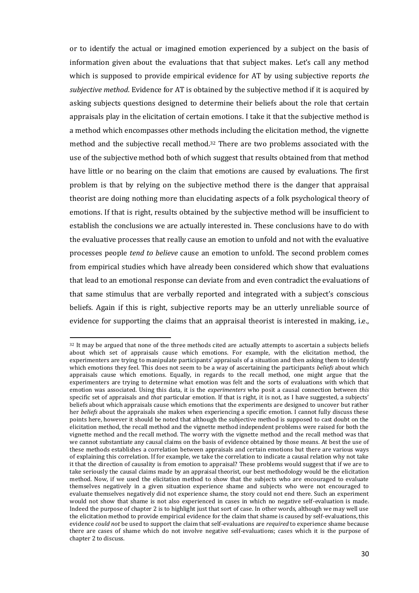or to identify the actual or imagined emotion experienced by a subject on the basis of information given about the evaluations that that subject makes. Let's call any method which is supposed to provide empirical evidence for AT by using subjective reports *the subjective method*. Evidence for AT is obtained by the subjective method if it is acquired by asking subjects questions designed to determine their beliefs about the role that certain appraisals play in the elicitation of certain emotions. I take it that the subjective method is a method which encompasses other methods including the elicitation method, the vignette method and the subjective recall method.<sup>32</sup> There are two problems associated with the use of the subjective method both of which suggest that results obtained from that method have little or no bearing on the claim that emotions are caused by evaluations. The first problem is that by relying on the subjective method there is the danger that appraisal theorist are doing nothing more than elucidating aspects of a folk psychological theory of emotions. If that is right, results obtained by the subjective method will be insufficient to establish the conclusions we are actually interested in. These conclusions have to do with the evaluative processes that really cause an emotion to unfold and not with the evaluative processes people *tend to believe* cause an emotion to unfold. The second problem comes from empirical studies which have already been considered which show that evaluations that lead to an emotional response can deviate from and even contradict the evaluations of that same stimulus that are verbally reported and integrated with a subject's conscious beliefs. Again if this is right, subjective reports may be an utterly unreliable source of evidence for supporting the claims that an appraisal theorist is interested in making, i.e.,

<sup>&</sup>lt;sup>32</sup> It may be argued that none of the three methods cited are actually attempts to ascertain a subjects beliefs about which set of appraisals cause which emotions. For example, with the elicitation method, the experimenters are trying to manipulate participants' appraisals of a situation and then asking them to identify which emotions they feel. This does not seem to be a way of ascertaining the participants *beliefs* about which appraisals cause which emotions. Equally, in regards to the recall method, one might argue that the experimenters are trying to determine what emotion was felt and the sorts of evaluations with which that emotion was associated. Using this data, it is the *experimenters* who posit a causal connection between *this* specific set of appraisals and *that* particular emotion. If that is right, it is not, as I have suggested, a subjects' beliefs about which appraisals cause which emotions that the experiments are designed to uncover but rather her *beliefs* about the appraisals she makes when experiencing a specific emotion. I cannot fully discuss these points here, however it should be noted that although the subjective method is supposed to cast doubt on the elicitation method, the recall method and the vignette method independent problems were raised for both the vignette method and the recall method. The worry with the vignette method and the recall method was that we cannot substantiate any causal claims on the basis of evidence obtained by those means. At best the use of these methods establishes a correlation between appraisals and certain emotions but there are various ways of explaining this correlation. If for example, we take the correlation to indicate a causal relation why not take it that the direction of causality is from emotion to appraisal? These problems would suggest that if we are to take seriously the causal claims made by an appraisal theorist, our best methodology would be the elicitation method. Now, if we used the elicitation method to show that the subjects who are encouraged to evaluate themselves negatively in a given situation experience shame and subjects who were not encouraged to evaluate themselves negatively did not experience shame, the story could not end there. Such an experiment would not show that shame is not also experienced in cases in which no negative self-evaluation is made. Indeed the purpose of chapter 2 is to highlight just that sort of case. In other words, although we may well use the elicitation method to provide empirical evidence for the claim that shame is caused by self-evaluations, this evidence *could not* be used to support the claim that self-evaluations are *required* to experience shame because there are cases of shame which do not involve negative self-evaluations; cases which it is the purpose of chapter 2 to discuss.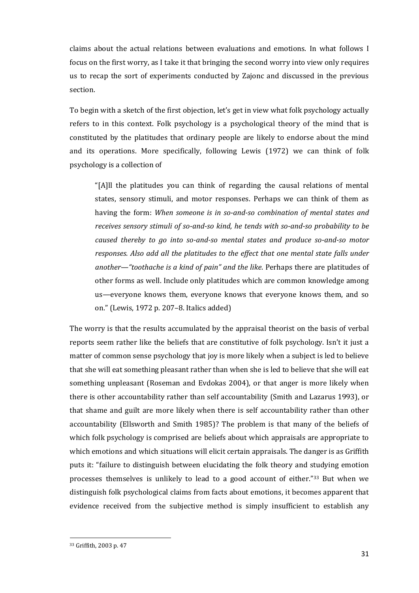claims about the actual relations between evaluations and emotions. In what follows I focus on the first worry, as I take it that bringing the second worry into view only requires us to recap the sort of experiments conducted by Zajonc and discussed in the previous section.

To begin with a sketch of the first objection, let's get in view what folk psychology actually refers to in this context. Folk psychology is a psychological theory of the mind that is constituted by the platitudes that ordinary people are likely to endorse about the mind and its operations. More specifically, following Lewis (1972) we can think of folk psychology is a collection of

"[A]ll the platitudes you can think of regarding the causal relations of mental states, sensory stimuli, and motor responses. Perhaps we can think of them as having the form: *When someone is in so-and-so combination of mental states and receives sensory stimuli of so-and-so kind, he tends with so-and-so probability to be caused thereby to go into so-and-so mental states and produce so-and-so motor responses. Also add all the platitudes to the effect that one mental state falls under another—"toothache is a kind of pain" and the like*. Perhaps there are platitudes of other forms as well. Include only platitudes which are common knowledge among us—everyone knows them, everyone knows that everyone knows them, and so on." (Lewis, 1972 p. 207–8. Italics added)

The worry is that the results accumulated by the appraisal theorist on the basis of verbal reports seem rather like the beliefs that are constitutive of folk psychology. Isn't it just a matter of common sense psychology that joy is more likely when a subject is led to believe that she will eat something pleasant rather than when she is led to believe that she will eat something unpleasant (Roseman and Evdokas 2004), or that anger is more likely when there is other accountability rather than self accountability (Smith and Lazarus 1993), or that shame and guilt are more likely when there is self accountability rather than other accountability (Ellsworth and Smith 1985)? The problem is that many of the beliefs of which folk psychology is comprised are beliefs about which appraisals are appropriate to which emotions and which situations will elicit certain appraisals. The danger is as Griffith puts it: "failure to distinguish between elucidating the folk theory and studying emotion processes themselves is unlikely to lead to a good account of either."<sup>33</sup> But when we distinguish folk psychological claims from facts about emotions, it becomes apparent that evidence received from the subjective method is simply insufficient to establish any

 $\ddot{\phantom{a}}$ 

<sup>33</sup> Griffith, 2003 p. 47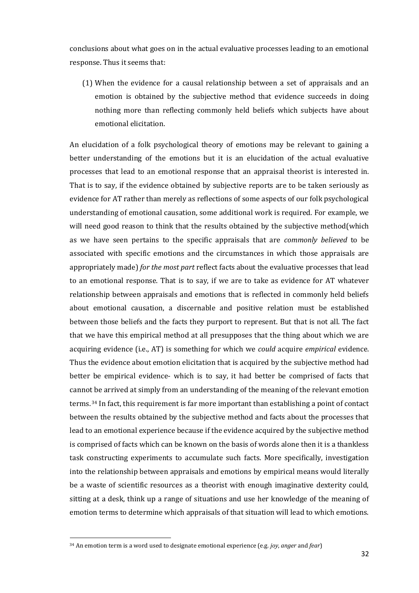conclusions about what goes on in the actual evaluative processes leading to an emotional response. Thus it seems that:

(1) When the evidence for a causal relationship between a set of appraisals and an emotion is obtained by the subjective method that evidence succeeds in doing nothing more than reflecting commonly held beliefs which subjects have about emotional elicitation.

An elucidation of a folk psychological theory of emotions may be relevant to gaining a better understanding of the emotions but it is an elucidation of the actual evaluative processes that lead to an emotional response that an appraisal theorist is interested in. That is to say, if the evidence obtained by subjective reports are to be taken seriously as evidence for AT rather than merely as reflections of some aspects of our folk psychological understanding of emotional causation, some additional work is required. For example, we will need good reason to think that the results obtained by the subjective method(which as we have seen pertains to the specific appraisals that are *commonly believed* to be associated with specific emotions and the circumstances in which those appraisals are appropriately made) *for the most part* reflect facts about the evaluative processes that lead to an emotional response. That is to say, if we are to take as evidence for AT whatever relationship between appraisals and emotions that is reflected in commonly held beliefs about emotional causation, a discernable and positive relation must be established between those beliefs and the facts they purport to represent. But that is not all. The fact that we have this empirical method at all presupposes that the thing about which we are acquiring evidence (i.e., AT) is something for which we *could* acquire *empirical* evidence. Thus the evidence about emotion elicitation that is acquired by the subjective method had better be empirical evidence- which is to say, it had better be comprised of facts that cannot be arrived at simply from an understanding of the meaning of the relevant emotion terms. <sup>34</sup> In fact, this requirement is far more important than establishing a point of contact between the results obtained by the subjective method and facts about the processes that lead to an emotional experience because if the evidence acquired by the subjective method is comprised of facts which can be known on the basis of words alone then it is a thankless task constructing experiments to accumulate such facts. More specifically, investigation into the relationship between appraisals and emotions by empirical means would literally be a waste of scientific resources as a theorist with enough imaginative dexterity could, sitting at a desk, think up a range of situations and use her knowledge of the meaning of emotion terms to determine which appraisals of that situation will lead to which emotions.

 $\ddot{\phantom{a}}$ 

<sup>34</sup> An emotion term is a word used to designate emotional experience (e.g. *joy*, *anger* and *fear*)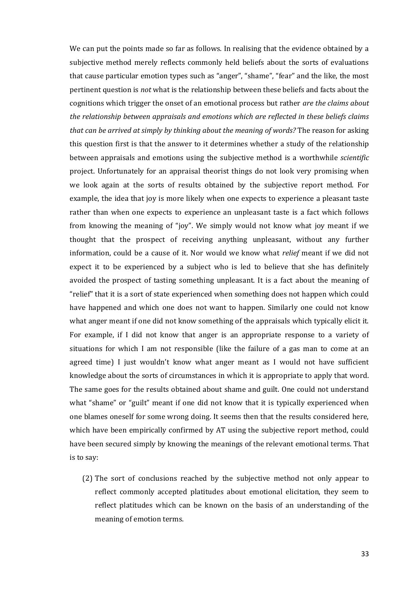We can put the points made so far as follows. In realising that the evidence obtained by a subjective method merely reflects commonly held beliefs about the sorts of evaluations that cause particular emotion types such as "anger", "shame", "fear" and the like, the most pertinent question is *not* what is the relationship between these beliefs and facts about the cognitions which trigger the onset of an emotional process but rather *are the claims about the relationship between appraisals and emotions which are reflected in these beliefs claims that can be arrived at simply by thinking about the meaning of words?* The reason for asking this question first is that the answer to it determines whether a study of the relationship between appraisals and emotions using the subjective method is a worthwhile *scientific*  project. Unfortunately for an appraisal theorist things do not look very promising when we look again at the sorts of results obtained by the subjective report method. For example, the idea that joy is more likely when one expects to experience a pleasant taste rather than when one expects to experience an unpleasant taste is a fact which follows from knowing the meaning of "joy". We simply would not know what joy meant if we thought that the prospect of receiving anything unpleasant, without any further information, could be a cause of it. Nor would we know what *relief* meant if we did not expect it to be experienced by a subject who is led to believe that she has definitely avoided the prospect of tasting something unpleasant. It is a fact about the meaning of "relief" that it is a sort of state experienced when something does not happen which could have happened and which one does not want to happen. Similarly one could not know what anger meant if one did not know something of the appraisals which typically elicit it. For example, if I did not know that anger is an appropriate response to a variety of situations for which I am not responsible (like the failure of a gas man to come at an agreed time) I just wouldn't know what anger meant as I would not have sufficient knowledge about the sorts of circumstances in which it is appropriate to apply that word. The same goes for the results obtained about shame and guilt. One could not understand what "shame" or "guilt" meant if one did not know that it is typically experienced when one blames oneself for some wrong doing. It seems then that the results considered here, which have been empirically confirmed by AT using the subjective report method, could have been secured simply by knowing the meanings of the relevant emotional terms. That is to say:

(2) The sort of conclusions reached by the subjective method not only appear to reflect commonly accepted platitudes about emotional elicitation, they seem to reflect platitudes which can be known on the basis of an understanding of the meaning of emotion terms.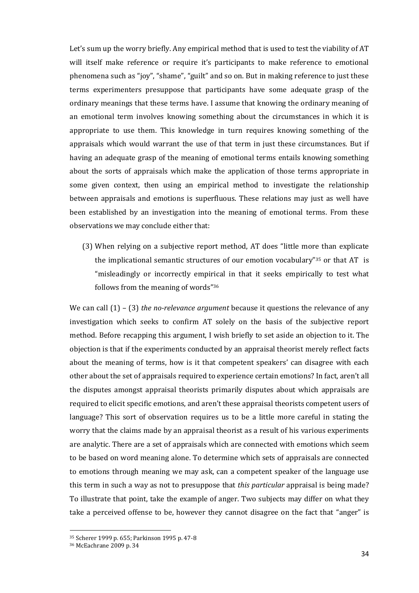Let's sum up the worry briefly. Any empirical method that is used to test the viability of AT will itself make reference or require it's participants to make reference to emotional phenomena such as "joy", "shame", "guilt" and so on. But in making reference to just these terms experimenters presuppose that participants have some adequate grasp of the ordinary meanings that these terms have. I assume that knowing the ordinary meaning of an emotional term involves knowing something about the circumstances in which it is appropriate to use them. This knowledge in turn requires knowing something of the appraisals which would warrant the use of that term in just these circumstances. But if having an adequate grasp of the meaning of emotional terms entails knowing something about the sorts of appraisals which make the application of those terms appropriate in some given context, then using an empirical method to investigate the relationship between appraisals and emotions is superfluous. These relations may just as well have been established by an investigation into the meaning of emotional terms. From these observations we may conclude either that:

(3) When relying on a subjective report method, AT does "little more than explicate the implicational semantic structures of our emotion vocabulary"<sup>35</sup> or that AT is "misleadingly or incorrectly empirical in that it seeks empirically to test what follows from the meaning of words"<sup>36</sup>

We can call (1) – (3) *the no-relevance argument* because it questions the relevance of any investigation which seeks to confirm AT solely on the basis of the subjective report method. Before recapping this argument, I wish briefly to set aside an objection to it. The objection is that if the experiments conducted by an appraisal theorist merely reflect facts about the meaning of terms, how is it that competent speakers' can disagree with each other about the set of appraisals required to experience certain emotions? In fact, aren't all the disputes amongst appraisal theorists primarily disputes about which appraisals are required to elicit specific emotions, and aren't these appraisal theorists competent users of language? This sort of observation requires us to be a little more careful in stating the worry that the claims made by an appraisal theorist as a result of his various experiments are analytic. There are a set of appraisals which are connected with emotions which seem to be based on word meaning alone. To determine which sets of appraisals are connected to emotions through meaning we may ask, can a competent speaker of the language use this term in such a way as not to presuppose that *this particular* appraisal is being made? To illustrate that point, take the example of anger. Two subjects may differ on what they take a perceived offense to be, however they cannot disagree on the fact that "anger" is

<sup>35</sup> Scherer 1999 p. 655; Parkinson 1995 p. 47-8

<sup>36</sup> McEachrane 2009 p. 34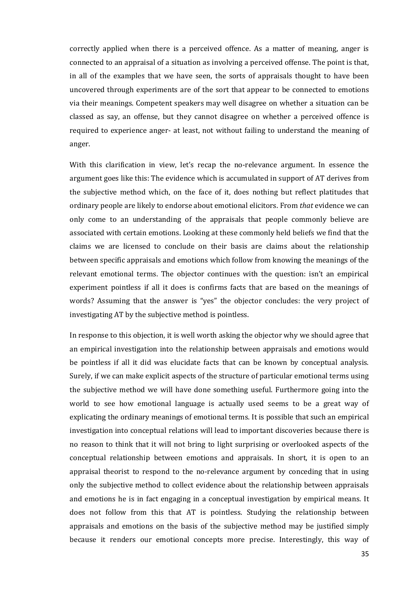correctly applied when there is a perceived offence. As a matter of meaning, anger is connected to an appraisal of a situation as involving a perceived offense. The point is that, in all of the examples that we have seen, the sorts of appraisals thought to have been uncovered through experiments are of the sort that appear to be connected to emotions via their meanings. Competent speakers may well disagree on whether a situation can be classed as say, an offense, but they cannot disagree on whether a perceived offence is required to experience anger- at least, not without failing to understand the meaning of anger.

With this clarification in view, let's recap the no-relevance argument. In essence the argument goes like this: The evidence which is accumulated in support of AT derives from the subjective method which, on the face of it, does nothing but reflect platitudes that ordinary people are likely to endorse about emotional elicitors. From *that* evidence we can only come to an understanding of the appraisals that people commonly believe are associated with certain emotions. Looking at these commonly held beliefs we find that the claims we are licensed to conclude on their basis are claims about the relationship between specific appraisals and emotions which follow from knowing the meanings of the relevant emotional terms. The objector continues with the question: isn't an empirical experiment pointless if all it does is confirms facts that are based on the meanings of words? Assuming that the answer is "yes" the objector concludes: the very project of investigating AT by the subjective method is pointless.

In response to this objection, it is well worth asking the objector why we should agree that an empirical investigation into the relationship between appraisals and emotions would be pointless if all it did was elucidate facts that can be known by conceptual analysis. Surely, if we can make explicit aspects of the structure of particular emotional terms using the subjective method we will have done something useful. Furthermore going into the world to see how emotional language is actually used seems to be a great way of explicating the ordinary meanings of emotional terms. It is possible that such an empirical investigation into conceptual relations will lead to important discoveries because there is no reason to think that it will not bring to light surprising or overlooked aspects of the conceptual relationship between emotions and appraisals. In short, it is open to an appraisal theorist to respond to the no-relevance argument by conceding that in using only the subjective method to collect evidence about the relationship between appraisals and emotions he is in fact engaging in a conceptual investigation by empirical means. It does not follow from this that AT is pointless. Studying the relationship between appraisals and emotions on the basis of the subjective method may be justified simply because it renders our emotional concepts more precise. Interestingly, this way of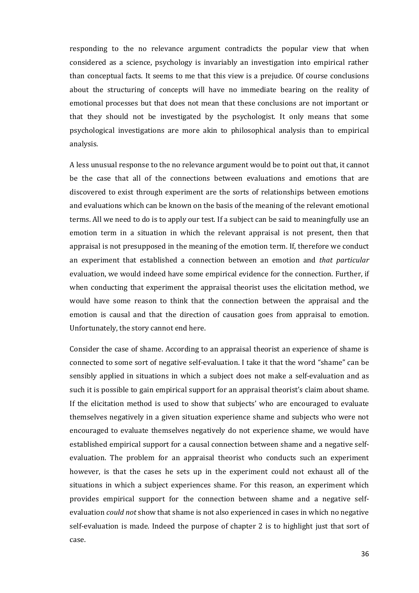responding to the no relevance argument contradicts the popular view that when considered as a science, psychology is invariably an investigation into empirical rather than conceptual facts. It seems to me that this view is a prejudice. Of course conclusions about the structuring of concepts will have no immediate bearing on the reality of emotional processes but that does not mean that these conclusions are not important or that they should not be investigated by the psychologist. It only means that some psychological investigations are more akin to philosophical analysis than to empirical analysis.

A less unusual response to the no relevance argument would be to point out that, it cannot be the case that all of the connections between evaluations and emotions that are discovered to exist through experiment are the sorts of relationships between emotions and evaluations which can be known on the basis of the meaning of the relevant emotional terms. All we need to do is to apply our test. If a subject can be said to meaningfully use an emotion term in a situation in which the relevant appraisal is not present, then that appraisal is not presupposed in the meaning of the emotion term. If, therefore we conduct an experiment that established a connection between an emotion and *that particular* evaluation, we would indeed have some empirical evidence for the connection. Further, if when conducting that experiment the appraisal theorist uses the elicitation method, we would have some reason to think that the connection between the appraisal and the emotion is causal and that the direction of causation goes from appraisal to emotion. Unfortunately, the story cannot end here.

Consider the case of shame. According to an appraisal theorist an experience of shame is connected to some sort of negative self-evaluation. I take it that the word "shame" can be sensibly applied in situations in which a subject does not make a self-evaluation and as such it is possible to gain empirical support for an appraisal theorist's claim about shame. If the elicitation method is used to show that subjects' who are encouraged to evaluate themselves negatively in a given situation experience shame and subjects who were not encouraged to evaluate themselves negatively do not experience shame, we would have established empirical support for a causal connection between shame and a negative selfevaluation. The problem for an appraisal theorist who conducts such an experiment however, is that the cases he sets up in the experiment could not exhaust all of the situations in which a subject experiences shame. For this reason, an experiment which provides empirical support for the connection between shame and a negative selfevaluation *could not* show that shame is not also experienced in cases in which no negative self-evaluation is made. Indeed the purpose of chapter 2 is to highlight just that sort of case.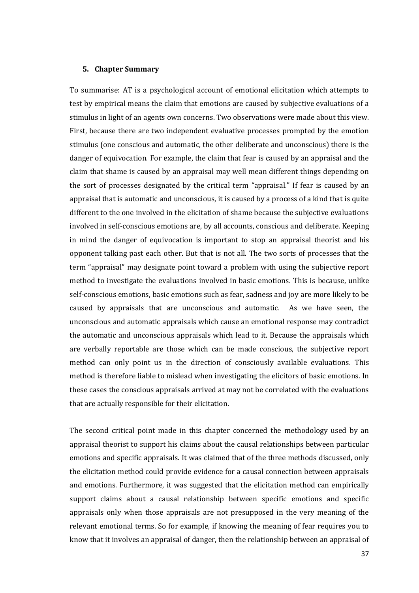#### **5. Chapter Summary**

To summarise: AT is a psychological account of emotional elicitation which attempts to test by empirical means the claim that emotions are caused by subjective evaluations of a stimulus in light of an agents own concerns. Two observations were made about this view. First, because there are two independent evaluative processes prompted by the emotion stimulus (one conscious and automatic, the other deliberate and unconscious) there is the danger of equivocation. For example, the claim that fear is caused by an appraisal and the claim that shame is caused by an appraisal may well mean different things depending on the sort of processes designated by the critical term "appraisal." If fear is caused by an appraisal that is automatic and unconscious, it is caused by a process of a kind that is quite different to the one involved in the elicitation of shame because the subjective evaluations involved in self-conscious emotions are, by all accounts, conscious and deliberate. Keeping in mind the danger of equivocation is important to stop an appraisal theorist and his opponent talking past each other. But that is not all. The two sorts of processes that the term "appraisal" may designate point toward a problem with using the subjective report method to investigate the evaluations involved in basic emotions. This is because, unlike self-conscious emotions, basic emotions such as fear, sadness and joy are more likely to be caused by appraisals that are unconscious and automatic. As we have seen, the unconscious and automatic appraisals which cause an emotional response may contradict the automatic and unconscious appraisals which lead to it. Because the appraisals which are verbally reportable are those which can be made conscious, the subjective report method can only point us in the direction of consciously available evaluations. This method is therefore liable to mislead when investigating the elicitors of basic emotions. In these cases the conscious appraisals arrived at may not be correlated with the evaluations that are actually responsible for their elicitation.

The second critical point made in this chapter concerned the methodology used by an appraisal theorist to support his claims about the causal relationships between particular emotions and specific appraisals. It was claimed that of the three methods discussed, only the elicitation method could provide evidence for a causal connection between appraisals and emotions. Furthermore, it was suggested that the elicitation method can empirically support claims about a causal relationship between specific emotions and specific appraisals only when those appraisals are not presupposed in the very meaning of the relevant emotional terms. So for example, if knowing the meaning of fear requires you to know that it involves an appraisal of danger, then the relationship between an appraisal of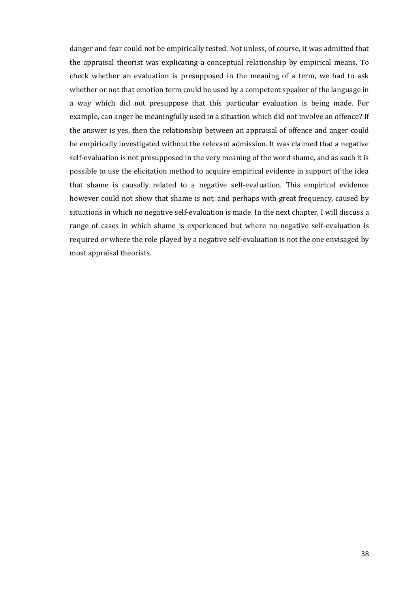danger and fear could not be empirically tested. Not unless, of course, it was admitted that the appraisal theorist was explicating a conceptual relationship by empirical means. To check whether an evaluation is presupposed in the meaning of a term, we had to ask whether or not that emotion term could be used by a competent speaker of the language in a way which did not presuppose that this particular evaluation is being made. For example, can anger be meaningfully used in a situation which did not involve an offence? If the answer is yes, then the relationship between an appraisal of offence and anger could be empirically investigated without the relevant admission. It was claimed that a negative self-evaluation is not presupposed in the very meaning of the word shame, and as such it is possible to use the elicitation method to acquire empirical evidence in support of the idea that shame is causally related to a negative self-evaluation. This empirical evidence however could not show that shame is not, and perhaps with great frequency, caused by situations in which no negative self-evaluation is made. In the next chapter, I will discuss a range of cases in which shame is experienced but where no negative self-evaluation is required *or* where the role played by a negative self-evaluation is not the one envisaged by most appraisal theorists.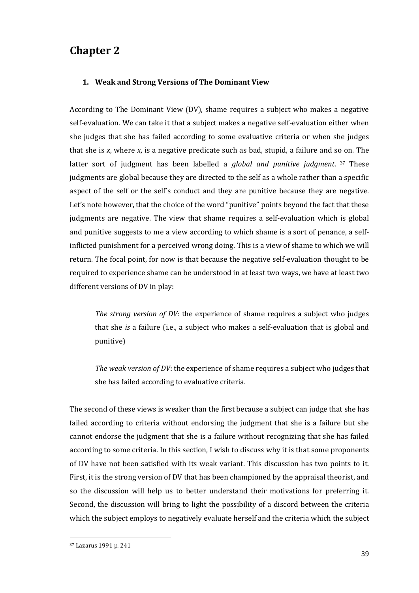# **Chapter 2**

## **1. Weak and Strong Versions of The Dominant View**

According to The Dominant View (DV), shame requires a subject who makes a negative self-evaluation. We can take it that a subject makes a negative self-evaluation either when she judges that she has failed according to some evaluative criteria or when she judges that she is *x*, where *x*, is a negative predicate such as bad, stupid, a failure and so on. The latter sort of judgment has been labelled a *global and punitive judgment*. <sup>37</sup> These judgments are global because they are directed to the self as a whole rather than a specific aspect of the self or the self's conduct and they are punitive because they are negative. Let's note however, that the choice of the word "punitive" points beyond the fact that these judgments are negative. The view that shame requires a self-evaluation which is global and punitive suggests to me a view according to which shame is a sort of penance, a selfinflicted punishment for a perceived wrong doing. This is a view of shame to which we will return. The focal point, for now is that because the negative self-evaluation thought to be required to experience shame can be understood in at least two ways, we have at least two different versions of DV in play:

*The strong version of DV*: the experience of shame requires a subject who judges that she *is* a failure (i.e., a subject who makes a self-evaluation that is global and punitive)

*The weak version of DV*: the experience of shame requires a subject who judges that she has failed according to evaluative criteria.

The second of these views is weaker than the first because a subject can judge that she has failed according to criteria without endorsing the judgment that she is a failure but she cannot endorse the judgment that she is a failure without recognizing that she has failed according to some criteria. In this section, I wish to discuss why it is that some proponents of DV have not been satisfied with its weak variant. This discussion has two points to it. First, it is the strong version of DV that has been championed by the appraisal theorist, and so the discussion will help us to better understand their motivations for preferring it. Second, the discussion will bring to light the possibility of a discord between the criteria which the subject employs to negatively evaluate herself and the criteria which the subject

<sup>37</sup> Lazarus 1991 p. 241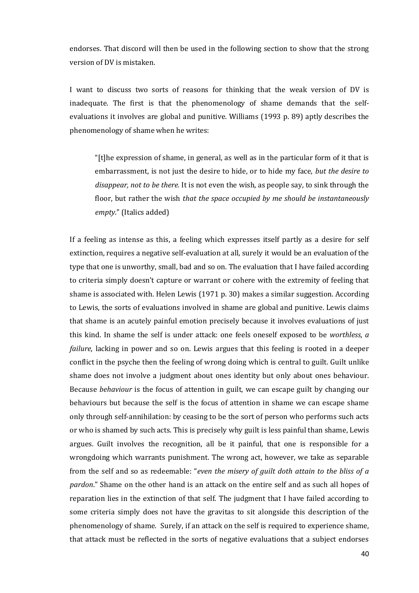endorses. That discord will then be used in the following section to show that the strong version of DV is mistaken.

I want to discuss two sorts of reasons for thinking that the weak version of DV is inadequate. The first is that the phenomenology of shame demands that the selfevaluations it involves are global and punitive. Williams (1993 p. 89) aptly describes the phenomenology of shame when he writes:

"[t]he expression of shame, in general, as well as in the particular form of it that is embarrassment, is not just the desire to hide, or to hide my face, *but the desire to disappear, not to be there.* It is not even the wish, as people say, to sink through the floor, but rather the wish *that the space occupied by me should be instantaneously empty*." (Italics added)

If a feeling as intense as this, a feeling which expresses itself partly as a desire for self extinction, requires a negative self-evaluation at all, surely it would be an evaluation of the type that one is unworthy, small, bad and so on. The evaluation that I have failed according to criteria simply doesn't capture or warrant or cohere with the extremity of feeling that shame is associated with. Helen Lewis (1971 p. 30) makes a similar suggestion. According to Lewis, the sorts of evaluations involved in shame are global and punitive. Lewis claims that shame is an acutely painful emotion precisely because it involves evaluations of just this kind. In shame the self is under attack: one feels oneself exposed to be *worthless*, *a failure*, lacking in power and so on. Lewis argues that this feeling is rooted in a deeper conflict in the psyche then the feeling of wrong doing which is central to guilt. Guilt unlike shame does not involve a judgment about ones identity but only about ones behaviour. Because *behaviour* is the focus of attention in guilt, we can escape guilt by changing our behaviours but because the self is the focus of attention in shame we can escape shame only through self-annihilation: by ceasing to be the sort of person who performs such acts or who is shamed by such acts. This is precisely why guilt is less painful than shame, Lewis argues. Guilt involves the recognition, all be it painful, that one is responsible for a wrongdoing which warrants punishment. The wrong act, however, we take as separable from the self and so as redeemable: "*even the misery of guilt doth attain to the bliss of a pardon*." Shame on the other hand is an attack on the entire self and as such all hopes of reparation lies in the extinction of that self. The judgment that I have failed according to some criteria simply does not have the gravitas to sit alongside this description of the phenomenology of shame. Surely, if an attack on the self is required to experience shame, that attack must be reflected in the sorts of negative evaluations that a subject endorses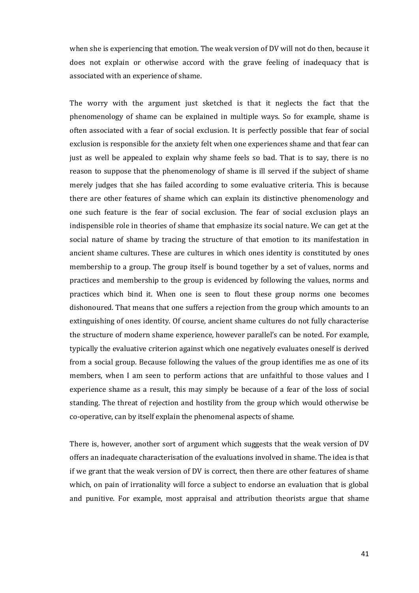when she is experiencing that emotion. The weak version of DV will not do then, because it does not explain or otherwise accord with the grave feeling of inadequacy that is associated with an experience of shame.

The worry with the argument just sketched is that it neglects the fact that the phenomenology of shame can be explained in multiple ways. So for example, shame is often associated with a fear of social exclusion. It is perfectly possible that fear of social exclusion is responsible for the anxiety felt when one experiences shame and that fear can just as well be appealed to explain why shame feels so bad. That is to say, there is no reason to suppose that the phenomenology of shame is ill served if the subject of shame merely judges that she has failed according to some evaluative criteria. This is because there are other features of shame which can explain its distinctive phenomenology and one such feature is the fear of social exclusion. The fear of social exclusion plays an indispensible role in theories of shame that emphasize its social nature. We can get at the social nature of shame by tracing the structure of that emotion to its manifestation in ancient shame cultures. These are cultures in which ones identity is constituted by ones membership to a group. The group itself is bound together by a set of values, norms and practices and membership to the group is evidenced by following the values, norms and practices which bind it. When one is seen to flout these group norms one becomes dishonoured. That means that one suffers a rejection from the group which amounts to an extinguishing of ones identity. Of course, ancient shame cultures do not fully characterise the structure of modern shame experience, however parallel's can be noted. For example, typically the evaluative criterion against which one negatively evaluates oneself is derived from a social group. Because following the values of the group identifies me as one of its members, when I am seen to perform actions that are unfaithful to those values and I experience shame as a result, this may simply be because of a fear of the loss of social standing. The threat of rejection and hostility from the group which would otherwise be co-operative, can by itself explain the phenomenal aspects of shame.

There is, however, another sort of argument which suggests that the weak version of DV offers an inadequate characterisation of the evaluations involved in shame. The idea is that if we grant that the weak version of DV is correct, then there are other features of shame which, on pain of irrationality will force a subject to endorse an evaluation that is global and punitive. For example, most appraisal and attribution theorists argue that shame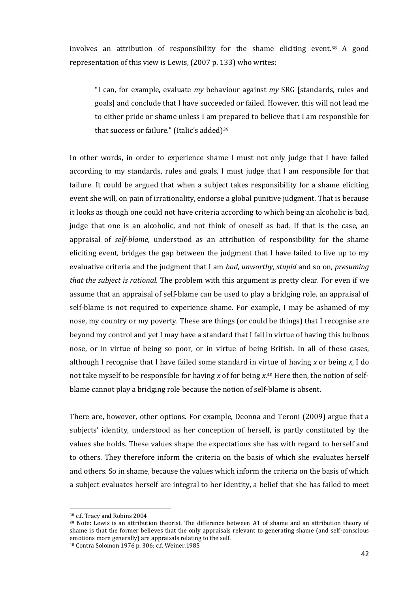involves an attribution of responsibility for the shame eliciting event. <sup>38</sup> A good representation of this view is Lewis, (2007 p. 133) who writes:

"I can, for example, evaluate *my* behaviour against *my* SRG [standards, rules and goals] and conclude that I have succeeded or failed. However, this will not lead me to either pride or shame unless I am prepared to believe that I am responsible for that success or failure." (Italic's added)<sup>39</sup>

In other words, in order to experience shame I must not only judge that I have failed according to my standards, rules and goals, I must judge that I am responsible for that failure. It could be argued that when a subject takes responsibility for a shame eliciting event she will, on pain of irrationality, endorse a global punitive judgment. That is because it looks as though one could not have criteria according to which being an alcoholic is bad, judge that one is an alcoholic, and not think of oneself as bad. If that is the case, an appraisal of *self-blame*, understood as an attribution of responsibility for the shame eliciting event, bridges the gap between the judgment that I have failed to live up to my evaluative criteria and the judgment that I am *bad*, *unworthy*, *stupid* and so on, *presuming that the subject is rational*. The problem with this argument is pretty clear. For even if we assume that an appraisal of self-blame can be used to play a bridging role, an appraisal of self-blame is not required to experience shame. For example, I may be ashamed of my nose, my country or my poverty. These are things (or could be things) that I recognise are beyond my control and yet I may have a standard that I fail in virtue of having this bulbous nose, or in virtue of being so poor, or in virtue of being British. In all of these cases, although I recognise that I have failed some standard in virtue of having *x* or being *x*, I do not take myself to be responsible for having *x* of for being *x*. <sup>40</sup> Here then, the notion of selfblame cannot play a bridging role because the notion of self-blame is absent.

There are, however, other options. For example, Deonna and Teroni (2009) argue that a subjects' identity, understood as her conception of herself, is partly constituted by the values she holds. These values shape the expectations she has with regard to herself and to others. They therefore inform the criteria on the basis of which she evaluates herself and others. So in shame, because the values which inform the criteria on the basis of which a subject evaluates herself are integral to her identity, a belief that she has failed to meet

<sup>38</sup> c.f. Tracy and Robins 2004

<sup>39</sup> Note: Lewis is an attribution theorist. The difference between AT of shame and an attribution theory of shame is that the former believes that the only appraisals relevant to generating shame (and self-conscious emotions more generally) are appraisals relating to the self.

<sup>40</sup> Contra Solomon 1976 p. 306; c.f. Weiner,1985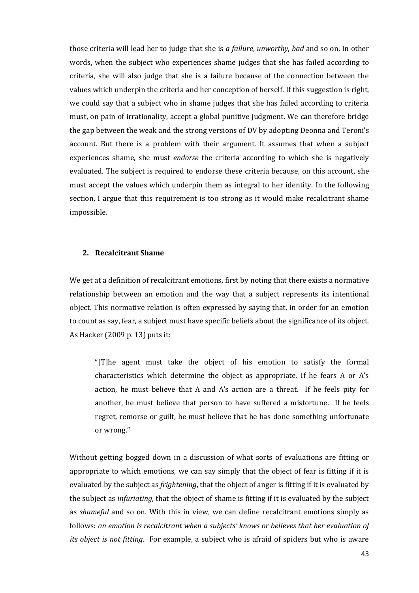those criteria will lead her to judge that she is *a failure*, *unworthy*, *bad* and so on. In other words, when the subject who experiences shame judges that she has failed according to criteria, she will also judge that she is a failure because of the connection between the values which underpin the criteria and her conception of herself. If this suggestion is right, we could say that a subject who in shame judges that she has failed according to criteria must, on pain of irrationality, accept a global punitive judgment. We can therefore bridge the gap between the weak and the strong versions of DV by adopting Deonna and Teroni's account. But there is a problem with their argument. It assumes that when a subject experiences shame, she must *endorse* the criteria according to which she is negatively evaluated. The subject is required to endorse these criteria because, on this account, she must accept the values which underpin them as integral to her identity. In the following section, I argue that this requirement is too strong as it would make recalcitrant shame impossible.

#### **2. Recalcitrant Shame**

We get at a definition of recalcitrant emotions, first by noting that there exists a normative relationship between an emotion and the way that a subject represents its intentional object. This normative relation is often expressed by saying that, in order for an emotion to count as say, fear, a subject must have specific beliefs about the significance of its object. As Hacker (2009 p. 13) puts it:

"[T]he agent must take the object of his emotion to satisfy the formal characteristics which determine the object as appropriate. If he fears A or A's action, he must believe that A and A's action are a threat. If he feels pity for another, he must believe that person to have suffered a misfortune. If he feels regret, remorse or guilt, he must believe that he has done something unfortunate or wrong."

Without getting bogged down in a discussion of what sorts of evaluations are fitting or appropriate to which emotions, we can say simply that the object of fear is fitting if it is evaluated by the subject as *frightening*, that the object of anger is fitting if it is evaluated by the subject as *infuriating*, that the object of shame is fitting if it is evaluated by the subject as *shameful* and so on. With this in view, we can define recalcitrant emotions simply as follows: *an emotion is recalcitrant when a subjects' knows or believes that her evaluation of its object is not fitting.* For example, a subject who is afraid of spiders but who is aware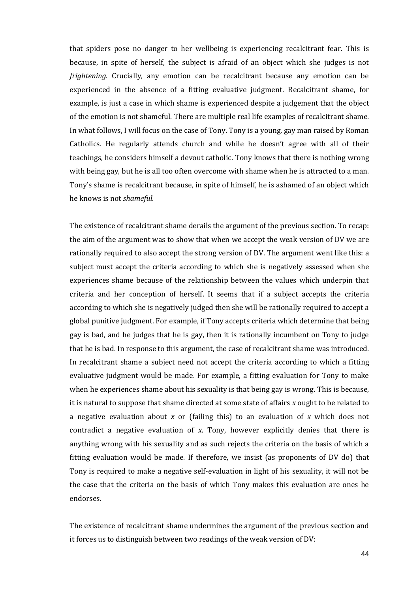that spiders pose no danger to her wellbeing is experiencing recalcitrant fear. This is because, in spite of herself, the subject is afraid of an object which she judges is not *frightening*. Crucially, any emotion can be recalcitrant because any emotion can be experienced in the absence of a fitting evaluative judgment. Recalcitrant shame, for example, is just a case in which shame is experienced despite a judgement that the object of the emotion is not shameful. There are multiple real life examples of recalcitrant shame. In what follows, I will focus on the case of Tony. Tony is a young, gay man raised by Roman Catholics. He regularly attends church and while he doesn't agree with all of their teachings, he considers himself a devout catholic. Tony knows that there is nothing wrong with being gay, but he is all too often overcome with shame when he is attracted to a man. Tony's shame is recalcitrant because, in spite of himself, he is ashamed of an object which he knows is not *shameful*.

The existence of recalcitrant shame derails the argument of the previous section. To recap: the aim of the argument was to show that when we accept the weak version of DV we are rationally required to also accept the strong version of DV. The argument went like this: a subject must accept the criteria according to which she is negatively assessed when she experiences shame because of the relationship between the values which underpin that criteria and her conception of herself. It seems that if a subject accepts the criteria according to which she is negatively judged then she will be rationally required to accept a global punitive judgment. For example, if Tony accepts criteria which determine that being gay is bad, and he judges that he is gay, then it is rationally incumbent on Tony to judge that he is bad. In response to this argument, the case of recalcitrant shame was introduced. In recalcitrant shame a subject need not accept the criteria according to which a fitting evaluative judgment would be made. For example, a fitting evaluation for Tony to make when he experiences shame about his sexuality is that being gay is wrong. This is because, it is natural to suppose that shame directed at some state of affairs *x* ought to be related to a negative evaluation about *x* or (failing this) to an evaluation of *x* which does not contradict a negative evaluation of *x*. Tony, however explicitly denies that there is anything wrong with his sexuality and as such rejects the criteria on the basis of which a fitting evaluation would be made. If therefore, we insist (as proponents of DV do) that Tony is required to make a negative self-evaluation in light of his sexuality, it will not be the case that the criteria on the basis of which Tony makes this evaluation are ones he endorses.

The existence of recalcitrant shame undermines the argument of the previous section and it forces us to distinguish between two readings of the weak version of DV: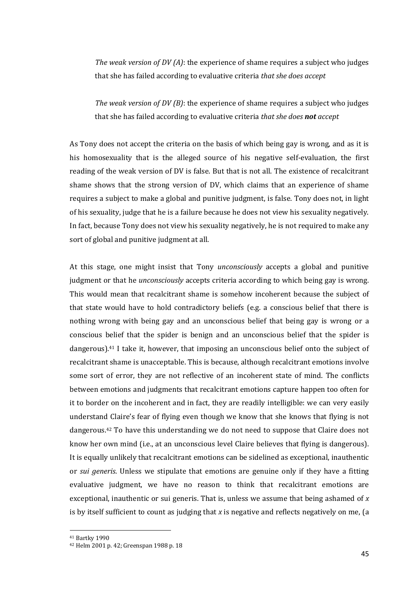*The weak version of DV (A)*: the experience of shame requires a subject who judges that she has failed according to evaluative criteria *that she does accept*

*The weak version of DV (B)*: the experience of shame requires a subject who judges that she has failed according to evaluative criteria *that she does not accept*

As Tony does not accept the criteria on the basis of which being gay is wrong, and as it is his homosexuality that is the alleged source of his negative self-evaluation, the first reading of the weak version of DV is false. But that is not all. The existence of recalcitrant shame shows that the strong version of DV, which claims that an experience of shame requires a subject to make a global and punitive judgment, is false. Tony does not, in light of his sexuality, judge that he is a failure because he does not view his sexuality negatively. In fact, because Tony does not view his sexuality negatively, he is not required to make any sort of global and punitive judgment at all.

At this stage, one might insist that Tony *unconsciously* accepts a global and punitive judgment or that he *unconsciously* accepts criteria according to which being gay is wrong. This would mean that recalcitrant shame is somehow incoherent because the subject of that state would have to hold contradictory beliefs (e.g. a conscious belief that there is nothing wrong with being gay and an unconscious belief that being gay is wrong or a conscious belief that the spider is benign and an unconscious belief that the spider is dangerous).<sup>41</sup> I take it, however, that imposing an unconscious belief onto the subject of recalcitrant shame is unacceptable. This is because, although recalcitrant emotions involve some sort of error, they are not reflective of an incoherent state of mind. The conflicts between emotions and judgments that recalcitrant emotions capture happen too often for it to border on the incoherent and in fact, they are readily intelligible: we can very easily understand Claire's fear of flying even though we know that she knows that flying is not dangerous.<sup>42</sup> To have this understanding we do not need to suppose that Claire does not know her own mind (i.e., at an unconscious level Claire believes that flying is dangerous). It is equally unlikely that recalcitrant emotions can be sidelined as exceptional, inauthentic or *sui generis*. Unless we stipulate that emotions are genuine only if they have a fitting evaluative judgment, we have no reason to think that recalcitrant emotions are exceptional, inauthentic or sui generis. That is, unless we assume that being ashamed of *x* is by itself sufficient to count as judging that *x* is negative and reflects negatively on me, (a

<sup>41</sup> Bartky 1990

<sup>42</sup> Helm 2001 p. 42; Greenspan 1988 p. 18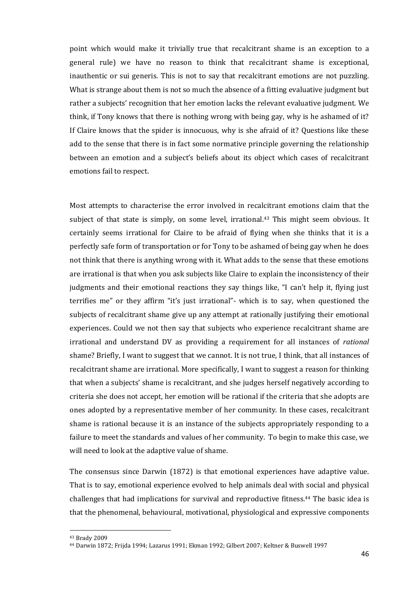point which would make it trivially true that recalcitrant shame is an exception to a general rule) we have no reason to think that recalcitrant shame is exceptional, inauthentic or sui generis. This is not to say that recalcitrant emotions are not puzzling. What is strange about them is not so much the absence of a fitting evaluative judgment but rather a subjects' recognition that her emotion lacks the relevant evaluative judgment. We think, if Tony knows that there is nothing wrong with being gay, why is he ashamed of it? If Claire knows that the spider is innocuous, why is she afraid of it? Questions like these add to the sense that there is in fact some normative principle governing the relationship between an emotion and a subject's beliefs about its object which cases of recalcitrant emotions fail to respect.

Most attempts to characterise the error involved in recalcitrant emotions claim that the subject of that state is simply, on some level, irrational. <sup>43</sup> This might seem obvious. It certainly seems irrational for Claire to be afraid of flying when she thinks that it is a perfectly safe form of transportation or for Tony to be ashamed of being gay when he does not think that there is anything wrong with it. What adds to the sense that these emotions are irrational is that when you ask subjects like Claire to explain the inconsistency of their judgments and their emotional reactions they say things like, "I can't help it, flying just terrifies me" or they affirm "it's just irrational"- which is to say, when questioned the subjects of recalcitrant shame give up any attempt at rationally justifying their emotional experiences. Could we not then say that subjects who experience recalcitrant shame are irrational and understand DV as providing a requirement for all instances of *rational* shame? Briefly, I want to suggest that we cannot. It is not true, I think, that all instances of recalcitrant shame are irrational. More specifically, I want to suggest a reason for thinking that when a subjects' shame is recalcitrant, and she judges herself negatively according to criteria she does not accept, her emotion will be rational if the criteria that she adopts are ones adopted by a representative member of her community. In these cases, recalcitrant shame is rational because it is an instance of the subjects appropriately responding to a failure to meet the standards and values of her community. To begin to make this case, we will need to look at the adaptive value of shame.

The consensus since Darwin (1872) is that emotional experiences have adaptive value. That is to say, emotional experience evolved to help animals deal with social and physical challenges that had implications for survival and reproductive fitness. <sup>44</sup> The basic idea is that the phenomenal, behavioural, motivational, physiological and expressive components

<sup>43</sup> Brady 2009

<sup>44</sup> Darwin 1872; Frijda 1994; Lazarus 1991; Ekman 1992; Gilbert 2007; Keltner & Buswell 1997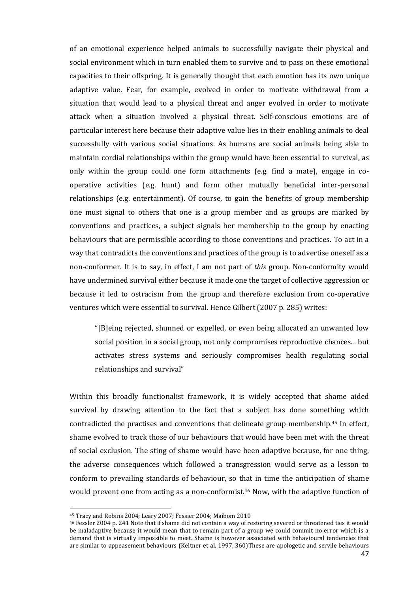of an emotional experience helped animals to successfully navigate their physical and social environment which in turn enabled them to survive and to pass on these emotional capacities to their offspring. It is generally thought that each emotion has its own unique adaptive value. Fear, for example, evolved in order to motivate withdrawal from a situation that would lead to a physical threat and anger evolved in order to motivate attack when a situation involved a physical threat. Self-conscious emotions are of particular interest here because their adaptive value lies in their enabling animals to deal successfully with various social situations. As humans are social animals being able to maintain cordial relationships within the group would have been essential to survival, as only within the group could one form attachments (e.g. find a mate), engage in cooperative activities (e.g. hunt) and form other mutually beneficial inter-personal relationships (e.g. entertainment). Of course, to gain the benefits of group membership one must signal to others that one is a group member and as groups are marked by conventions and practices, a subject signals her membership to the group by enacting behaviours that are permissible according to those conventions and practices. To act in a way that contradicts the conventions and practices of the group is to advertise oneself as a non-conformer. It is to say, in effect, I am not part of *this* group. Non-conformity would have undermined survival either because it made one the target of collective aggression or because it led to ostracism from the group and therefore exclusion from co-operative ventures which were essential to survival. Hence Gilbert (2007 p. 285) writes:

"[B]eing rejected, shunned or expelled, or even being allocated an unwanted low social position in a social group, not only compromises reproductive chances... but activates stress systems and seriously compromises health regulating social relationships and survival"

Within this broadly functionalist framework, it is widely accepted that shame aided survival by drawing attention to the fact that a subject has done something which contradicted the practises and conventions that delineate group membership. <sup>45</sup> In effect, shame evolved to track those of our behaviours that would have been met with the threat of social exclusion. The sting of shame would have been adaptive because, for one thing, the adverse consequences which followed a transgression would serve as a lesson to conform to prevailing standards of behaviour, so that in time the anticipation of shame would prevent one from acting as a non-conformist.<sup>46</sup> Now, with the adaptive function of

<sup>45</sup> Tracy and Robins 2004; Leary 2007; Fessier 2004; Maibom 2010

<sup>46</sup> Fessler 2004 p. 241 Note that if shame did not contain a way of restoring severed or threatened ties it would be maladaptive because it would mean that to remain part of a group we could commit no error which is a demand that is virtually impossible to meet. Shame is however associated with behavioural tendencies that are similar to appeasement behaviours (Keltner et al. 1997, 360)These are apologetic and servile behaviours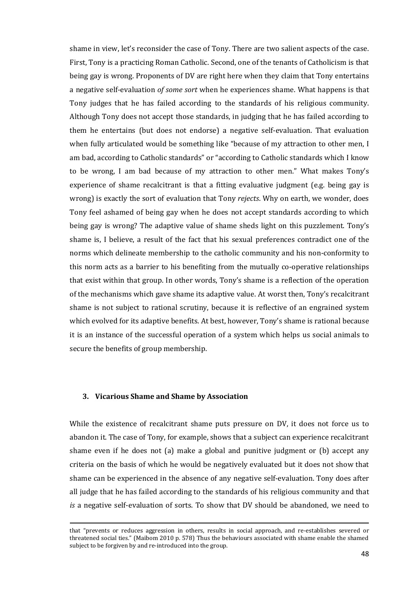shame in view, let's reconsider the case of Tony. There are two salient aspects of the case. First, Tony is a practicing Roman Catholic. Second, one of the tenants of Catholicism is that being gay is wrong. Proponents of DV are right here when they claim that Tony entertains a negative self-evaluation *of some sort* when he experiences shame. What happens is that Tony judges that he has failed according to the standards of his religious community. Although Tony does not accept those standards, in judging that he has failed according to them he entertains (but does not endorse) a negative self-evaluation. That evaluation when fully articulated would be something like "because of my attraction to other men, I am bad, according to Catholic standards" or "according to Catholic standards which I know to be wrong, I am bad because of my attraction to other men." What makes Tony's experience of shame recalcitrant is that a fitting evaluative judgment (e.g. being gay is wrong) is exactly the sort of evaluation that Tony *rejects*. Why on earth, we wonder, does Tony feel ashamed of being gay when he does not accept standards according to which being gay is wrong? The adaptive value of shame sheds light on this puzzlement. Tony's shame is, I believe, a result of the fact that his sexual preferences contradict one of the norms which delineate membership to the catholic community and his non-conformity to this norm acts as a barrier to his benefiting from the mutually co-operative relationships that exist within that group. In other words, Tony's shame is a reflection of the operation of the mechanisms which gave shame its adaptive value. At worst then, Tony's recalcitrant shame is not subject to rational scrutiny, because it is reflective of an engrained system which evolved for its adaptive benefits. At best, however, Tony's shame is rational because it is an instance of the successful operation of a system which helps us social animals to secure the benefits of group membership.

### **3. Vicarious Shame and Shame by Association**

 $\overline{a}$ 

While the existence of recalcitrant shame puts pressure on DV, it does not force us to abandon it. The case of Tony, for example, shows that a subject can experience recalcitrant shame even if he does not (a) make a global and punitive judgment or (b) accept any criteria on the basis of which he would be negatively evaluated but it does not show that shame can be experienced in the absence of any negative self-evaluation. Tony does after all judge that he has failed according to the standards of his religious community and that *is* a negative self-evaluation of sorts. To show that DV should be abandoned, we need to

that "prevents or reduces aggression in others, results in social approach, and re-establishes severed or threatened social ties." (Maibom 2010 p. 578) Thus the behaviours associated with shame enable the shamed subject to be forgiven by and re-introduced into the group.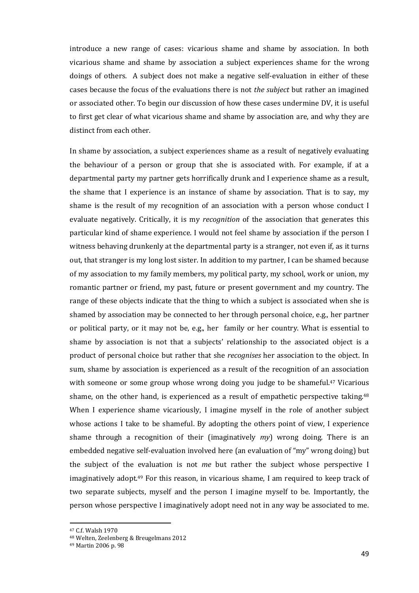introduce a new range of cases: vicarious shame and shame by association. In both vicarious shame and shame by association a subject experiences shame for the wrong doings of others. A subject does not make a negative self-evaluation in either of these cases because the focus of the evaluations there is not *the subject* but rather an imagined or associated other. To begin our discussion of how these cases undermine DV, it is useful to first get clear of what vicarious shame and shame by association are, and why they are distinct from each other.

In shame by association, a subject experiences shame as a result of negatively evaluating the behaviour of a person or group that she is associated with. For example, if at a departmental party my partner gets horrifically drunk and I experience shame as a result, the shame that I experience is an instance of shame by association. That is to say, my shame is the result of my recognition of an association with a person whose conduct I evaluate negatively. Critically, it is my *recognition* of the association that generates this particular kind of shame experience. I would not feel shame by association if the person I witness behaving drunkenly at the departmental party is a stranger, not even if, as it turns out, that stranger is my long lost sister. In addition to my partner, I can be shamed because of my association to my family members, my political party, my school, work or union, my romantic partner or friend, my past, future or present government and my country. The range of these objects indicate that the thing to which a subject is associated when she is shamed by association may be connected to her through personal choice, e.g., her partner or political party, or it may not be, e.g., her family or her country. What is essential to shame by association is not that a subjects' relationship to the associated object is a product of personal choice but rather that she *recognises* her association to the object. In sum, shame by association is experienced as a result of the recognition of an association with someone or some group whose wrong doing you judge to be shameful.<sup>47</sup> Vicarious shame, on the other hand, is experienced as a result of empathetic perspective taking.<sup>48</sup> When I experience shame vicariously, I imagine myself in the role of another subject whose actions I take to be shameful. By adopting the others point of view, I experience shame through a recognition of their (imaginatively *my*) wrong doing. There is an embedded negative self-evaluation involved here (an evaluation of "my" wrong doing) but the subject of the evaluation is not *me* but rather the subject whose perspective I imaginatively adopt.<sup>49</sup> For this reason, in vicarious shame, I am required to keep track of two separate subjects, myself and the person I imagine myself to be. Importantly, the person whose perspective I imaginatively adopt need not in any way be associated to me.

<sup>47</sup> C.f. Walsh 1970

<sup>48</sup> Welten, Zeelenberg & Breugelmans 2012

<sup>49</sup> Martin 2006 p. 98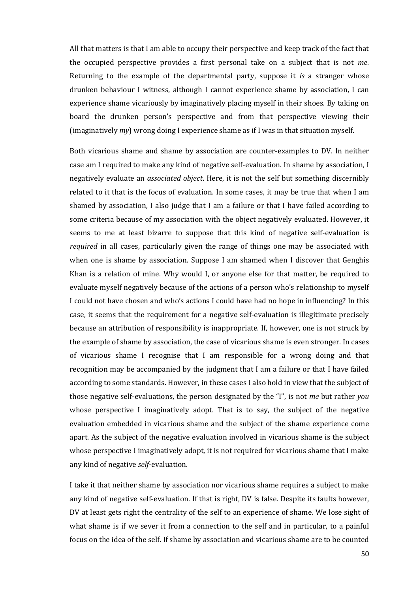All that matters is that I am able to occupy their perspective and keep track of the fact that the occupied perspective provides a first personal take on a subject that is not *me*. Returning to the example of the departmental party, suppose it *is* a stranger whose drunken behaviour I witness, although I cannot experience shame by association, I can experience shame vicariously by imaginatively placing myself in their shoes. By taking on board the drunken person's perspective and from that perspective viewing their (imaginatively *my*) wrong doing I experience shame as if I was in that situation myself.

Both vicarious shame and shame by association are counter-examples to DV. In neither case am I required to make any kind of negative self-evaluation. In shame by association, I negatively evaluate an *associated object*. Here, it is not the self but something discernibly related to it that is the focus of evaluation. In some cases, it may be true that when I am shamed by association, I also judge that I am a failure or that I have failed according to some criteria because of my association with the object negatively evaluated. However, it seems to me at least bizarre to suppose that this kind of negative self-evaluation is *required* in all cases, particularly given the range of things one may be associated with when one is shame by association. Suppose I am shamed when I discover that Genghis Khan is a relation of mine. Why would I, or anyone else for that matter, be required to evaluate myself negatively because of the actions of a person who's relationship to myself I could not have chosen and who's actions I could have had no hope in influencing? In this case, it seems that the requirement for a negative self-evaluation is illegitimate precisely because an attribution of responsibility is inappropriate. If, however, one is not struck by the example of shame by association, the case of vicarious shame is even stronger. In cases of vicarious shame I recognise that I am responsible for a wrong doing and that recognition may be accompanied by the judgment that I am a failure or that I have failed according to some standards. However, in these cases I also hold in view that the subject of those negative self-evaluations, the person designated by the "I", is not *me* but rather *you* whose perspective I imaginatively adopt*.* That is to say, the subject of the negative evaluation embedded in vicarious shame and the subject of the shame experience come apart. As the subject of the negative evaluation involved in vicarious shame is the subject whose perspective I imaginatively adopt, it is not required for vicarious shame that I make any kind of negative *self*-evaluation.

I take it that neither shame by association nor vicarious shame requires a subject to make any kind of negative self-evaluation. If that is right, DV is false. Despite its faults however, DV at least gets right the centrality of the self to an experience of shame. We lose sight of what shame is if we sever it from a connection to the self and in particular, to a painful focus on the idea of the self. If shame by association and vicarious shame are to be counted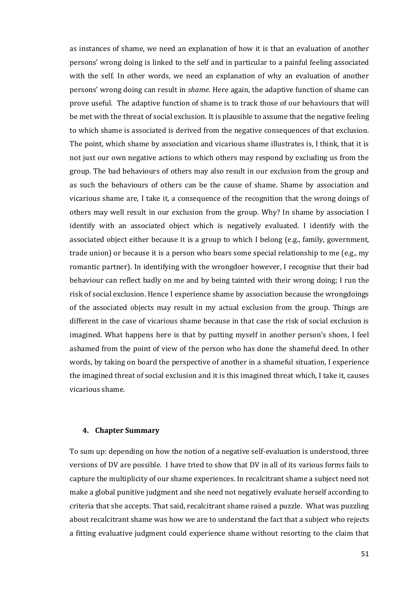as instances of shame, we need an explanation of how it is that an evaluation of another persons' wrong doing is linked to the self and in particular to a painful feeling associated with the self. In other words, we need an explanation of why an evaluation of another persons' wrong doing can result in *shame*. Here again, the adaptive function of shame can prove useful. The adaptive function of shame is to track those of our behaviours that will be met with the threat of social exclusion. It is plausible to assume that the negative feeling to which shame is associated is derived from the negative consequences of that exclusion. The point, which shame by association and vicarious shame illustrates is, I think, that it is not just our own negative actions to which others may respond by excluding us from the group. The bad behaviours of others may also result in our exclusion from the group and as such the behaviours of others can be the cause of shame. Shame by association and vicarious shame are, I take it, a consequence of the recognition that the wrong doings of others may well result in our exclusion from the group. Why? In shame by association I identify with an associated object which is negatively evaluated. I identify with the associated object either because it is a group to which I belong (e.g., family, government, trade union) or because it is a person who bears some special relationship to me (e.g., my romantic partner). In identifying with the wrongdoer however, I recognise that their bad behaviour can reflect badly on me and by being tainted with their wrong doing; I run the risk of social exclusion. Hence I experience shame by association because the wrongdoings of the associated objects may result in my actual exclusion from the group. Things are different in the case of vicarious shame because in that case the risk of social exclusion is imagined. What happens here is that by putting myself in another person's shoes, I feel ashamed from the point of view of the person who has done the shameful deed. In other words, by taking on board the perspective of another in a shameful situation, I experience the imagined threat of social exclusion and it is this imagined threat which, I take it, causes vicarious shame.

#### **4. Chapter Summary**

To sum up: depending on how the notion of a negative self-evaluation is understood, three versions of DV are possible. I have tried to show that DV in all of its various forms fails to capture the multiplicity of our shame experiences. In recalcitrant shame a subject need not make a global punitive judgment and she need not negatively evaluate herself according to criteria that she accepts. That said, recalcitrant shame raised a puzzle. What was puzzling about recalcitrant shame was how we are to understand the fact that a subject who rejects a fitting evaluative judgment could experience shame without resorting to the claim that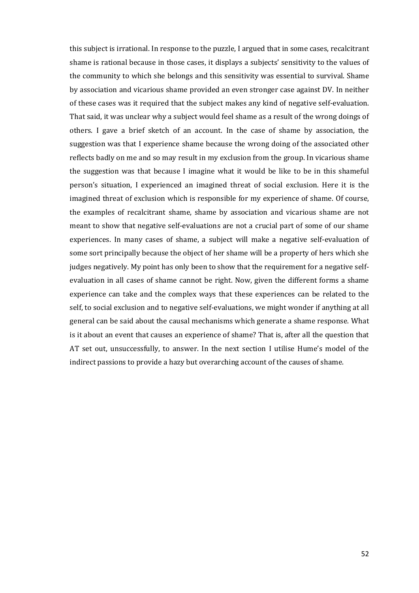this subject is irrational. In response to the puzzle, I argued that in some cases, recalcitrant shame is rational because in those cases, it displays a subjects' sensitivity to the values of the community to which she belongs and this sensitivity was essential to survival. Shame by association and vicarious shame provided an even stronger case against DV. In neither of these cases was it required that the subject makes any kind of negative self-evaluation. That said, it was unclear why a subject would feel shame as a result of the wrong doings of others. I gave a brief sketch of an account. In the case of shame by association, the suggestion was that I experience shame because the wrong doing of the associated other reflects badly on me and so may result in my exclusion from the group. In vicarious shame the suggestion was that because I imagine what it would be like to be in this shameful person's situation, I experienced an imagined threat of social exclusion. Here it is the imagined threat of exclusion which is responsible for my experience of shame. Of course, the examples of recalcitrant shame, shame by association and vicarious shame are not meant to show that negative self-evaluations are not a crucial part of some of our shame experiences. In many cases of shame, a subject will make a negative self-evaluation of some sort principally because the object of her shame will be a property of hers which she judges negatively. My point has only been to show that the requirement for a negative selfevaluation in all cases of shame cannot be right. Now, given the different forms a shame experience can take and the complex ways that these experiences can be related to the self, to social exclusion and to negative self-evaluations, we might wonder if anything at all general can be said about the causal mechanisms which generate a shame response. What is it about an event that causes an experience of shame? That is, after all the question that AT set out, unsuccessfully, to answer. In the next section I utilise Hume's model of the indirect passions to provide a hazy but overarching account of the causes of shame.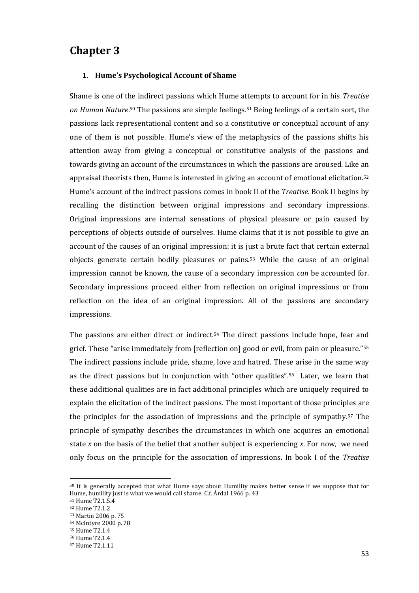# **Chapter 3**

### **1. Hume's Psychological Account of Shame**

Shame is one of the indirect passions which Hume attempts to account for in his *Treatise on Human Nature*. <sup>50</sup> The passions are simple feelings. <sup>51</sup> Being feelings of a certain sort, the passions lack representational content and so a constitutive or conceptual account of any one of them is not possible. Hume's view of the metaphysics of the passions shifts his attention away from giving a conceptual or constitutive analysis of the passions and towards giving an account of the circumstances in which the passions are aroused. Like an appraisal theorists then, Hume is interested in giving an account of emotional elicitation.<sup>52</sup> Hume's account of the indirect passions comes in book II of the *Treatise*. Book II begins by recalling the distinction between original impressions and secondary impressions. Original impressions are internal sensations of physical pleasure or pain caused by perceptions of objects outside of ourselves. Hume claims that it is not possible to give an account of the causes of an original impression: it is just a brute fact that certain external objects generate certain bodily pleasures or pains.<sup>53</sup> While the cause of an original impression cannot be known, the cause of a secondary impression *can* be accounted for. Secondary impressions proceed either from reflection on original impressions or from reflection on the idea of an original impression. All of the passions are secondary impressions.

The passions are either direct or indirect.<sup>54</sup> The direct passions include hope, fear and grief. These "arise immediately from [reflection on] good or evil, from pain or pleasure."<sup>55</sup> The indirect passions include pride, shame, love and hatred. These arise in the same way as the direct passions but in conjunction with "other qualities".56 Later, we learn that these additional qualities are in fact additional principles which are uniquely required to explain the elicitation of the indirect passions. The most important of those principles are the principles for the association of impressions and the principle of sympathy.<sup>57</sup> The principle of sympathy describes the circumstances in which one acquires an emotional state *x* on the basis of the belief that another subject is experiencing *x*. For now, we need only focus on the principle for the association of impressions. In book I of the *Treatise*

<sup>50</sup> It is generally accepted that what Hume says about Humility makes better sense if we suppose that for Hume, humility just is what we would call shame. C.f. Árdal 1966 p. 43

<sup>51</sup> Hume T2.1.5.4

<sup>52</sup> Hume T2.1.2

<sup>53</sup> Martin 2006 p. 75

<sup>54</sup> McIntyre 2000 p. 78

<sup>55</sup> Hume T2.1.4

<sup>56</sup> Hume T2.1.4

<sup>57</sup> Hume T2.1.11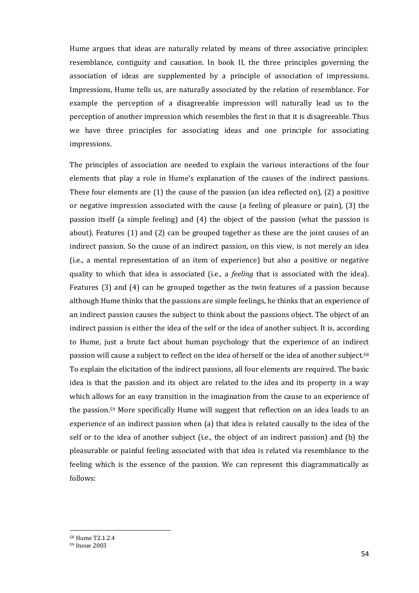Hume argues that ideas are naturally related by means of three associative principles: resemblance, contiguity and causation. In book II, the three principles governing the association of ideas are supplemented by a principle of association of impressions. Impressions, Hume tells us, are naturally associated by the relation of resemblance. For example the perception of a disagreeable impression will naturally lead us to the perception of another impression which resembles the first in that it is disagreeable. Thus we have three principles for associating ideas and one principle for associating impressions.

The principles of association are needed to explain the various interactions of the four elements that play a role in Hume's explanation of the causes of the indirect passions. These four elements are  $(1)$  the cause of the passion (an idea reflected on),  $(2)$  a positive or negative impression associated with the cause (a feeling of pleasure or pain), (3) the passion itself (a simple feeling) and (4) the object of the passion (what the passion is about). Features (1) and (2) can be grouped together as these are the joint causes of an indirect passion. So the cause of an indirect passion, on this view, is not merely an idea (i.e., a mental representation of an item of experience) but also a positive or negative quality to which that idea is associated (i.e., a *feeling* that is associated with the idea). Features (3) and (4) can be grouped together as the twin features of a passion because although Hume thinks that the passions are simple feelings, he thinks that an experience of an indirect passion causes the subject to think about the passions object. The object of an indirect passion is either the idea of the self or the idea of another subject. It is, according to Hume, just a brute fact about human psychology that the experience of an indirect passion will cause a subject to reflect on the idea of herself or the idea of another subject.<sup>58</sup> To explain the elicitation of the indirect passions, all four elements are required. The basic idea is that the passion and its object are related to the idea and its property in a way which allows for an easy transition in the imagination from the cause to an experience of the passion.<sup>59</sup> More specifically Hume will suggest that reflection on an idea leads to an experience of an indirect passion when (a) that idea is related causally to the idea of the self or to the idea of another subject (i.e., the object of an indirect passion) and (b) the pleasurable or painful feeling associated with that idea is related via resemblance to the feeling which is the essence of the passion. We can represent this diagrammatically as follows:

<sup>58</sup> Hume T2.1.2.4

<sup>59</sup> Inoue 2003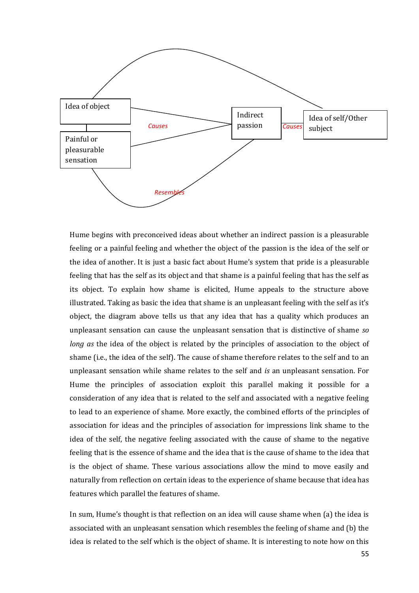

Hume begins with preconceived ideas about whether an indirect passion is a pleasurable feeling or a painful feeling and whether the object of the passion is the idea of the self or the idea of another. It is just a basic fact about Hume's system that pride is a pleasurable feeling that has the self as its object and that shame is a painful feeling that has the self as its object. To explain how shame is elicited, Hume appeals to the structure above illustrated. Taking as basic the idea that shame is an unpleasant feeling with the self as it's object, the diagram above tells us that any idea that has a quality which produces an unpleasant sensation can cause the unpleasant sensation that is distinctive of shame *so long as* the idea of the object is related by the principles of association to the object of shame (i.e., the idea of the self). The cause of shame therefore relates to the self and to an unpleasant sensation while shame relates to the self and *is* an unpleasant sensation. For Hume the principles of association exploit this parallel making it possible for a consideration of any idea that is related to the self and associated with a negative feeling to lead to an experience of shame. More exactly, the combined efforts of the principles of association for ideas and the principles of association for impressions link shame to the idea of the self, the negative feeling associated with the cause of shame to the negative feeling that is the essence of shame and the idea that is the cause of shame to the idea that is the object of shame. These various associations allow the mind to move easily and naturally from reflection on certain ideas to the experience of shame because that idea has features which parallel the features of shame.

In sum, Hume's thought is that reflection on an idea will cause shame when (a) the idea is associated with an unpleasant sensation which resembles the feeling of shame and (b) the idea is related to the self which is the object of shame. It is interesting to note how on this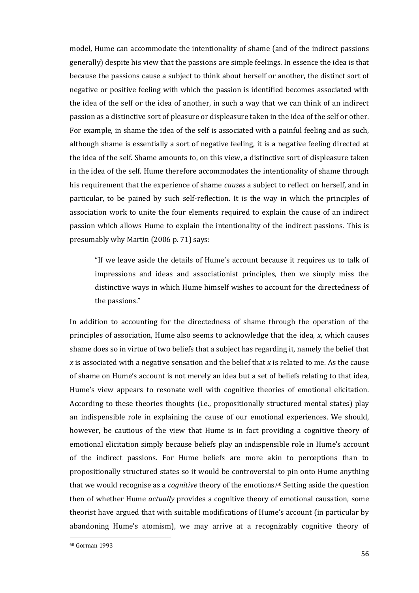model, Hume can accommodate the intentionality of shame (and of the indirect passions generally) despite his view that the passions are simple feelings. In essence the idea is that because the passions cause a subject to think about herself or another, the distinct sort of negative or positive feeling with which the passion is identified becomes associated with the idea of the self or the idea of another, in such a way that we can think of an indirect passion as a distinctive sort of pleasure or displeasure taken in the idea of the self or other. For example, in shame the idea of the self is associated with a painful feeling and as such, although shame is essentially a sort of negative feeling, it is a negative feeling directed at the idea of the self. Shame amounts to, on this view, a distinctive sort of displeasure taken in the idea of the self. Hume therefore accommodates the intentionality of shame through his requirement that the experience of shame *causes* a subject to reflect on herself, and in particular, to be pained by such self-reflection. It is the way in which the principles of association work to unite the four elements required to explain the cause of an indirect passion which allows Hume to explain the intentionality of the indirect passions. This is presumably why Martin (2006 p. 71) says:

"If we leave aside the details of Hume's account because it requires us to talk of impressions and ideas and associationist principles, then we simply miss the distinctive ways in which Hume himself wishes to account for the directedness of the passions."

In addition to accounting for the directedness of shame through the operation of the principles of association, Hume also seems to acknowledge that the idea, *x*, which causes shame does so in virtue of two beliefs that a subject has regarding it, namely the belief that *x* is associated with a negative sensation and the belief that *x* is related to me. As the cause of shame on Hume's account is not merely an idea but a set of beliefs relating to that idea, Hume's view appears to resonate well with cognitive theories of emotional elicitation. According to these theories thoughts (i.e., propositionally structured mental states) play an indispensible role in explaining the cause of our emotional experiences. We should, however, be cautious of the view that Hume is in fact providing a cognitive theory of emotional elicitation simply because beliefs play an indispensible role in Hume's account of the indirect passions. For Hume beliefs are more akin to perceptions than to propositionally structured states so it would be controversial to pin onto Hume anything that we would recognise as a *cognitive* theory of the emotions. <sup>60</sup> Setting aside the question then of whether Hume *actually* provides a cognitive theory of emotional causation, some theorist have argued that with suitable modifications of Hume's account (in particular by abandoning Hume's atomism), we may arrive at a recognizably cognitive theory of

<sup>60</sup> Gorman 1993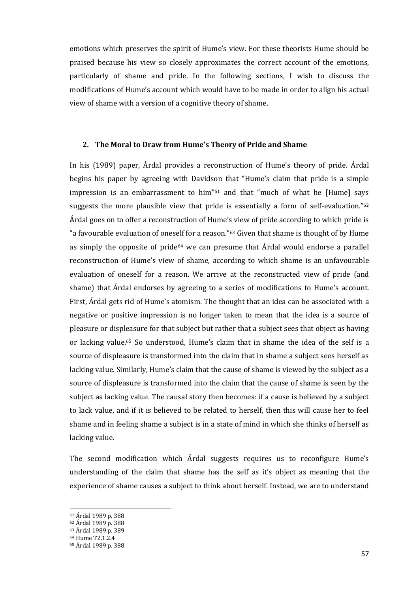emotions which preserves the spirit of Hume's view. For these theorists Hume should be praised because his view so closely approximates the correct account of the emotions, particularly of shame and pride. In the following sections, I wish to discuss the modifications of Hume's account which would have to be made in order to align his actual view of shame with a version of a cognitive theory of shame.

### **2. The Moral to Draw from Hume's Theory of Pride and Shame**

In his (1989) paper, Árdal provides a reconstruction of Hume's theory of pride. Árdal begins his paper by agreeing with Davidson that "Hume's claim that pride is a simple impression is an embarrassment to him"<sup>61</sup> and that "much of what he [Hume] says suggests the more plausible view that pride is essentially a form of self-evaluation."<sup>62</sup> Árdal goes on to offer a reconstruction of Hume's view of pride according to which pride is "a favourable evaluation of oneself for a reason."<sup>63</sup> Given that shame is thought of by Hume as simply the opposite of pride<sup> $64$ </sup> we can presume that  $\hat{A}$ rdal would endorse a parallel reconstruction of Hume's view of shame, according to which shame is an unfavourable evaluation of oneself for a reason. We arrive at the reconstructed view of pride (and shame) that Árdal endorses by agreeing to a series of modifications to Hume's account. First, Árdal gets rid of Hume's atomism. The thought that an idea can be associated with a negative or positive impression is no longer taken to mean that the idea is a source of pleasure or displeasure for that subject but rather that a subject sees that object as having or lacking value.<sup>65</sup> So understood, Hume's claim that in shame the idea of the self is a source of displeasure is transformed into the claim that in shame a subject sees herself as lacking value. Similarly, Hume's claim that the cause of shame is viewed by the subject as a source of displeasure is transformed into the claim that the cause of shame is seen by the subject as lacking value. The causal story then becomes: if a cause is believed by a subject to lack value, and if it is believed to be related to herself, then this will cause her to feel shame and in feeling shame a subject is in a state of mind in which she thinks of herself as lacking value.

The second modification which Árdal suggests requires us to reconfigure Hume's understanding of the claim that shame has the self as it's object as meaning that the experience of shame causes a subject to think about herself. Instead, we are to understand

<sup>61</sup> Árdal 1989 p. 388

<sup>62</sup> Árdal 1989 p. 388

<sup>63</sup> Árdal 1989 p. 389

<sup>64</sup> Hume T2.1.2.4

<sup>65</sup> Árdal 1989 p. 388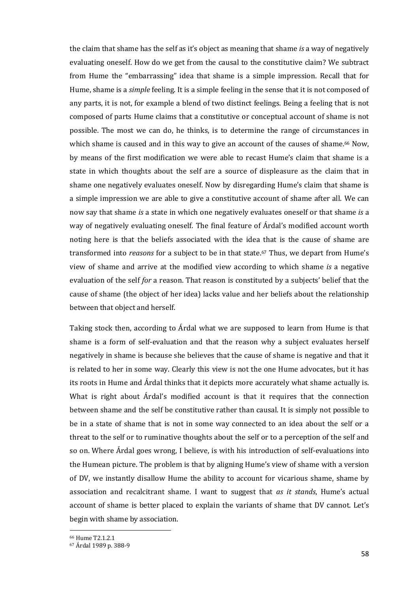the claim that shame has the self as it's object as meaning that shame *is* a way of negatively evaluating oneself. How do we get from the causal to the constitutive claim? We subtract from Hume the "embarrassing" idea that shame is a simple impression. Recall that for Hume, shame is a *simple* feeling. It is a simple feeling in the sense that it is not composed of any parts, it is not, for example a blend of two distinct feelings. Being a feeling that is not composed of parts Hume claims that a constitutive or conceptual account of shame is not possible. The most we can do, he thinks, is to determine the range of circumstances in which shame is caused and in this way to give an account of the causes of shame.<sup>66</sup> Now, by means of the first modification we were able to recast Hume's claim that shame is a state in which thoughts about the self are a source of displeasure as the claim that in shame one negatively evaluates oneself. Now by disregarding Hume's claim that shame is a simple impression we are able to give a constitutive account of shame after all. We can now say that shame *is* a state in which one negatively evaluates oneself or that shame *is* a way of negatively evaluating oneself. The final feature of Árdal's modified account worth noting here is that the beliefs associated with the idea that is the cause of shame are transformed into *reasons* for a subject to be in that state.<sup>67</sup> Thus, we depart from Hume's view of shame and arrive at the modified view according to which shame *is* a negative evaluation of the self *for* a reason. That reason is constituted by a subjects' belief that the cause of shame (the object of her idea) lacks value and her beliefs about the relationship between that object and herself.

Taking stock then, according to Árdal what we are supposed to learn from Hume is that shame is a form of self-evaluation and that the reason why a subject evaluates herself negatively in shame is because she believes that the cause of shame is negative and that it is related to her in some way. Clearly this view is not the one Hume advocates, but it has its roots in Hume and Árdal thinks that it depicts more accurately what shame actually is. What is right about Árdal's modified account is that it requires that the connection between shame and the self be constitutive rather than causal. It is simply not possible to be in a state of shame that is not in some way connected to an idea about the self or a threat to the self or to ruminative thoughts about the self or to a perception of the self and so on. Where Árdal goes wrong, I believe, is with his introduction of self-evaluations into the Humean picture. The problem is that by aligning Hume's view of shame with a version of DV, we instantly disallow Hume the ability to account for vicarious shame, shame by association and recalcitrant shame. I want to suggest that *as it stands*, Hume's actual account of shame is better placed to explain the variants of shame that DV cannot. Let's begin with shame by association.

<sup>66</sup> Hume T2.1.2.1

<sup>67</sup> Árdal 1989 p. 388-9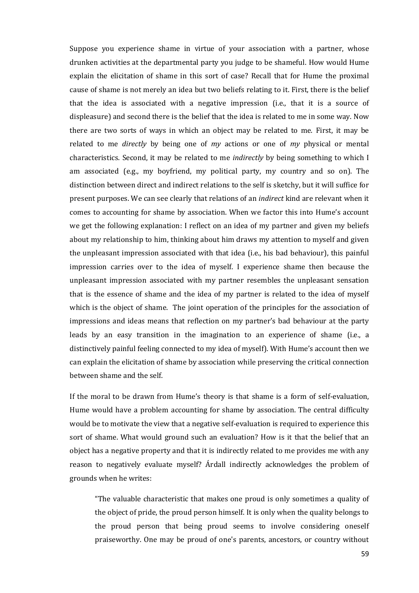Suppose you experience shame in virtue of your association with a partner, whose drunken activities at the departmental party you judge to be shameful. How would Hume explain the elicitation of shame in this sort of case? Recall that for Hume the proximal cause of shame is not merely an idea but two beliefs relating to it. First, there is the belief that the idea is associated with a negative impression (i.e., that it is a source of displeasure) and second there is the belief that the idea is related to me in some way. Now there are two sorts of ways in which an object may be related to me. First, it may be related to me *directly* by being one of *my* actions or one of *my* physical or mental characteristics. Second, it may be related to me *indirectly* by being something to which I am associated (e.g., my boyfriend, my political party, my country and so on). The distinction between direct and indirect relations to the self is sketchy, but it will suffice for present purposes. We can see clearly that relations of an *indirect* kind are relevant when it comes to accounting for shame by association. When we factor this into Hume's account we get the following explanation: I reflect on an idea of my partner and given my beliefs about my relationship to him, thinking about him draws my attention to myself and given the unpleasant impression associated with that idea (i.e., his bad behaviour), this painful impression carries over to the idea of myself. I experience shame then because the unpleasant impression associated with my partner resembles the unpleasant sensation that is the essence of shame and the idea of my partner is related to the idea of myself which is the object of shame. The joint operation of the principles for the association of impressions and ideas means that reflection on my partner's bad behaviour at the party leads by an easy transition in the imagination to an experience of shame (i.e., a distinctively painful feeling connected to my idea of myself). With Hume's account then we can explain the elicitation of shame by association while preserving the critical connection between shame and the self.

If the moral to be drawn from Hume's theory is that shame is a form of self-evaluation, Hume would have a problem accounting for shame by association. The central difficulty would be to motivate the view that a negative self-evaluation is required to experience this sort of shame. What would ground such an evaluation? How is it that the belief that an object has a negative property and that it is indirectly related to me provides me with any reason to negatively evaluate myself? Árdall indirectly acknowledges the problem of grounds when he writes:

"The valuable characteristic that makes one proud is only sometimes a quality of the object of pride, the proud person himself. It is only when the quality belongs to the proud person that being proud seems to involve considering oneself praiseworthy. One may be proud of one's parents, ancestors, or country without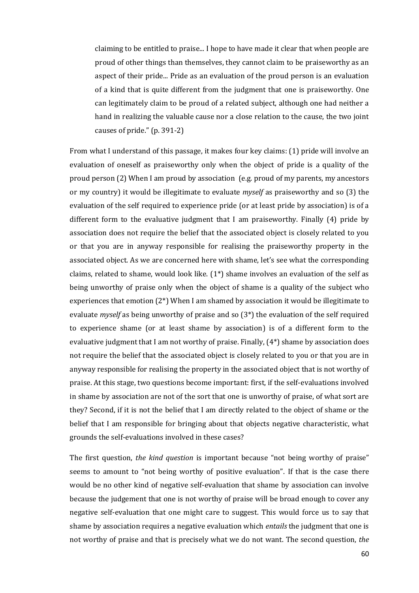claiming to be entitled to praise... I hope to have made it clear that when people are proud of other things than themselves, they cannot claim to be praiseworthy as an aspect of their pride... Pride as an evaluation of the proud person is an evaluation of a kind that is quite different from the judgment that one is praiseworthy. One can legitimately claim to be proud of a related subject, although one had neither a hand in realizing the valuable cause nor a close relation to the cause, the two joint causes of pride." (p. 391-2)

From what I understand of this passage, it makes four key claims: (1) pride will involve an evaluation of oneself as praiseworthy only when the object of pride is a quality of the proud person (2) When I am proud by association (e.g. proud of my parents, my ancestors or my country) it would be illegitimate to evaluate *myself* as praiseworthy and so (3) the evaluation of the self required to experience pride (or at least pride by association) is of a different form to the evaluative judgment that I am praiseworthy. Finally (4) pride by association does not require the belief that the associated object is closely related to you or that you are in anyway responsible for realising the praiseworthy property in the associated object. As we are concerned here with shame, let's see what the corresponding claims, related to shame, would look like. (1\*) shame involves an evaluation of the self as being unworthy of praise only when the object of shame is a quality of the subject who experiences that emotion  $(2^*)$  When I am shamed by association it would be illegitimate to evaluate *myself* as being unworthy of praise and so (3\*) the evaluation of the self required to experience shame (or at least shame by association) is of a different form to the evaluative judgment that I am not worthy of praise. Finally,  $(4^*)$  shame by association does not require the belief that the associated object is closely related to you or that you are in anyway responsible for realising the property in the associated object that is not worthy of praise. At this stage, two questions become important: first, if the self-evaluations involved in shame by association are not of the sort that one is unworthy of praise, of what sort are they? Second, if it is not the belief that I am directly related to the object of shame or the belief that I am responsible for bringing about that objects negative characteristic, what grounds the self-evaluations involved in these cases?

The first question, *the kind question* is important because "not being worthy of praise" seems to amount to "not being worthy of positive evaluation". If that is the case there would be no other kind of negative self-evaluation that shame by association can involve because the judgement that one is not worthy of praise will be broad enough to cover any negative self-evaluation that one might care to suggest. This would force us to say that shame by association requires a negative evaluation which *entails* the judgment that one is not worthy of praise and that is precisely what we do not want. The second question, *the*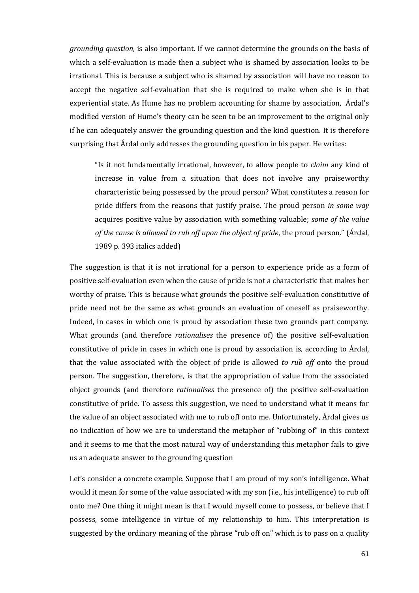*grounding question*, is also important. If we cannot determine the grounds on the basis of which a self-evaluation is made then a subject who is shamed by association looks to be irrational. This is because a subject who is shamed by association will have no reason to accept the negative self-evaluation that she is required to make when she is in that experiential state. As Hume has no problem accounting for shame by association, Árdal's modified version of Hume's theory can be seen to be an improvement to the original only if he can adequately answer the grounding question and the kind question. It is therefore surprising that Árdal only addresses the grounding question in his paper. He writes:

"Is it not fundamentally irrational, however, to allow people to *claim* any kind of increase in value from a situation that does not involve any praiseworthy characteristic being possessed by the proud person? What constitutes a reason for pride differs from the reasons that justify praise. The proud person *in some way* acquires positive value by association with something valuable; *some of the value of the cause is allowed to rub off upon the object of pride*, the proud person." (Árdal, 1989 p. 393 italics added)

The suggestion is that it is not irrational for a person to experience pride as a form of positive self-evaluation even when the cause of pride is not a characteristic that makes her worthy of praise. This is because what grounds the positive self-evaluation constitutive of pride need not be the same as what grounds an evaluation of oneself as praiseworthy. Indeed, in cases in which one is proud by association these two grounds part company. What grounds (and therefore *rationalises* the presence of) the positive self-evaluation constitutive of pride in cases in which one is proud by association is, according to Árdal, that the value associated with the object of pride is allowed *to rub off* onto the proud person. The suggestion, therefore, is that the appropriation of value from the associated object grounds (and therefore *rationalises* the presence of) the positive self-evaluation constitutive of pride. To assess this suggestion, we need to understand what it means for the value of an object associated with me to rub off onto me. Unfortunately, Árdal gives us no indication of how we are to understand the metaphor of "rubbing of" in this context and it seems to me that the most natural way of understanding this metaphor fails to give us an adequate answer to the grounding question

Let's consider a concrete example. Suppose that I am proud of my son's intelligence. What would it mean for some of the value associated with my son (i.e., his intelligence) to rub off onto me? One thing it might mean is that I would myself come to possess, or believe that I possess, some intelligence in virtue of my relationship to him. This interpretation is suggested by the ordinary meaning of the phrase "rub off on" which is to pass on a quality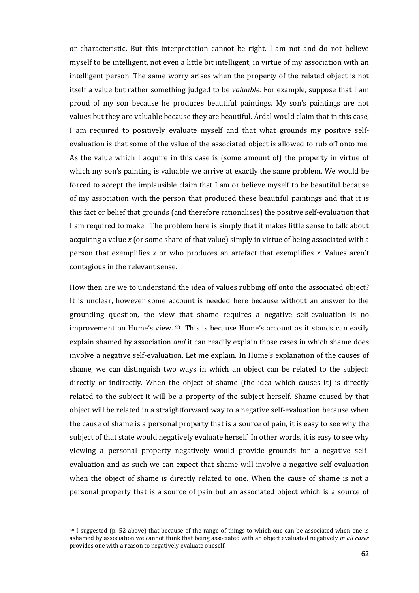or characteristic. But this interpretation cannot be right. I am not and do not believe myself to be intelligent, not even a little bit intelligent, in virtue of my association with an intelligent person. The same worry arises when the property of the related object is not itself a value but rather something judged to be *valuable.* For example, suppose that I am proud of my son because he produces beautiful paintings. My son's paintings are not values but they are valuable because they are beautiful. Árdal would claim that in this case, I am required to positively evaluate myself and that what grounds my positive selfevaluation is that some of the value of the associated object is allowed to rub off onto me. As the value which I acquire in this case is (some amount of) the property in virtue of which my son's painting is valuable we arrive at exactly the same problem. We would be forced to accept the implausible claim that I am or believe myself to be beautiful because of my association with the person that produced these beautiful paintings and that it is this fact or belief that grounds (and therefore rationalises) the positive self-evaluation that I am required to make. The problem here is simply that it makes little sense to talk about acquiring a value *x* (or some share of that value) simply in virtue of being associated with a person that exemplifies *x* or who produces an artefact that exemplifies *x*. Values aren't contagious in the relevant sense.

How then are we to understand the idea of values rubbing off onto the associated object? It is unclear, however some account is needed here because without an answer to the grounding question, the view that shame requires a negative self-evaluation is no improvement on Hume's view. <sup>68</sup> This is because Hume's account as it stands can easily explain shamed by association *and* it can readily explain those cases in which shame does involve a negative self-evaluation. Let me explain. In Hume's explanation of the causes of shame, we can distinguish two ways in which an object can be related to the subject: directly or indirectly. When the object of shame (the idea which causes it) is directly related to the subject it will be a property of the subject herself. Shame caused by that object will be related in a straightforward way to a negative self-evaluation because when the cause of shame is a personal property that is a source of pain, it is easy to see why the subject of that state would negatively evaluate herself. In other words, it is easy to see why viewing a personal property negatively would provide grounds for a negative selfevaluation and as such we can expect that shame will involve a negative self-evaluation when the object of shame is directly related to one. When the cause of shame is not a personal property that is a source of pain but an associated object which is a source of

<sup>68</sup> I suggested (p. 52 above) that because of the range of things to which one can be associated when one is ashamed by association we cannot think that being associated with an object evaluated negatively *in all cases* provides one with a reason to negatively evaluate oneself.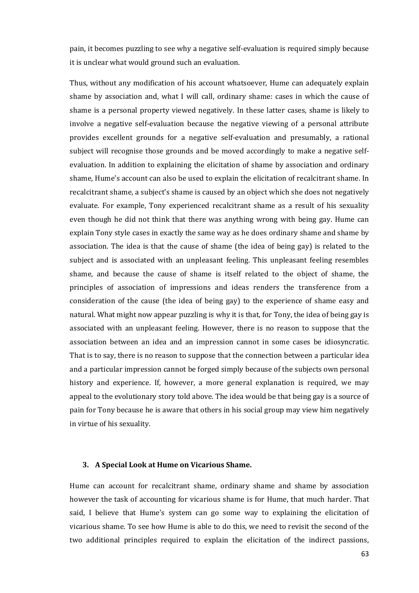pain, it becomes puzzling to see why a negative self-evaluation is required simply because it is unclear what would ground such an evaluation.

Thus, without any modification of his account whatsoever, Hume can adequately explain shame by association and, what I will call, ordinary shame: cases in which the cause of shame is a personal property viewed negatively. In these latter cases, shame is likely to involve a negative self-evaluation because the negative viewing of a personal attribute provides excellent grounds for a negative self-evaluation and presumably, a rational subject will recognise those grounds and be moved accordingly to make a negative selfevaluation. In addition to explaining the elicitation of shame by association and ordinary shame, Hume's account can also be used to explain the elicitation of recalcitrant shame. In recalcitrant shame, a subject's shame is caused by an object which she does not negatively evaluate. For example, Tony experienced recalcitrant shame as a result of his sexuality even though he did not think that there was anything wrong with being gay. Hume can explain Tony style cases in exactly the same way as he does ordinary shame and shame by association. The idea is that the cause of shame (the idea of being gay) is related to the subject and is associated with an unpleasant feeling. This unpleasant feeling resembles shame, and because the cause of shame is itself related to the object of shame, the principles of association of impressions and ideas renders the transference from a consideration of the cause (the idea of being gay) to the experience of shame easy and natural. What might now appear puzzling is why it is that, for Tony, the idea of being gay is associated with an unpleasant feeling. However, there is no reason to suppose that the association between an idea and an impression cannot in some cases be idiosyncratic. That is to say, there is no reason to suppose that the connection between a particular idea and a particular impression cannot be forged simply because of the subjects own personal history and experience. If, however, a more general explanation is required, we may appeal to the evolutionary story told above. The idea would be that being gay is a source of pain for Tony because he is aware that others in his social group may view him negatively in virtue of his sexuality.

#### **3. A Special Look at Hume on Vicarious Shame.**

Hume can account for recalcitrant shame, ordinary shame and shame by association however the task of accounting for vicarious shame is for Hume, that much harder. That said, I believe that Hume's system can go some way to explaining the elicitation of vicarious shame. To see how Hume is able to do this, we need to revisit the second of the two additional principles required to explain the elicitation of the indirect passions,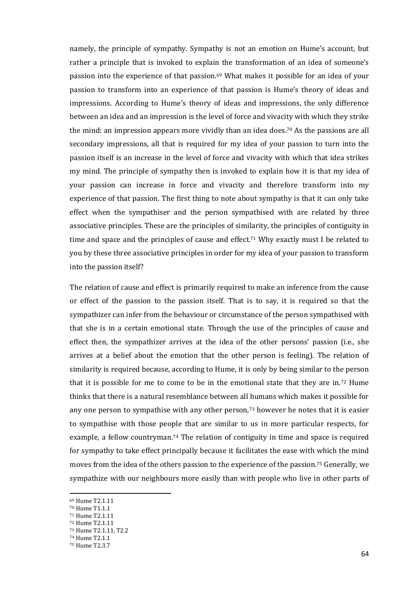namely, the principle of sympathy. Sympathy is not an emotion on Hume's account, but rather a principle that is invoked to explain the transformation of an idea of someone's passion into the experience of that passion.<sup>69</sup> What makes it possible for an idea of your passion to transform into an experience of that passion is Hume's theory of ideas and impressions. According to Hume's theory of ideas and impressions, the only difference between an idea and an impression is the level of force and vivacity with which they strike the mind: an impression appears more vividly than an idea does. <sup>70</sup> As the passions are all secondary impressions, all that is required for my idea of your passion to turn into the passion itself is an increase in the level of force and vivacity with which that idea strikes my mind. The principle of sympathy then is invoked to explain how it is that my idea of your passion can increase in force and vivacity and therefore transform into my experience of that passion. The first thing to note about sympathy is that it can only take effect when the sympathiser and the person sympathised with are related by three associative principles. These are the principles of similarity, the principles of contiguity in time and space and the principles of cause and effect.<sup>71</sup> Why exactly must I be related to you by these three associative principles in order for my idea of your passion to transform into the passion itself?

The relation of cause and effect is primarily required to make an inference from the cause or effect of the passion to the passion itself. That is to say, it is required so that the sympathizer can infer from the behaviour or circumstance of the person sympathised with that she is in a certain emotional state. Through the use of the principles of cause and effect then, the sympathizer arrives at the idea of the other persons' passion (i.e., she arrives at a belief about the emotion that the other person is feeling). The relation of similarity is required because, according to Hume, it is only by being similar to the person that it is possible for me to come to be in the emotional state that they are in.<sup>72</sup> Hume thinks that there is a natural resemblance between all humans which makes it possible for any one person to sympathise with any other person,<sup>73</sup> however he notes that it is easier to sympathise with those people that are similar to us in more particular respects, for example, a fellow countryman.<sup>74</sup> The relation of contiguity in time and space is required for sympathy to take effect principally because it facilitates the ease with which the mind moves from the idea of the others passion to the experience of the passion.<sup>75</sup> Generally, we sympathize with our neighbours more easily than with people who live in other parts of

<sup>69</sup> Hume T2.1.11

<sup>70</sup> Hume T1.1.1

<sup>71</sup> Hume T2.1.11

<sup>72</sup> Hume T2.1.11

<sup>73</sup> Hume T2.1.11, T2.2

<sup>74</sup> Hume T2.1.1

<sup>75</sup> Hume T2.3.7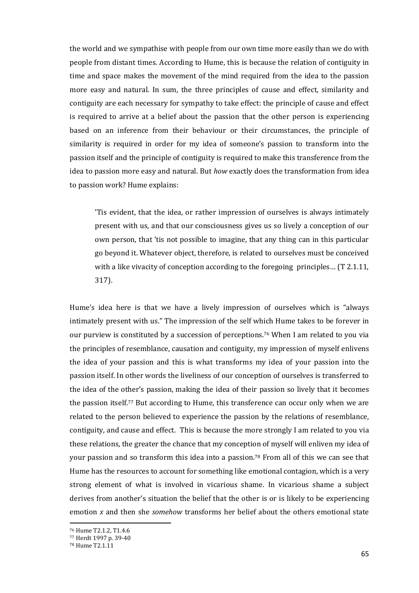the world and we sympathise with people from our own time more easily than we do with people from distant times. According to Hume, this is because the relation of contiguity in time and space makes the movement of the mind required from the idea to the passion more easy and natural. In sum, the three principles of cause and effect, similarity and contiguity are each necessary for sympathy to take effect: the principle of cause and effect is required to arrive at a belief about the passion that the other person is experiencing based on an inference from their behaviour or their circumstances, the principle of similarity is required in order for my idea of someone's passion to transform into the passion itself and the principle of contiguity is required to make this transference from the idea to passion more easy and natural. But *how* exactly does the transformation from idea to passion work? Hume explains:

'Tis evident, that the idea, or rather impression of ourselves is always intimately present with us, and that our consciousness gives us so lively a conception of our own person, that 'tis not possible to imagine, that any thing can in this particular go beyond it. Whatever object, therefore, is related to ourselves must be conceived with a like vivacity of conception according to the foregoing principles... (T 2.1.11, 317).

Hume's idea here is that we have a lively impression of ourselves which is "always intimately present with us." The impression of the self which Hume takes to be forever in our purview is constituted by a succession of perceptions. <sup>76</sup> When I am related to you via the principles of resemblance, causation and contiguity, my impression of myself enlivens the idea of your passion and this is what transforms my idea of your passion into the passion itself. In other words the liveliness of our conception of ourselves is transferred to the idea of the other's passion, making the idea of their passion so lively that it becomes the passion itself.<sup>77</sup> But according to Hume, this transference can occur only when we are related to the person believed to experience the passion by the relations of resemblance, contiguity, and cause and effect. This is because the more strongly I am related to you via these relations, the greater the chance that my conception of myself will enliven my idea of your passion and so transform this idea into a passion.<sup>78</sup> From all of this we can see that Hume has the resources to account for something like emotional contagion, which is a very strong element of what is involved in vicarious shame. In vicarious shame a subject derives from another's situation the belief that the other is or is likely to be experiencing emotion *x* and then she *somehow* transforms her belief about the others emotional state

<sup>76</sup> Hume T2.1.2, T1.4.6

<sup>77</sup> Herdt 1997 p. 39-40

<sup>78</sup> Hume T2.1.11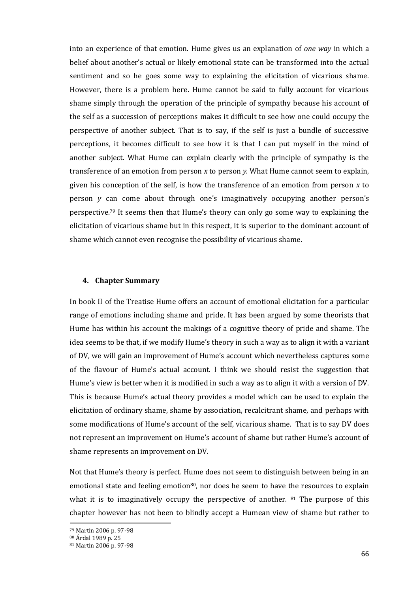into an experience of that emotion. Hume gives us an explanation of *one way* in which a belief about another's actual or likely emotional state can be transformed into the actual sentiment and so he goes some way to explaining the elicitation of vicarious shame. However, there is a problem here. Hume cannot be said to fully account for vicarious shame simply through the operation of the principle of sympathy because his account of the self as a succession of perceptions makes it difficult to see how one could occupy the perspective of another subject. That is to say, if the self is just a bundle of successive perceptions, it becomes difficult to see how it is that I can put myself in the mind of another subject. What Hume can explain clearly with the principle of sympathy is the transference of an emotion from person *x* to person *y*. What Hume cannot seem to explain, given his conception of the self, is how the transference of an emotion from person *x* to person *y* can come about through one's imaginatively occupying another person's perspective.<sup>79</sup> It seems then that Hume's theory can only go some way to explaining the elicitation of vicarious shame but in this respect, it is superior to the dominant account of shame which cannot even recognise the possibility of vicarious shame.

### **4. Chapter Summary**

In book II of the Treatise Hume offers an account of emotional elicitation for a particular range of emotions including shame and pride. It has been argued by some theorists that Hume has within his account the makings of a cognitive theory of pride and shame. The idea seems to be that, if we modify Hume's theory in such a way as to align it with a variant of DV, we will gain an improvement of Hume's account which nevertheless captures some of the flavour of Hume's actual account. I think we should resist the suggestion that Hume's view is better when it is modified in such a way as to align it with a version of DV. This is because Hume's actual theory provides a model which can be used to explain the elicitation of ordinary shame, shame by association, recalcitrant shame, and perhaps with some modifications of Hume's account of the self, vicarious shame. That is to say DV does not represent an improvement on Hume's account of shame but rather Hume's account of shame represents an improvement on DV.

Not that Hume's theory is perfect. Hume does not seem to distinguish between being in an emotional state and feeling emotion<sup>80</sup>, nor does he seem to have the resources to explain what it is to imaginatively occupy the perspective of another.  $81$  The purpose of this chapter however has not been to blindly accept a Humean view of shame but rather to

<sup>79</sup> Martin 2006 p. 97-98

<sup>80</sup> Árdal 1989 p. 25

<sup>81</sup> Martin 2006 p. 97-98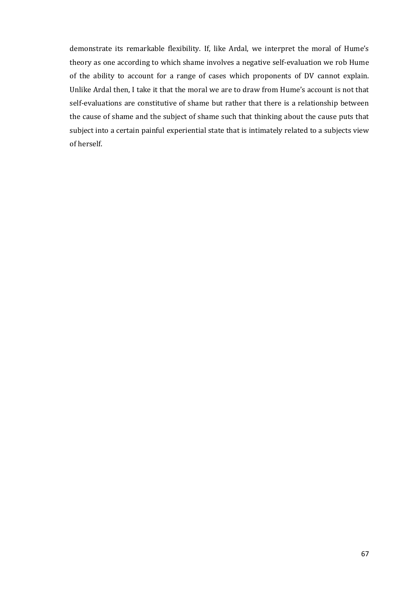demonstrate its remarkable flexibility. If, like Ardal, we interpret the moral of Hume's theory as one according to which shame involves a negative self-evaluation we rob Hume of the ability to account for a range of cases which proponents of DV cannot explain. Unlike Ardal then, I take it that the moral we are to draw from Hume's account is not that self-evaluations are constitutive of shame but rather that there is a relationship between the cause of shame and the subject of shame such that thinking about the cause puts that subject into a certain painful experiential state that is intimately related to a subjects view of herself.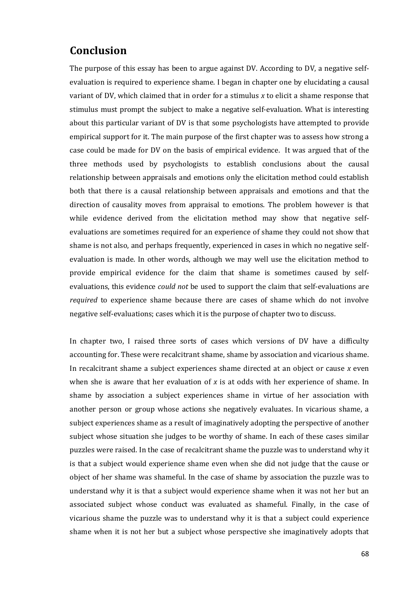# **Conclusion**

The purpose of this essay has been to argue against DV. According to DV, a negative selfevaluation is required to experience shame. I began in chapter one by elucidating a causal variant of DV, which claimed that in order for a stimulus *x* to elicit a shame response that stimulus must prompt the subject to make a negative self-evaluation. What is interesting about this particular variant of DV is that some psychologists have attempted to provide empirical support for it. The main purpose of the first chapter was to assess how strong a case could be made for DV on the basis of empirical evidence. It was argued that of the three methods used by psychologists to establish conclusions about the causal relationship between appraisals and emotions only the elicitation method could establish both that there is a causal relationship between appraisals and emotions and that the direction of causality moves from appraisal to emotions. The problem however is that while evidence derived from the elicitation method may show that negative selfevaluations are sometimes required for an experience of shame they could not show that shame is not also, and perhaps frequently, experienced in cases in which no negative selfevaluation is made. In other words, although we may well use the elicitation method to provide empirical evidence for the claim that shame is sometimes caused by selfevaluations, this evidence *could not* be used to support the claim that self-evaluations are *required* to experience shame because there are cases of shame which do not involve negative self-evaluations; cases which it is the purpose of chapter two to discuss.

In chapter two, I raised three sorts of cases which versions of DV have a difficulty accounting for. These were recalcitrant shame, shame by association and vicarious shame. In recalcitrant shame a subject experiences shame directed at an object or cause *x* even when she is aware that her evaluation of *x* is at odds with her experience of shame. In shame by association a subject experiences shame in virtue of her association with another person or group whose actions she negatively evaluates. In vicarious shame, a subject experiences shame as a result of imaginatively adopting the perspective of another subject whose situation she judges to be worthy of shame. In each of these cases similar puzzles were raised. In the case of recalcitrant shame the puzzle was to understand why it is that a subject would experience shame even when she did not judge that the cause or object of her shame was shameful. In the case of shame by association the puzzle was to understand why it is that a subject would experience shame when it was not her but an associated subject whose conduct was evaluated as shameful. Finally, in the case of vicarious shame the puzzle was to understand why it is that a subject could experience shame when it is not her but a subject whose perspective she imaginatively adopts that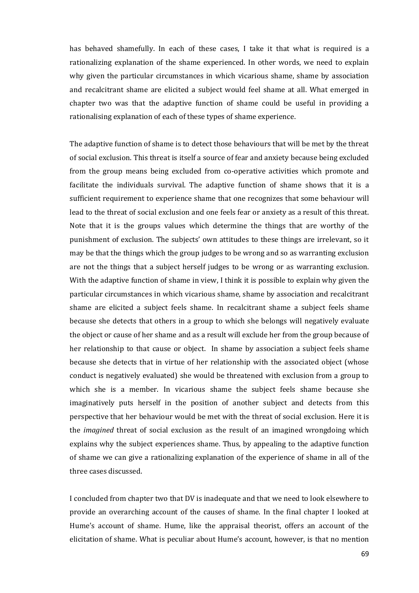has behaved shamefully. In each of these cases, I take it that what is required is a rationalizing explanation of the shame experienced. In other words, we need to explain why given the particular circumstances in which vicarious shame, shame by association and recalcitrant shame are elicited a subject would feel shame at all. What emerged in chapter two was that the adaptive function of shame could be useful in providing a rationalising explanation of each of these types of shame experience.

The adaptive function of shame is to detect those behaviours that will be met by the threat of social exclusion. This threat is itself a source of fear and anxiety because being excluded from the group means being excluded from co-operative activities which promote and facilitate the individuals survival. The adaptive function of shame shows that it is a sufficient requirement to experience shame that one recognizes that some behaviour will lead to the threat of social exclusion and one feels fear or anxiety as a result of this threat. Note that it is the groups values which determine the things that are worthy of the punishment of exclusion. The subjects' own attitudes to these things are irrelevant, so it may be that the things which the group judges to be wrong and so as warranting exclusion are not the things that a subject herself judges to be wrong or as warranting exclusion. With the adaptive function of shame in view, I think it is possible to explain why given the particular circumstances in which vicarious shame, shame by association and recalcitrant shame are elicited a subject feels shame. In recalcitrant shame a subject feels shame because she detects that others in a group to which she belongs will negatively evaluate the object or cause of her shame and as a result will exclude her from the group because of her relationship to that cause or object. In shame by association a subject feels shame because she detects that in virtue of her relationship with the associated object (whose conduct is negatively evaluated) she would be threatened with exclusion from a group to which she is a member. In vicarious shame the subject feels shame because she imaginatively puts herself in the position of another subject and detects from this perspective that her behaviour would be met with the threat of social exclusion. Here it is the *imagined* threat of social exclusion as the result of an imagined wrongdoing which explains why the subject experiences shame. Thus, by appealing to the adaptive function of shame we can give a rationalizing explanation of the experience of shame in all of the three cases discussed.

I concluded from chapter two that DV is inadequate and that we need to look elsewhere to provide an overarching account of the causes of shame. In the final chapter I looked at Hume's account of shame. Hume, like the appraisal theorist, offers an account of the elicitation of shame. What is peculiar about Hume's account, however, is that no mention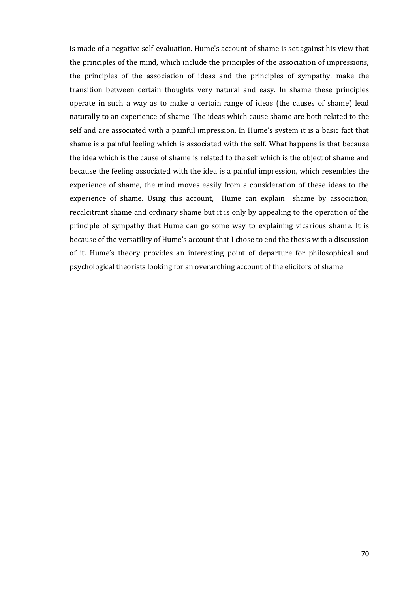is made of a negative self-evaluation. Hume's account of shame is set against his view that the principles of the mind, which include the principles of the association of impressions, the principles of the association of ideas and the principles of sympathy, make the transition between certain thoughts very natural and easy. In shame these principles operate in such a way as to make a certain range of ideas (the causes of shame) lead naturally to an experience of shame. The ideas which cause shame are both related to the self and are associated with a painful impression. In Hume's system it is a basic fact that shame is a painful feeling which is associated with the self. What happens is that because the idea which is the cause of shame is related to the self which is the object of shame and because the feeling associated with the idea is a painful impression, which resembles the experience of shame, the mind moves easily from a consideration of these ideas to the experience of shame. Using this account, Hume can explain shame by association, recalcitrant shame and ordinary shame but it is only by appealing to the operation of the principle of sympathy that Hume can go some way to explaining vicarious shame. It is because of the versatility of Hume's account that I chose to end the thesis with a discussion of it. Hume's theory provides an interesting point of departure for philosophical and psychological theorists looking for an overarching account of the elicitors of shame.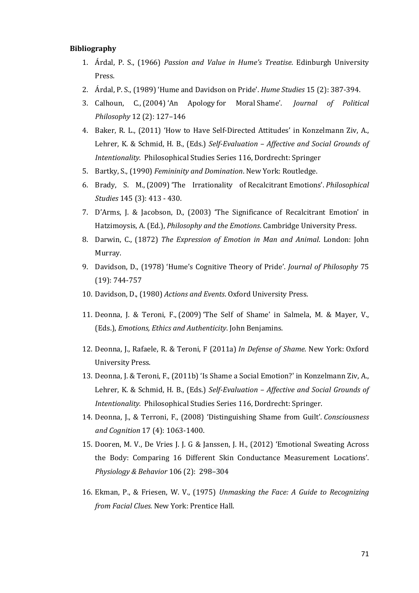#### **Bibliography**

- 1. Árdal, P. S., (1966) *Passion and Value in Hume's Treatise*. Edinburgh University Press.
- 2. Árdal, P. S., (1989) 'Hume and Davidson on Pride'. *Hume Studies* 15 (2): 387-394.
- 3. [Calhoun,](http://philpapers.org/s/Cheshire%20Calhoun) C., (2004) 'An [Apology](http://www.blackwell-synergy.com/doi/abs/10.1111/j.1467-9760.2004.00194.x) for Moral Shame'. *Journal of Political Philosophy* 12 (2): 127–146
- 4. Baker, R. L., (2011) 'How to Have Self-Directed Attitudes' in Konzelmann Ziv, A., Lehrer, K. & Schmid, H. B., (Eds.) *Self-Evaluation – Affective and Social Grounds of Intentionality.* Philosophical Studies Series 116, Dordrecht: Springer
- 5. Bartky, S., (1990) *Femininity and Domination*. New York: Routledge.
- 6. [Brady,](http://philpapers.org/s/Michael%20S.%20Brady) S. M., (2009) 'The [Irrationality](http://www.springerlink.com/content/9451x14m2t634u8g/fulltext.pdf) of Recalcitrant Emotions'. *Philosophical Studies* 145 (3): 413 - 430.
- 7. D'Arms, J. & Jacobson, D., (2003) 'The Significance of Recalcitrant Emotion' in Hatzimoysis, A. (Ed.), *Philosophy and the Emotions*. Cambridge University Press.
- 8. Darwin, C., (1872) *The Expression of Emotion in Man and Animal*. London: John Murray.
- 9. Davidson, D., (1978) 'Hume's Cognitive Theory of Pride'. *Journal of Philosophy* 75 (19): 744-757
- 10. Davidson, D., (1980) *Actions and Events*. Oxford University Press.
- 11. [Deonna,](http://philpapers.org/s/Julien%20A.%20Deonna) J. & [Teroni,](http://philpapers.org/s/Fabrice%20Teroni) F., (2009) 'The Sel[f of Shame'](http://benjamins.com/cgi-bin/t_bookview.cgi?bookid=C%26EB%205) in Salmela, M. & Mayer, V., (Eds.), *Emotions, Ethics and Authenticity*. John Benjamins.
- 12. Deonna, J., Rafaele, R. & Teroni, F (2011a) *[In Defense of Shame](http://www.oup.com/us/catalog/general/subject/Philosophy/Mind/?view=usa&ci=9780199793532)*. New York: Oxford University Press.
- 13. Deonna, J. & Teroni, F., (2011b) '[Is Shame a Social Emotion?'](http://www.springerlink.com/content/m278038140774650/) in Konzelmann Ziv, A., Lehrer, K. & Schmid, H. B., (Eds.) *Self-Evaluation – Affective and Social Grounds of Intentionality.* Philosophical Studies Series 116, Dordrecht: Springer.
- 14. Deonna, J., & Terroni, F., (2008) '[Distinguishing Shame from Guilt](http://www.sciencedirect.com/science/article/pii/S1053810008000263)'. *Consciousness and Cognition* 17 (4): 1063-1400.
- 15. Dooren, M. V., De Vries J. J. G & Janssen, J. H., (2012) 'Emotional Sweating Across the Body: Comparing 16 Different Skin Conductance Measurement Locations'. *[Physiology & Behavior](http://www.sciencedirect.com.libproxy.ucl.ac.uk/science/journal/00319384)* 106 (2): 298–304
- 16. Ekman, P., & Friesen, W. V., (1975) *Unmasking the Face: A Guide to Recognizing from Facial Clues.* New York: Prentice Hall.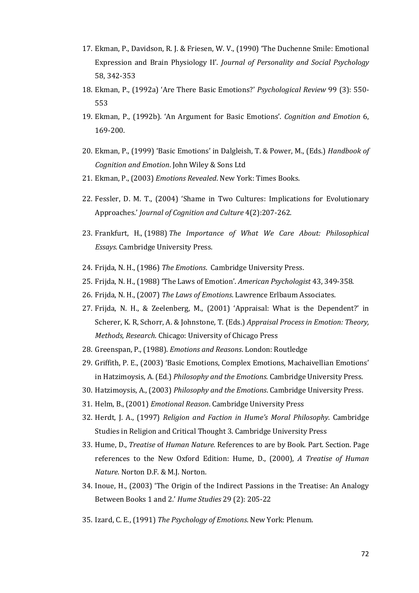- 17. Ekman, P., Davidson, R. J. & Friesen, W. V., (1990) 'The Duchenne Smile: Emotional Expression and Brain Physiology II'. *Journal of Personality and Social Psychology* 58, 342-353
- 18. Ekman, P., (1992a) 'Are There Basic Emotions?' *Psychological Review* 99 (3): 550- 553
- 19. Ekman, P., (1992b). 'An Argument for Basic Emotions'. *Cognition and Emotion* 6, 169-200.
- 20. Ekman, P., (1999) 'Basic Emotions' in [Dalgleish,](http://www.amazon.co.uk/s/ref=ntt_athr_dp_sr_1?_encoding=UTF8&search-alias=books-uk&field-author=Tim%20Dalgleish) T. & [Power,](http://www.amazon.co.uk/s/ref=ntt_athr_dp_sr_2?_encoding=UTF8&search-alias=books-uk&field-author=Mick%20Power) M., (Eds.) *Handbook of Cognition and Emotion*. John Wiley & Sons Ltd
- 21. Ekman, P., (2003) *Emotions Revealed*. New York: Times Books.
- 22. Fessler, D. M. T., (2004) 'Shame in Two Cultures: Implications for Evolutionary Approaches.' *Journal of Cognition and Culture* 4(2):207-262.
- 23. [Frankfurt,](http://philpapers.org/s/Harry%20G.%20Frankfurt) H., (1988) *[The Importance of What We Care About: Philosophical](http://books.google.com/books?id=sSuqlGRrPRkC&printsec=front_cover)  [Essays.](http://books.google.com/books?id=sSuqlGRrPRkC&printsec=front_cover)* Cambridge University Press.
- 24. Frijda, N. H., (1986) *The Emotions*. Cambridge University Press.
- 25. Frijda, N. H., (1988) 'The Laws of Emotion'. *American Psychologist* 43, 349-358.
- 26. Frijda, N. H., (2007) *The Laws of Emotions*. Lawrence Erlbaum Associates.
- 27. Frijda, N. H., & Zeelenberg, M., (2001) 'Appraisal: What is the Dependent?' in Scherer, K. R, Schorr, A. & Johnstone, T. (Eds.) *Appraisal Process in Emotion: Theory, Methods, Research*. Chicago: University of Chicago Press
- 28. Greenspan, P., (1988). *Emotions and Reasons*. London: Routledge
- 29. Griffith, P. E., (2003) 'Basic Emotions, Complex Emotions, Machaivellian Emotions' in Hatzimoysis, A. (Ed.) *Philosophy and the Emotions*. Cambridge University Press.
- 30. Hatzimoysis, A., (2003) *Philosophy and the Emotions*. Cambridge University Press.
- 31. Helm, B., (2001) *Emotional Reason*. Cambridge University Press
- 32. Herdt, J. A., (1997) *Religion and Faction in Hume's Moral Philosophy*. Cambridge Studies in Religion and Critical Thought 3. Cambridge University Press
- 33. Hume, D., *Treatise* of *Human Nature.* References to are by Book. Part. Section. Page references to the New Oxford Edition: Hume, D., (2000), *A Treatise of Human Nature*. Norton D.F. & M.J. Norton.
- 34. Inoue, H., (2003) 'The Origin of the Indirect Passions in the Treatise: An Analogy Between Books 1 and 2.' *Hume Studies* 29 (2): 205-22
- 35. Izard, C. E., (1991) *The Psychology of Emotions*. New York: Plenum.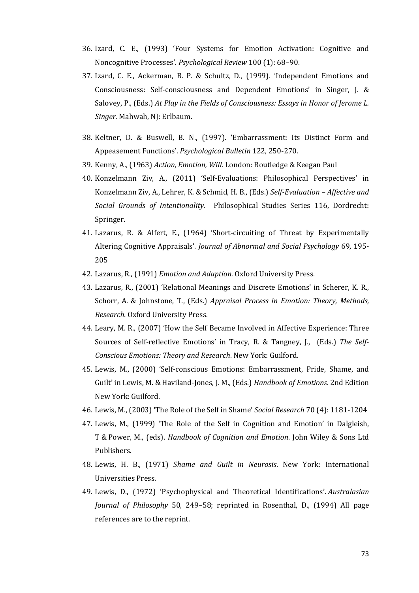- 36. Izard, C. E., (1993) 'Four Systems for Emotion Activation: Cognitive and Noncognitive Processes'. *Psychological Review* 100 (1): 68–90.
- 37. Izard, C. E., Ackerman, B. P. & Schultz, D., (1999). 'Independent Emotions and Consciousness: Self-consciousness and Dependent Emotions' in Singer, J. & Salovey, P., (Eds.) *At Play in the Fields of Consciousness: Essays in Honor of Jerome L. Singer.* Mahwah, NJ: Erlbaum.
- 38. Keltner, D. & Buswell, B. N., (1997). 'Embarrassment: Its Distinct Form and Appeasement Functions'. *Psychological Bulletin* 122, 250-270.
- 39. Kenny, A., (1963) *Action, Emotion, Will*. London: Routledge & Keegan Paul
- 40. Konzelmann Ziv, A., (2011) 'Self-Evaluations: Philosophical Perspectives' in Konzelmann Ziv, A., Lehrer, K. & Schmid, H. B., (Eds.) *Self-Evaluation – Affective and Social Grounds of Intentionality.* Philosophical Studies Series 116, Dordrecht: Springer.
- 41. Lazarus, R. & Alfert, E., (1964) 'Short-circuiting of Threat by Experimentally Altering Cognitive Appraisals'. *Journal of Abnormal and Social Psychology* 69, 195- 205
- 42. Lazarus, R., (1991) *Emotion and Adaption.* Oxford University Press.
- 43. Lazarus, R., (2001) 'Relational Meanings and Discrete Emotions' in Scherer, K. R., Schorr, A. & Johnstone, T., (Eds.) *Appraisal Process in Emotion: Theory, Methods, Research.* Oxford University Press.
- 44. Leary, M. R., (2007) 'How the Self Became Involved in Affective Experience: Three Sources of Self-reflective Emotions' in Tracy, R. & Tangney, J., (Eds.) *The Self-Conscious Emotions: Theory and Research*. New York: Guilford.
- 45. Lewis, M., (2000) 'Self-conscious Emotions: Embarrassment, Pride, Shame, and Guilt' in Lewis, M. & Haviland-Jones, J. M., (Eds.) *Handbook of Emotions*. 2nd Edition New York: Guilford.
- 46. Lewis, M., (2003) 'The Role of the Self in Shame' *Social Research* 70 (4): 1181-1204
- 47. Lewis, M., (1999) 'The Role of the Self in Cognition and Emotion' in [Dalgleish,](http://www.amazon.co.uk/s/ref=ntt_athr_dp_sr_1?_encoding=UTF8&search-alias=books-uk&field-author=Tim%20Dalgleish) T & [Power,](http://www.amazon.co.uk/s/ref=ntt_athr_dp_sr_2?_encoding=UTF8&search-alias=books-uk&field-author=Mick%20Power) M., (eds). *Handbook of Cognition and Emotion*. John Wiley & Sons Ltd Publishers.
- 48. Lewis, H. B., (1971) *Shame and Guilt in Neurosis*. New York: International Universities Press.
- 49. Lewis, D., (1972) 'Psychophysical and Theoretical Identifications'. *Australasian Journal of Philosophy* 50, 249–58; reprinted in Rosenthal, D., (1994) All page references are to the reprint.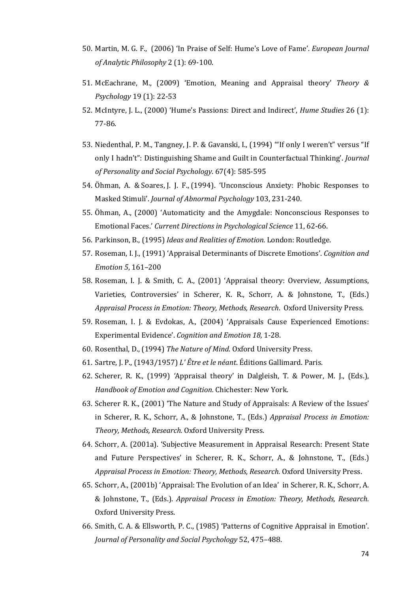- 50. Martin, [M. G. F.,](http://philpapers.org/s/M.%20G.%20F.%20Martin) (2006) 'In Praise of Self: Hume's Love of Fame'. *European Journal of Analytic Philosophy* 2 (1): 69-100.
- 51. McEachrane, M., (2009) 'Emotion, Meaning and Appraisal theory' *Theory & Psychology* 19 (1): 22-53
- 52. McIntyre, J. L., (2000) 'Hume's Passions: Direct and Indirect', *Hume Studies* 26 (1): 77-86.
- 53. Niedenthal, P. M., Tangney, J. P. & Gavanski, I., (1994) '"If only I weren't" versus "If only I hadn't": Distinguishing Shame and Guilt in Counterfactual Thinking'. *Journal of Personality and Social Psychology*. 67(4): 585-595
- 54. Öhman, A. & Soares, J. J. F., (1994). 'Unconscious Anxiety: Phobic Responses to Masked Stimuli'. *Journal of Abnormal Psychology* 103, 231-240.
- 55. Öhman, A., (2000) 'Automaticity and the Amygdale: Nonconscious Responses to Emotional Faces.' *Current Directions in Psychological Science* 11, 62-66.
- 56. Parkinson, B., (1995) *Ideas and Realities of Emotion.* London: Routledge.
- 57. Roseman, I. J., (1991) 'Appraisal Determinants of Discrete Emotions'. *Cognition and Emotion 5*, 161–200
- 58. Roseman, I. J. & Smith, C. A., (2001) 'Appraisal theory: Overview, Assumptions, Varieties, Controversies' in Scherer, K. R., Schorr, A. & Johnstone, T., (Eds.) *Appraisal Process in Emotion: Theory, Methods, Research*. Oxford University Press.
- 59. Roseman, I. J. & Evdokas, A., (2004) 'Appraisals Cause Experienced Emotions: Experimental Evidence'. *Cognition and Emotion 18,* 1-28.
- 60. Rosenthal, D., (1994) *The Nature of Mind*. Oxford University Press.
- 61. Sartre, J. P., (1943/1957) *L' Être et le néant*. Éditions Gallimard. Paris.
- 62. Scherer, R. K., (1999) *'*Appraisal theory' in Dalgleish, T. & Power, M. J., (Eds.), *Handbook of Emotion and Cognition.* Chichester: New York.
- 63. Scherer R. K., (2001) 'The Nature and Study of Appraisals: A Review of the Issues' in Scherer, R. K., Schorr, A., & Johnstone, T., (Eds.) *Appraisal Process in Emotion: Theory, Methods, Research.* Oxford University Press.
- 64. Schorr, A. (2001a). 'Subjective Measurement in Appraisal Research: Present State and Future Perspectives' in Scherer, R. K., Schorr, A., & Johnstone, T., (Eds.) *Appraisal Process in Emotion: Theory, Methods, Research.* Oxford University Press.
- 65. Schorr, A., (2001b) 'Appraisal: The Evolution of an Idea' in Scherer, R. K., Schorr, A. & Johnstone, T., (Eds.). *Appraisal Process in Emotion: Theory, Methods, Research.*  Oxford University Press.
- 66. Smith, C. A. & Ellsworth, P. C., (1985) 'Patterns of Cognitive Appraisal in Emotion'. *Journal of Personality and Social Psychology* 52, 475–488.